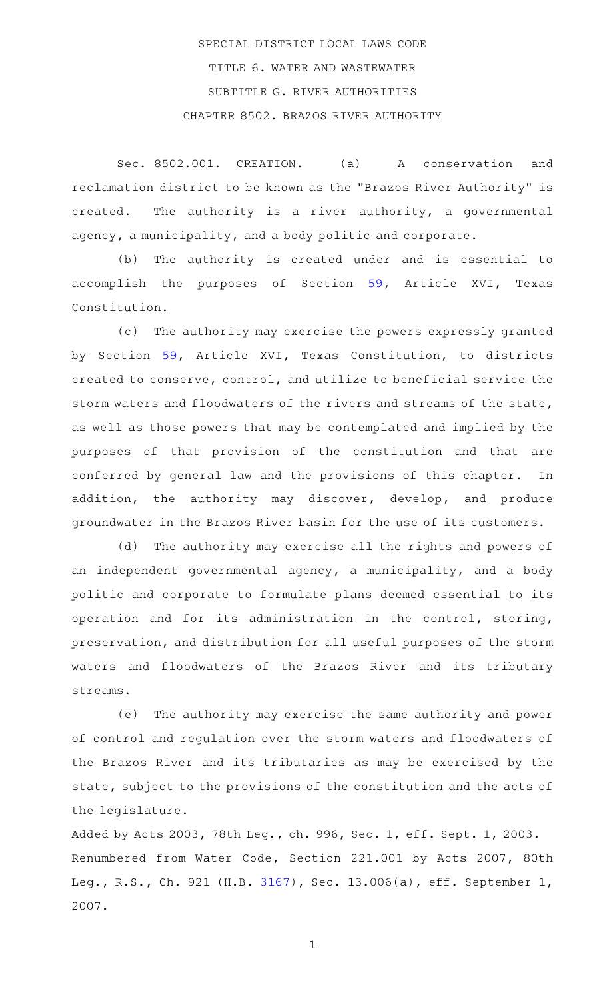# SPECIAL DISTRICT LOCAL LAWS CODE TITLE 6. WATER AND WASTEWATER SUBTITLE G. RIVER AUTHORITIES CHAPTER 8502. BRAZOS RIVER AUTHORITY

Sec. 8502.001. CREATION. (a) A conservation and reclamation district to be known as the "Brazos River Authority" is created. The authority is a river authority, a governmental agency, a municipality, and a body politic and corporate.

(b) The authority is created under and is essential to accomplish the purposes of Section [59](http://www.statutes.legis.state.tx.us/GetStatute.aspx?Code=CN&Value=16.59), Article XVI, Texas Constitution.

(c) The authority may exercise the powers expressly granted by Section [59](http://www.statutes.legis.state.tx.us/GetStatute.aspx?Code=CN&Value=16.59), Article XVI, Texas Constitution, to districts created to conserve, control, and utilize to beneficial service the storm waters and floodwaters of the rivers and streams of the state, as well as those powers that may be contemplated and implied by the purposes of that provision of the constitution and that are conferred by general law and the provisions of this chapter. In addition, the authority may discover, develop, and produce groundwater in the Brazos River basin for the use of its customers.

(d) The authority may exercise all the rights and powers of an independent governmental agency, a municipality, and a body politic and corporate to formulate plans deemed essential to its operation and for its administration in the control, storing, preservation, and distribution for all useful purposes of the storm waters and floodwaters of the Brazos River and its tributary streams.

(e) The authority may exercise the same authority and power of control and regulation over the storm waters and floodwaters of the Brazos River and its tributaries as may be exercised by the state, subject to the provisions of the constitution and the acts of the legislature.

Added by Acts 2003, 78th Leg., ch. 996, Sec. 1, eff. Sept. 1, 2003. Renumbered from Water Code, Section 221.001 by Acts 2007, 80th Leg., R.S., Ch. 921 (H.B. [3167](http://www.legis.state.tx.us/tlodocs/80R/billtext/html/HB03167F.HTM)), Sec. 13.006(a), eff. September 1, 2007.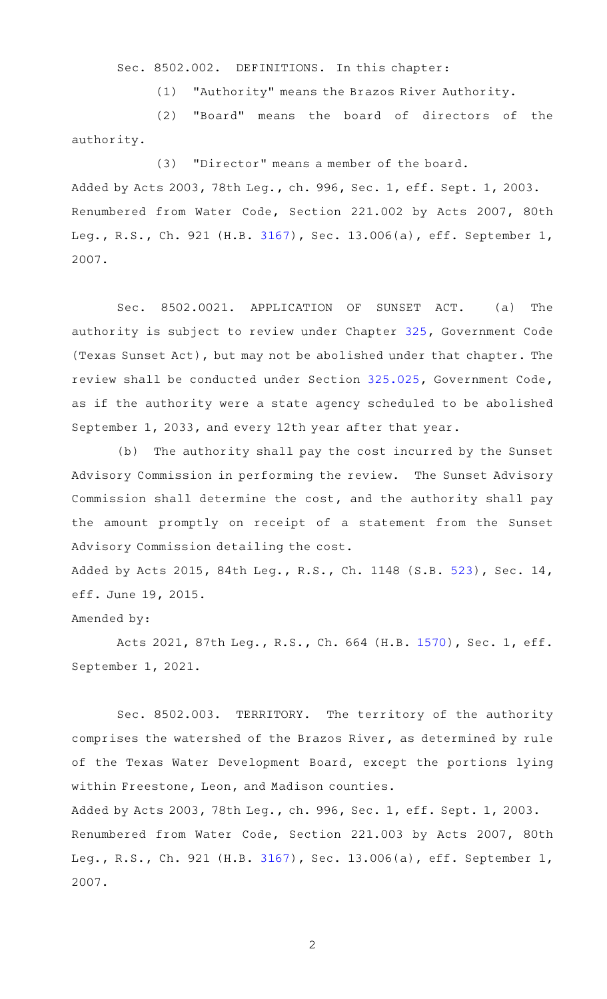Sec. 8502.002. DEFINITIONS. In this chapter:

(1) "Authority" means the Brazos River Authority.

(2) "Board" means the board of directors of the authority.

### (3) "Director" means a member of the board.

Added by Acts 2003, 78th Leg., ch. 996, Sec. 1, eff. Sept. 1, 2003. Renumbered from Water Code, Section 221.002 by Acts 2007, 80th Leg., R.S., Ch. 921 (H.B. [3167](http://www.legis.state.tx.us/tlodocs/80R/billtext/html/HB03167F.HTM)), Sec. 13.006(a), eff. September 1, 2007.

Sec. 8502.0021. APPLICATION OF SUNSET ACT. (a) The authority is subject to review under Chapter [325,](http://www.statutes.legis.state.tx.us/GetStatute.aspx?Code=GV&Value=325) Government Code (Texas Sunset Act), but may not be abolished under that chapter. The review shall be conducted under Section [325.025](http://www.statutes.legis.state.tx.us/GetStatute.aspx?Code=GV&Value=325.025), Government Code, as if the authority were a state agency scheduled to be abolished September 1, 2033, and every 12th year after that year.

(b) The authority shall pay the cost incurred by the Sunset Advisory Commission in performing the review. The Sunset Advisory Commission shall determine the cost, and the authority shall pay the amount promptly on receipt of a statement from the Sunset Advisory Commission detailing the cost.

Added by Acts 2015, 84th Leg., R.S., Ch. 1148 (S.B. [523\)](http://www.legis.state.tx.us/tlodocs/84R/billtext/html/SB00523F.HTM), Sec. 14, eff. June 19, 2015.

#### Amended by:

Acts 2021, 87th Leg., R.S., Ch. 664 (H.B. [1570](http://www.legis.state.tx.us/tlodocs/87R/billtext/html/HB01570F.HTM)), Sec. 1, eff. September 1, 2021.

Sec. 8502.003. TERRITORY. The territory of the authority comprises the watershed of the Brazos River, as determined by rule of the Texas Water Development Board, except the portions lying within Freestone, Leon, and Madison counties.

Added by Acts 2003, 78th Leg., ch. 996, Sec. 1, eff. Sept. 1, 2003. Renumbered from Water Code, Section 221.003 by Acts 2007, 80th Leg., R.S., Ch. 921 (H.B. [3167](http://www.legis.state.tx.us/tlodocs/80R/billtext/html/HB03167F.HTM)), Sec. 13.006(a), eff. September 1, 2007.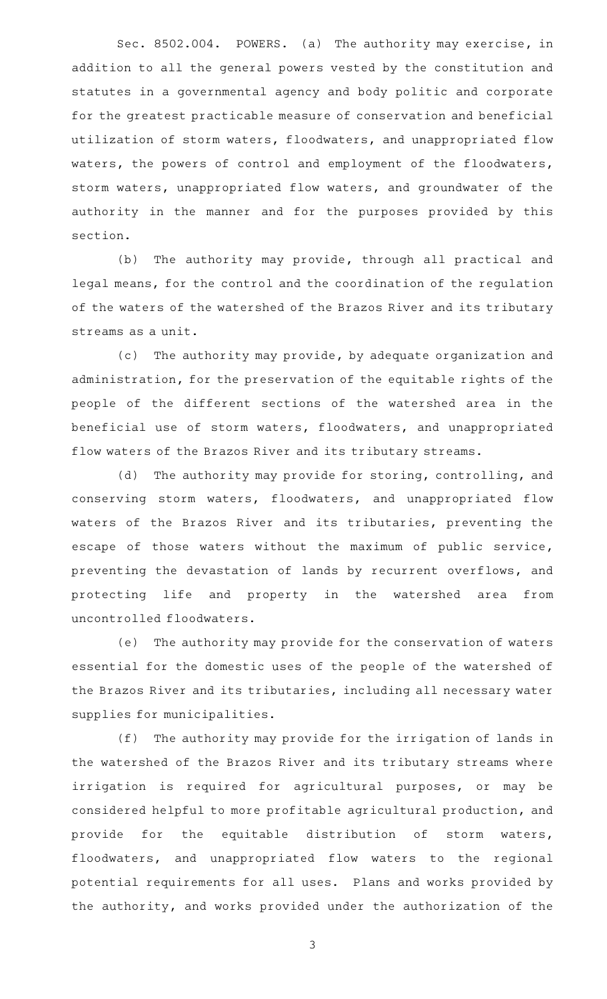Sec. 8502.004. POWERS. (a) The authority may exercise, in addition to all the general powers vested by the constitution and statutes in a governmental agency and body politic and corporate for the greatest practicable measure of conservation and beneficial utilization of storm waters, floodwaters, and unappropriated flow waters, the powers of control and employment of the floodwaters, storm waters, unappropriated flow waters, and groundwater of the authority in the manner and for the purposes provided by this section.

(b) The authority may provide, through all practical and legal means, for the control and the coordination of the regulation of the waters of the watershed of the Brazos River and its tributary streams as a unit.

(c) The authority may provide, by adequate organization and administration, for the preservation of the equitable rights of the people of the different sections of the watershed area in the beneficial use of storm waters, floodwaters, and unappropriated flow waters of the Brazos River and its tributary streams.

(d) The authority may provide for storing, controlling, and conserving storm waters, floodwaters, and unappropriated flow waters of the Brazos River and its tributaries, preventing the escape of those waters without the maximum of public service, preventing the devastation of lands by recurrent overflows, and protecting life and property in the watershed area from uncontrolled floodwaters.

(e) The authority may provide for the conservation of waters essential for the domestic uses of the people of the watershed of the Brazos River and its tributaries, including all necessary water supplies for municipalities.

(f) The authority may provide for the irrigation of lands in the watershed of the Brazos River and its tributary streams where irrigation is required for agricultural purposes, or may be considered helpful to more profitable agricultural production, and provide for the equitable distribution of storm waters, floodwaters, and unappropriated flow waters to the regional potential requirements for all uses. Plans and works provided by the authority, and works provided under the authorization of the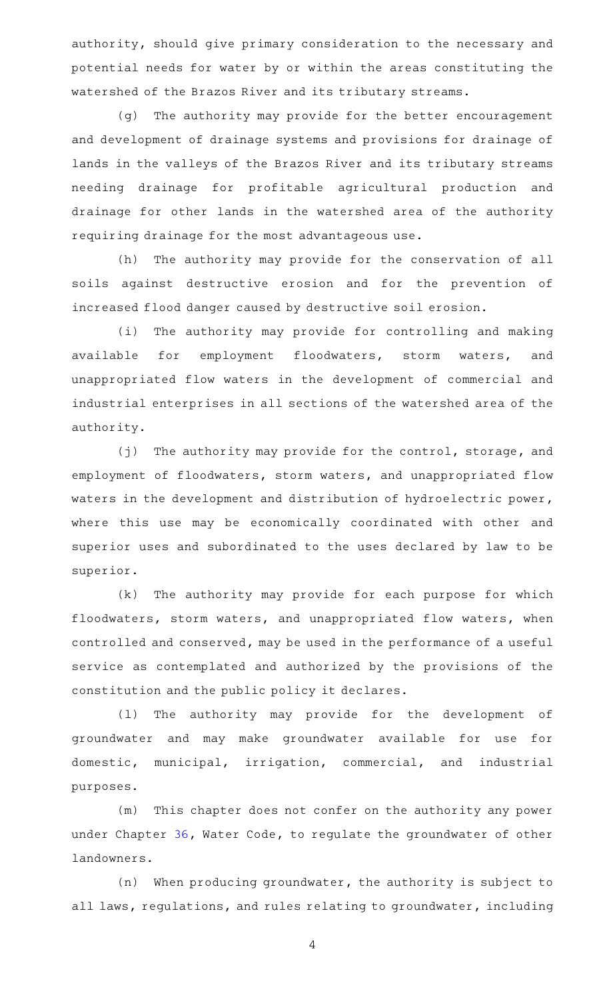authority, should give primary consideration to the necessary and potential needs for water by or within the areas constituting the watershed of the Brazos River and its tributary streams.

(g) The authority may provide for the better encouragement and development of drainage systems and provisions for drainage of lands in the valleys of the Brazos River and its tributary streams needing drainage for profitable agricultural production and drainage for other lands in the watershed area of the authority requiring drainage for the most advantageous use.

(h) The authority may provide for the conservation of all soils against destructive erosion and for the prevention of increased flood danger caused by destructive soil erosion.

(i) The authority may provide for controlling and making available for employment floodwaters, storm waters, and unappropriated flow waters in the development of commercial and industrial enterprises in all sections of the watershed area of the authority.

 $(j)$  The authority may provide for the control, storage, and employment of floodwaters, storm waters, and unappropriated flow waters in the development and distribution of hydroelectric power, where this use may be economically coordinated with other and superior uses and subordinated to the uses declared by law to be superior.

 $(k)$  The authority may provide for each purpose for which floodwaters, storm waters, and unappropriated flow waters, when controlled and conserved, may be used in the performance of a useful service as contemplated and authorized by the provisions of the constitution and the public policy it declares.

(1) The authority may provide for the development of groundwater and may make groundwater available for use for domestic, municipal, irrigation, commercial, and industrial purposes.

(m) This chapter does not confer on the authority any power under Chapter [36](http://www.statutes.legis.state.tx.us/GetStatute.aspx?Code=WA&Value=36), Water Code, to regulate the groundwater of other landowners.

 $(n)$  When producing groundwater, the authority is subject to all laws, regulations, and rules relating to groundwater, including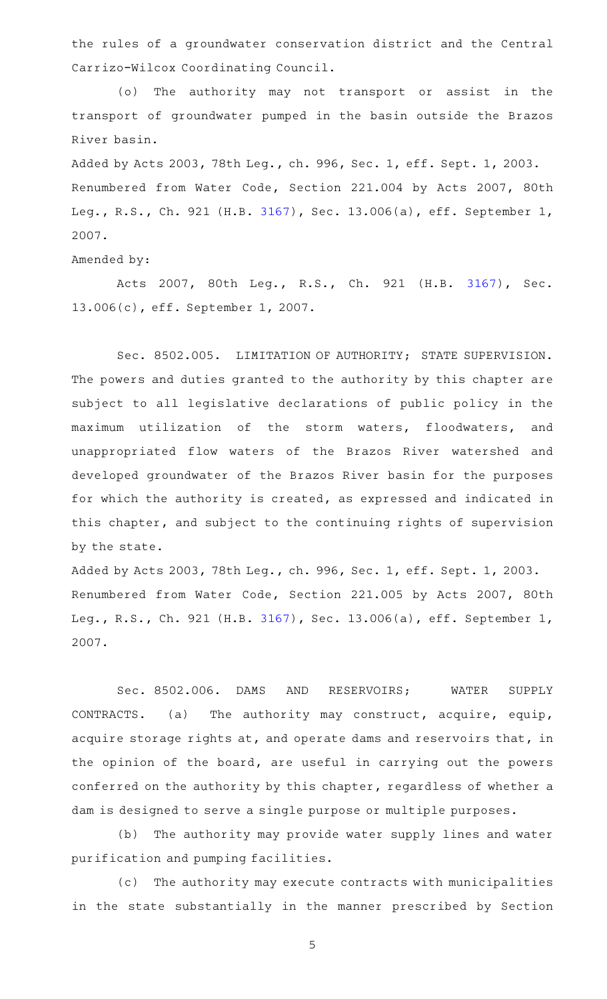the rules of a groundwater conservation district and the Central Carrizo-Wilcox Coordinating Council.

(o) The authority may not transport or assist in the transport of groundwater pumped in the basin outside the Brazos River basin.

Added by Acts 2003, 78th Leg., ch. 996, Sec. 1, eff. Sept. 1, 2003. Renumbered from Water Code, Section 221.004 by Acts 2007, 80th Leg., R.S., Ch. 921 (H.B. [3167](http://www.legis.state.tx.us/tlodocs/80R/billtext/html/HB03167F.HTM)), Sec. 13.006(a), eff. September 1, 2007.

Amended by:

Acts 2007, 80th Leg., R.S., Ch. 921 (H.B. [3167\)](http://www.legis.state.tx.us/tlodocs/80R/billtext/html/HB03167F.HTM), Sec. 13.006(c), eff. September 1, 2007.

Sec. 8502.005. LIMITATION OF AUTHORITY; STATE SUPERVISION. The powers and duties granted to the authority by this chapter are subject to all legislative declarations of public policy in the maximum utilization of the storm waters, floodwaters, and unappropriated flow waters of the Brazos River watershed and developed groundwater of the Brazos River basin for the purposes for which the authority is created, as expressed and indicated in this chapter, and subject to the continuing rights of supervision by the state.

Added by Acts 2003, 78th Leg., ch. 996, Sec. 1, eff. Sept. 1, 2003. Renumbered from Water Code, Section 221.005 by Acts 2007, 80th Leg., R.S., Ch. 921 (H.B. [3167](http://www.legis.state.tx.us/tlodocs/80R/billtext/html/HB03167F.HTM)), Sec. 13.006(a), eff. September 1, 2007.

Sec. 8502.006. DAMS AND RESERVOIRS; WATER SUPPLY CONTRACTS. (a) The authority may construct, acquire, equip, acquire storage rights at, and operate dams and reservoirs that, in the opinion of the board, are useful in carrying out the powers conferred on the authority by this chapter, regardless of whether a dam is designed to serve a single purpose or multiple purposes.

(b) The authority may provide water supply lines and water purification and pumping facilities.

(c) The authority may execute contracts with municipalities in the state substantially in the manner prescribed by Section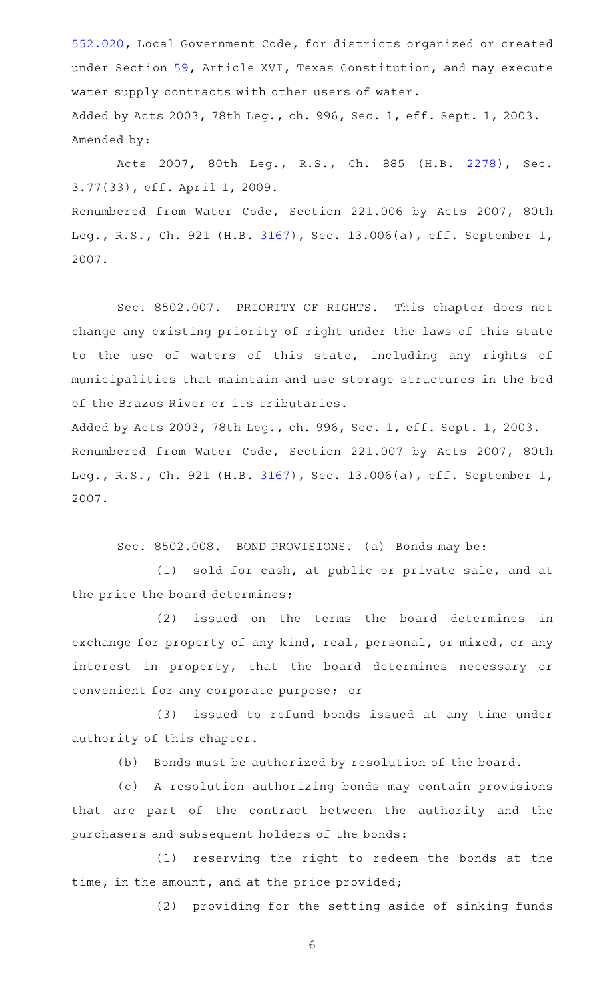[552.020,](http://www.statutes.legis.state.tx.us/GetStatute.aspx?Code=LG&Value=552.020) Local Government Code, for districts organized or created under Section [59](http://www.statutes.legis.state.tx.us/GetStatute.aspx?Code=CN&Value=16.59), Article XVI, Texas Constitution, and may execute water supply contracts with other users of water. Added by Acts 2003, 78th Leg., ch. 996, Sec. 1, eff. Sept. 1, 2003. Amended by:

Acts 2007, 80th Leg., R.S., Ch. 885 (H.B. [2278\)](http://www.legis.state.tx.us/tlodocs/80R/billtext/html/HB02278F.HTM), Sec. 3.77(33), eff. April 1, 2009.

Renumbered from Water Code, Section 221.006 by Acts 2007, 80th Leg., R.S., Ch. 921 (H.B. [3167](http://www.legis.state.tx.us/tlodocs/80R/billtext/html/HB03167F.HTM)), Sec. 13.006(a), eff. September 1, 2007.

Sec. 8502.007. PRIORITY OF RIGHTS. This chapter does not change any existing priority of right under the laws of this state to the use of waters of this state, including any rights of municipalities that maintain and use storage structures in the bed of the Brazos River or its tributaries.

Added by Acts 2003, 78th Leg., ch. 996, Sec. 1, eff. Sept. 1, 2003. Renumbered from Water Code, Section 221.007 by Acts 2007, 80th Leg., R.S., Ch. 921 (H.B. [3167](http://www.legis.state.tx.us/tlodocs/80R/billtext/html/HB03167F.HTM)), Sec. 13.006(a), eff. September 1, 2007.

Sec. 8502.008. BOND PROVISIONS. (a) Bonds may be:

(1) sold for cash, at public or private sale, and at the price the board determines;

(2) issued on the terms the board determines in exchange for property of any kind, real, personal, or mixed, or any interest in property, that the board determines necessary or convenient for any corporate purpose; or

(3) issued to refund bonds issued at any time under authority of this chapter.

(b) Bonds must be authorized by resolution of the board.

(c)AAA resolution authorizing bonds may contain provisions that are part of the contract between the authority and the purchasers and subsequent holders of the bonds:

(1) reserving the right to redeem the bonds at the time, in the amount, and at the price provided;

(2) providing for the setting aside of sinking funds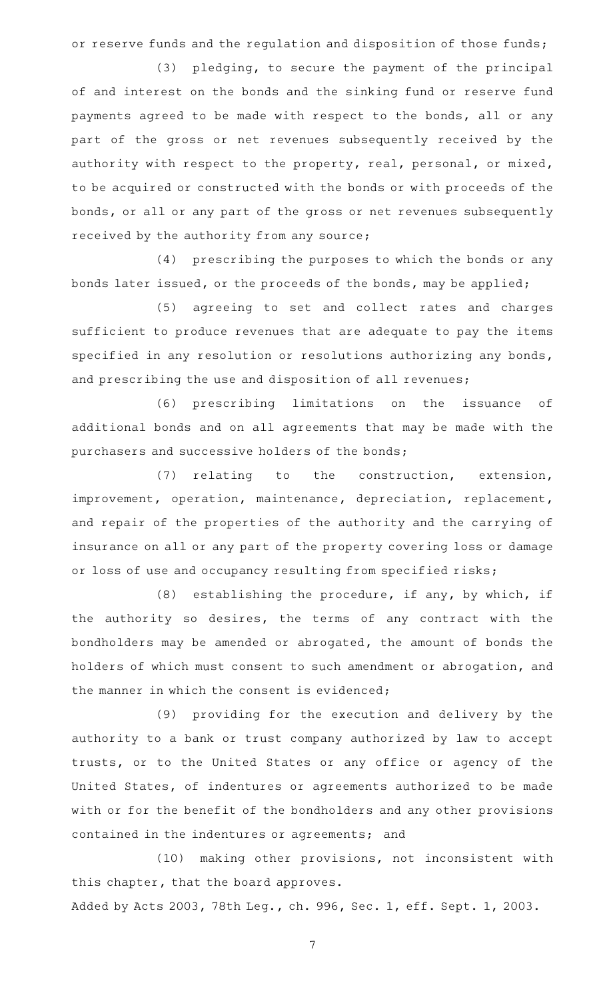or reserve funds and the regulation and disposition of those funds;

(3) pledging, to secure the payment of the principal of and interest on the bonds and the sinking fund or reserve fund payments agreed to be made with respect to the bonds, all or any part of the gross or net revenues subsequently received by the authority with respect to the property, real, personal, or mixed, to be acquired or constructed with the bonds or with proceeds of the bonds, or all or any part of the gross or net revenues subsequently received by the authority from any source;

(4) prescribing the purposes to which the bonds or any bonds later issued, or the proceeds of the bonds, may be applied;

(5) agreeing to set and collect rates and charges sufficient to produce revenues that are adequate to pay the items specified in any resolution or resolutions authorizing any bonds, and prescribing the use and disposition of all revenues;

(6) prescribing limitations on the issuance of additional bonds and on all agreements that may be made with the purchasers and successive holders of the bonds;

(7) relating to the construction, extension, improvement, operation, maintenance, depreciation, replacement, and repair of the properties of the authority and the carrying of insurance on all or any part of the property covering loss or damage or loss of use and occupancy resulting from specified risks;

(8) establishing the procedure, if any, by which, if the authority so desires, the terms of any contract with the bondholders may be amended or abrogated, the amount of bonds the holders of which must consent to such amendment or abrogation, and the manner in which the consent is evidenced;

(9) providing for the execution and delivery by the authority to a bank or trust company authorized by law to accept trusts, or to the United States or any office or agency of the United States, of indentures or agreements authorized to be made with or for the benefit of the bondholders and any other provisions contained in the indentures or agreements; and

(10) making other provisions, not inconsistent with this chapter, that the board approves.

Added by Acts 2003, 78th Leg., ch. 996, Sec. 1, eff. Sept. 1, 2003.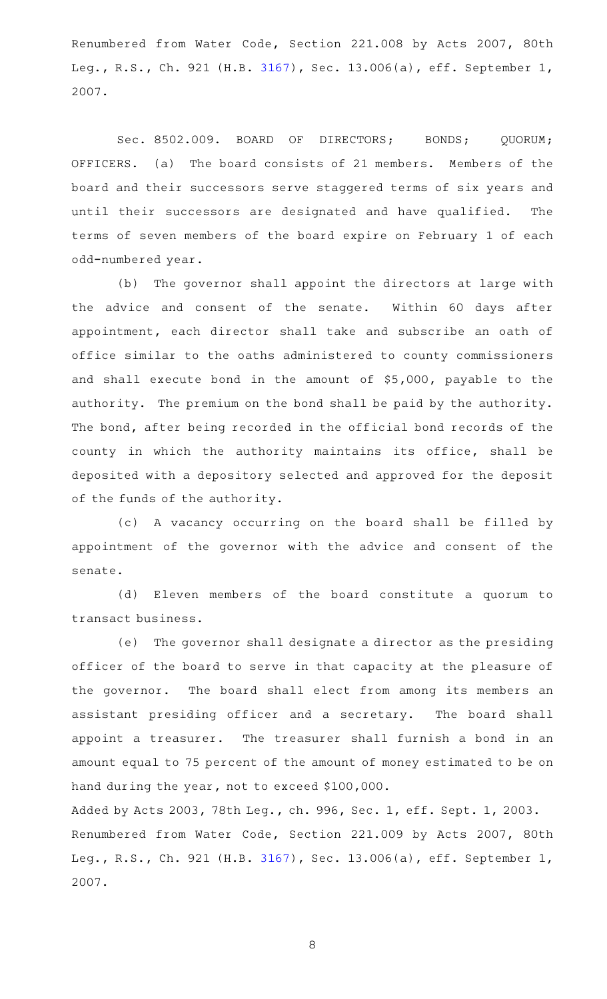Renumbered from Water Code, Section 221.008 by Acts 2007, 80th Leg., R.S., Ch. 921 (H.B. [3167](http://www.legis.state.tx.us/tlodocs/80R/billtext/html/HB03167F.HTM)), Sec. 13.006(a), eff. September 1, 2007.

Sec. 8502.009. BOARD OF DIRECTORS; BONDS; QUORUM; OFFICERS. (a) The board consists of 21 members. Members of the board and their successors serve staggered terms of six years and until their successors are designated and have qualified. The terms of seven members of the board expire on February 1 of each odd-numbered year.

(b) The governor shall appoint the directors at large with the advice and consent of the senate. Within 60 days after appointment, each director shall take and subscribe an oath of office similar to the oaths administered to county commissioners and shall execute bond in the amount of \$5,000, payable to the authority. The premium on the bond shall be paid by the authority. The bond, after being recorded in the official bond records of the county in which the authority maintains its office, shall be deposited with a depository selected and approved for the deposit of the funds of the authority.

(c)AAA vacancy occurring on the board shall be filled by appointment of the governor with the advice and consent of the senate.

(d) Eleven members of the board constitute a quorum to transact business.

(e) The governor shall designate a director as the presiding officer of the board to serve in that capacity at the pleasure of the governor. The board shall elect from among its members an assistant presiding officer and a secretary. The board shall appoint a treasurer. The treasurer shall furnish a bond in an amount equal to 75 percent of the amount of money estimated to be on hand during the year, not to exceed \$100,000.

Added by Acts 2003, 78th Leg., ch. 996, Sec. 1, eff. Sept. 1, 2003. Renumbered from Water Code, Section 221.009 by Acts 2007, 80th Leg., R.S., Ch. 921 (H.B. [3167](http://www.legis.state.tx.us/tlodocs/80R/billtext/html/HB03167F.HTM)), Sec. 13.006(a), eff. September 1, 2007.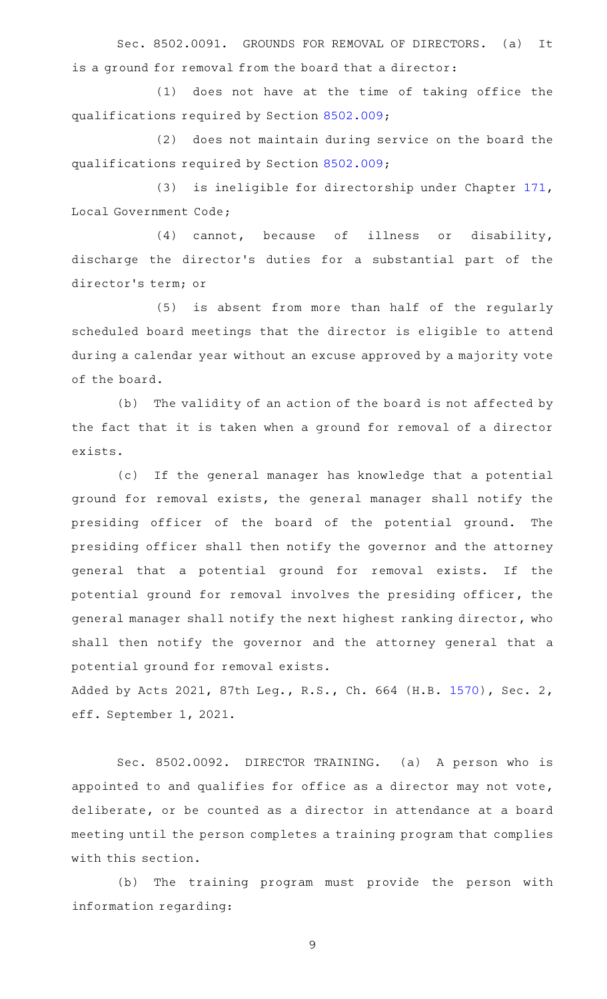Sec. 8502.0091. GROUNDS FOR REMOVAL OF DIRECTORS. (a) It is a ground for removal from the board that a director:

(1) does not have at the time of taking office the qualifications required by Section [8502.009;](http://www.statutes.legis.state.tx.us/GetStatute.aspx?Code=SD&Value=8502.009)

(2) does not maintain during service on the board the qualifications required by Section [8502.009;](http://www.statutes.legis.state.tx.us/GetStatute.aspx?Code=SD&Value=8502.009)

(3) is ineligible for directorship under Chapter [171](http://www.statutes.legis.state.tx.us/GetStatute.aspx?Code=LG&Value=171), Local Government Code;

(4) cannot, because of illness or disability, discharge the director 's duties for a substantial part of the director 's term; or

(5) is absent from more than half of the regularly scheduled board meetings that the director is eligible to attend during a calendar year without an excuse approved by a majority vote of the board.

(b) The validity of an action of the board is not affected by the fact that it is taken when a ground for removal of a director exists.

(c) If the general manager has knowledge that a potential ground for removal exists, the general manager shall notify the presiding officer of the board of the potential ground. The presiding officer shall then notify the governor and the attorney general that a potential ground for removal exists. If the potential ground for removal involves the presiding officer, the general manager shall notify the next highest ranking director, who shall then notify the governor and the attorney general that a potential ground for removal exists.

Added by Acts 2021, 87th Leg., R.S., Ch. 664 (H.B. [1570](http://www.legis.state.tx.us/tlodocs/87R/billtext/html/HB01570F.HTM)), Sec. 2, eff. September 1, 2021.

Sec. 8502.0092. DIRECTOR TRAINING. (a) A person who is appointed to and qualifies for office as a director may not vote, deliberate, or be counted as a director in attendance at a board meeting until the person completes a training program that complies with this section.

(b) The training program must provide the person with information regarding: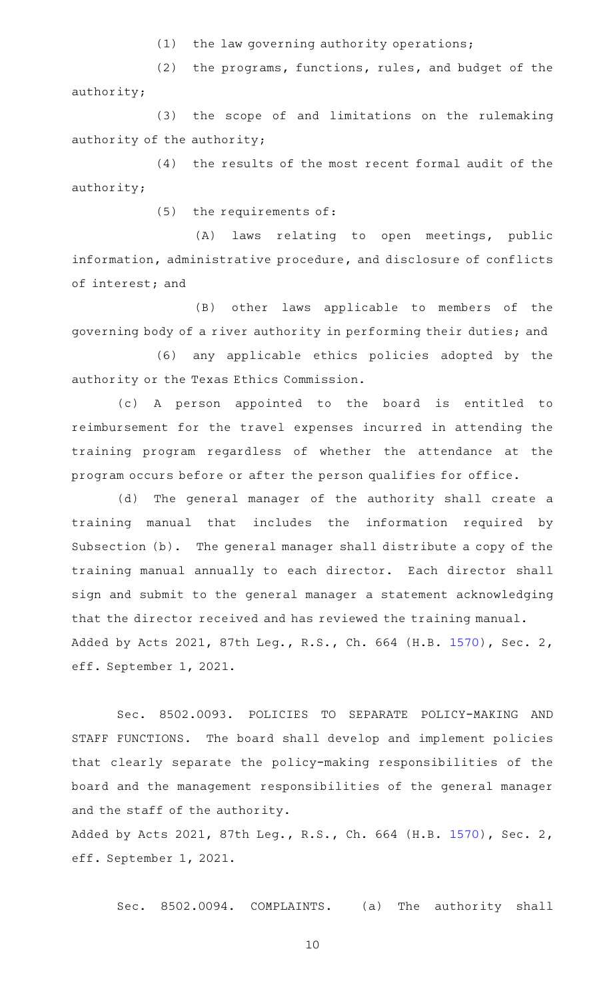$(1)$  the law governing authority operations;

(2) the programs, functions, rules, and budget of the authority;

(3) the scope of and limitations on the rulemaking authority of the authority;

 $(4)$  the results of the most recent formal audit of the authority;

(5) the requirements of:

(A) laws relating to open meetings, public information, administrative procedure, and disclosure of conflicts of interest; and

(B) other laws applicable to members of the governing body of a river authority in performing their duties; and

(6) any applicable ethics policies adopted by the authority or the Texas Ethics Commission.

(c)AAA person appointed to the board is entitled to reimbursement for the travel expenses incurred in attending the training program regardless of whether the attendance at the program occurs before or after the person qualifies for office.

(d) The general manager of the authority shall create a training manual that includes the information required by Subsection (b). The general manager shall distribute a copy of the training manual annually to each director. Each director shall sign and submit to the general manager a statement acknowledging that the director received and has reviewed the training manual. Added by Acts 2021, 87th Leg., R.S., Ch. 664 (H.B. [1570](http://www.legis.state.tx.us/tlodocs/87R/billtext/html/HB01570F.HTM)), Sec. 2, eff. September 1, 2021.

Sec. 8502.0093. POLICIES TO SEPARATE POLICY-MAKING AND STAFF FUNCTIONS. The board shall develop and implement policies that clearly separate the policy-making responsibilities of the board and the management responsibilities of the general manager and the staff of the authority.

Added by Acts 2021, 87th Leg., R.S., Ch. 664 (H.B. [1570](http://www.legis.state.tx.us/tlodocs/87R/billtext/html/HB01570F.HTM)), Sec. 2, eff. September 1, 2021.

Sec. 8502.0094. COMPLAINTS. (a) The authority shall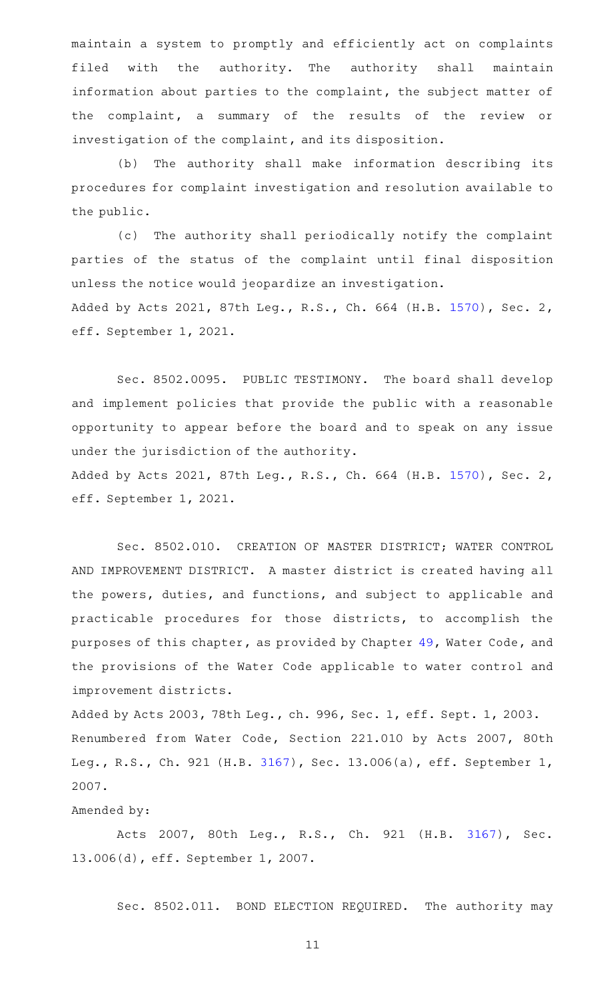maintain a system to promptly and efficiently act on complaints filed with the authority. The authority shall maintain information about parties to the complaint, the subject matter of the complaint, a summary of the results of the review or investigation of the complaint, and its disposition.

(b) The authority shall make information describing its procedures for complaint investigation and resolution available to the public.

(c) The authority shall periodically notify the complaint parties of the status of the complaint until final disposition unless the notice would jeopardize an investigation. Added by Acts 2021, 87th Leg., R.S., Ch. 664 (H.B. [1570](http://www.legis.state.tx.us/tlodocs/87R/billtext/html/HB01570F.HTM)), Sec. 2, eff. September 1, 2021.

Sec. 8502.0095. PUBLIC TESTIMONY. The board shall develop and implement policies that provide the public with a reasonable opportunity to appear before the board and to speak on any issue under the jurisdiction of the authority. Added by Acts 2021, 87th Leg., R.S., Ch. 664 (H.B. [1570](http://www.legis.state.tx.us/tlodocs/87R/billtext/html/HB01570F.HTM)), Sec. 2,

eff. September 1, 2021.

Sec. 8502.010. CREATION OF MASTER DISTRICT; WATER CONTROL AND IMPROVEMENT DISTRICT. A master district is created having all the powers, duties, and functions, and subject to applicable and practicable procedures for those districts, to accomplish the purposes of this chapter, as provided by Chapter [49](http://www.statutes.legis.state.tx.us/GetStatute.aspx?Code=WA&Value=49), Water Code, and the provisions of the Water Code applicable to water control and improvement districts.

Added by Acts 2003, 78th Leg., ch. 996, Sec. 1, eff. Sept. 1, 2003. Renumbered from Water Code, Section 221.010 by Acts 2007, 80th Leg., R.S., Ch. 921 (H.B. [3167](http://www.legis.state.tx.us/tlodocs/80R/billtext/html/HB03167F.HTM)), Sec. 13.006(a), eff. September 1, 2007.

#### Amended by:

Acts 2007, 80th Leg., R.S., Ch. 921 (H.B. [3167\)](http://www.legis.state.tx.us/tlodocs/80R/billtext/html/HB03167F.HTM), Sec. 13.006(d), eff. September 1, 2007.

Sec. 8502.011. BOND ELECTION REQUIRED. The authority may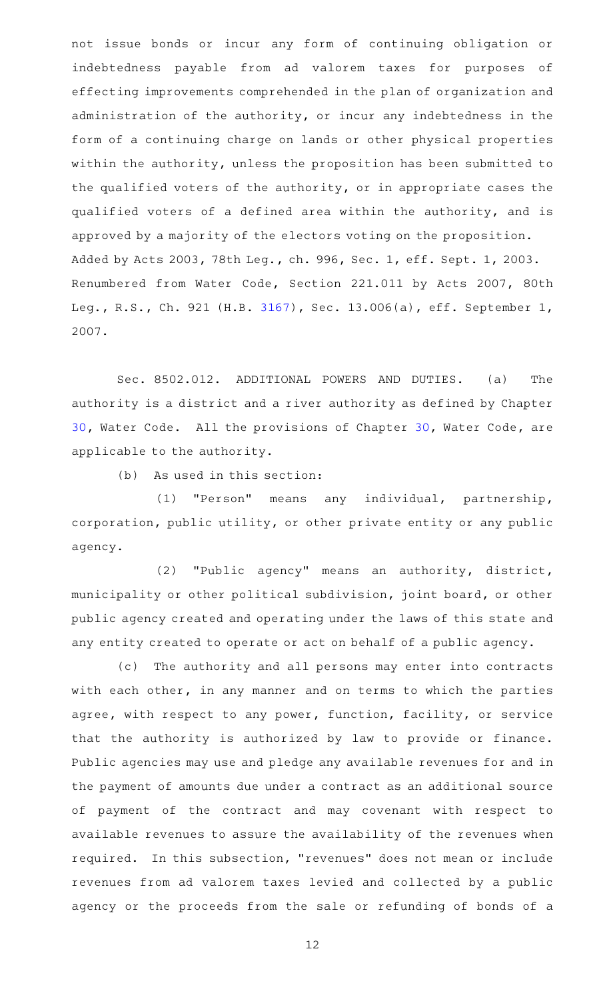not issue bonds or incur any form of continuing obligation or indebtedness payable from ad valorem taxes for purposes of effecting improvements comprehended in the plan of organization and administration of the authority, or incur any indebtedness in the form of a continuing charge on lands or other physical properties within the authority, unless the proposition has been submitted to the qualified voters of the authority, or in appropriate cases the qualified voters of a defined area within the authority, and is approved by a majority of the electors voting on the proposition. Added by Acts 2003, 78th Leg., ch. 996, Sec. 1, eff. Sept. 1, 2003. Renumbered from Water Code, Section 221.011 by Acts 2007, 80th Leg., R.S., Ch. 921 (H.B. [3167](http://www.legis.state.tx.us/tlodocs/80R/billtext/html/HB03167F.HTM)), Sec. 13.006(a), eff. September 1, 2007.

Sec. 8502.012. ADDITIONAL POWERS AND DUTIES. (a) The authority is a district and a river authority as defined by Chapter [30](http://www.statutes.legis.state.tx.us/GetStatute.aspx?Code=WA&Value=30), Water Code. All the provisions of Chapter 30, Water Code, are applicable to the authority.

 $(b)$  As used in this section:

(1) "Person" means any individual, partnership, corporation, public utility, or other private entity or any public agency.

(2) "Public agency" means an authority, district, municipality or other political subdivision, joint board, or other public agency created and operating under the laws of this state and any entity created to operate or act on behalf of a public agency.

(c) The authority and all persons may enter into contracts with each other, in any manner and on terms to which the parties agree, with respect to any power, function, facility, or service that the authority is authorized by law to provide or finance. Public agencies may use and pledge any available revenues for and in the payment of amounts due under a contract as an additional source of payment of the contract and may covenant with respect to available revenues to assure the availability of the revenues when required. In this subsection, "revenues" does not mean or include revenues from ad valorem taxes levied and collected by a public agency or the proceeds from the sale or refunding of bonds of a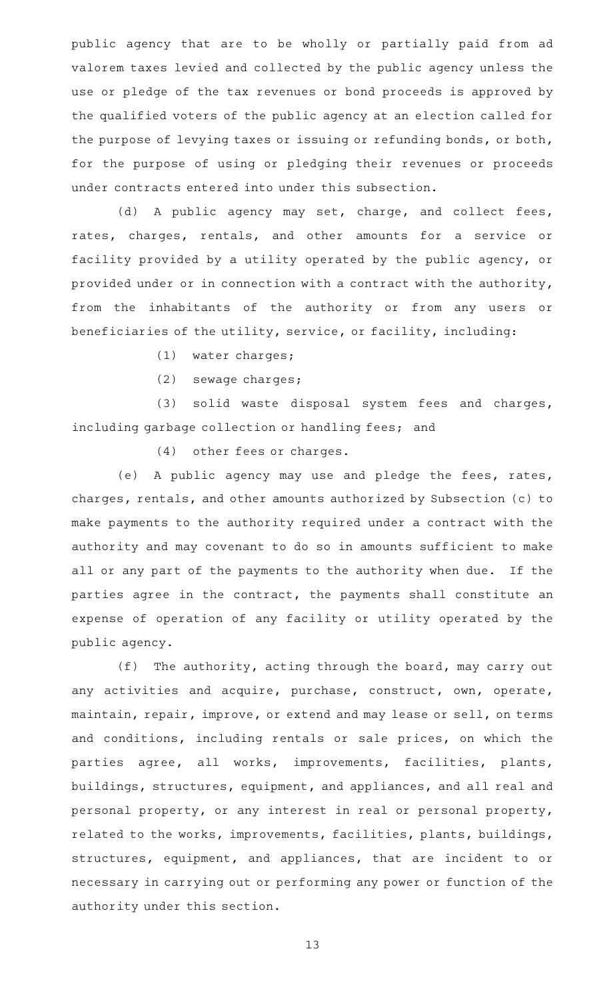public agency that are to be wholly or partially paid from ad valorem taxes levied and collected by the public agency unless the use or pledge of the tax revenues or bond proceeds is approved by the qualified voters of the public agency at an election called for the purpose of levying taxes or issuing or refunding bonds, or both, for the purpose of using or pledging their revenues or proceeds under contracts entered into under this subsection.

(d) A public agency may set, charge, and collect fees, rates, charges, rentals, and other amounts for a service or facility provided by a utility operated by the public agency, or provided under or in connection with a contract with the authority, from the inhabitants of the authority or from any users or beneficiaries of the utility, service, or facility, including:

(1) water charges;

(2) sewage charges;

 $(3)$  solid waste disposal system fees and charges, including garbage collection or handling fees; and

 $(4)$  other fees or charges.

(e) A public agency may use and pledge the fees, rates, charges, rentals, and other amounts authorized by Subsection (c) to make payments to the authority required under a contract with the authority and may covenant to do so in amounts sufficient to make all or any part of the payments to the authority when due. If the parties agree in the contract, the payments shall constitute an expense of operation of any facility or utility operated by the public agency.

(f) The authority, acting through the board, may carry out any activities and acquire, purchase, construct, own, operate, maintain, repair, improve, or extend and may lease or sell, on terms and conditions, including rentals or sale prices, on which the parties agree, all works, improvements, facilities, plants, buildings, structures, equipment, and appliances, and all real and personal property, or any interest in real or personal property, related to the works, improvements, facilities, plants, buildings, structures, equipment, and appliances, that are incident to or necessary in carrying out or performing any power or function of the authority under this section.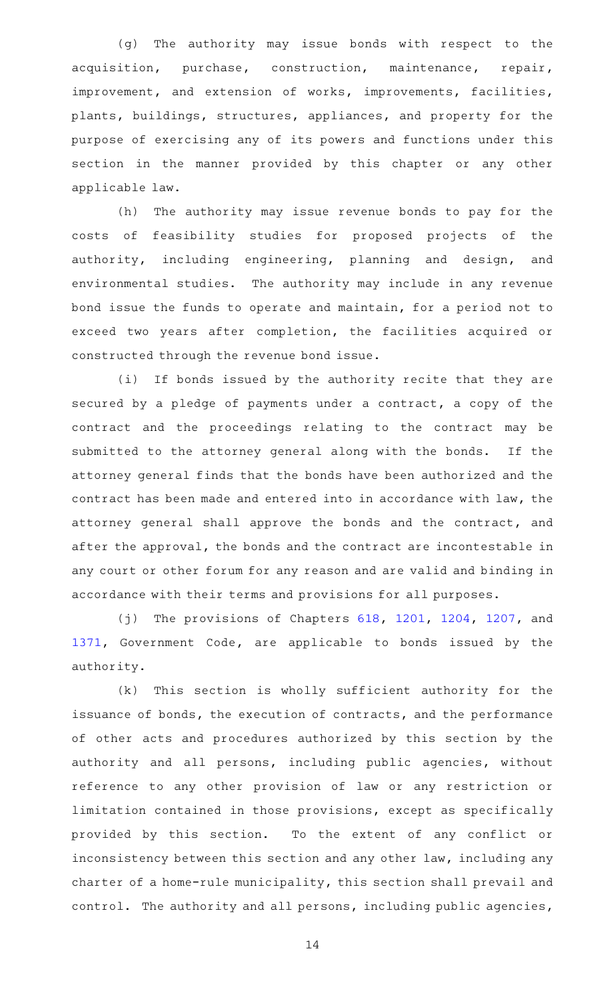(g) The authority may issue bonds with respect to the acquisition, purchase, construction, maintenance, repair, improvement, and extension of works, improvements, facilities, plants, buildings, structures, appliances, and property for the purpose of exercising any of its powers and functions under this section in the manner provided by this chapter or any other applicable law.

(h) The authority may issue revenue bonds to pay for the costs of feasibility studies for proposed projects of the authority, including engineering, planning and design, and environmental studies. The authority may include in any revenue bond issue the funds to operate and maintain, for a period not to exceed two years after completion, the facilities acquired or constructed through the revenue bond issue.

(i) If bonds issued by the authority recite that they are secured by a pledge of payments under a contract, a copy of the contract and the proceedings relating to the contract may be submitted to the attorney general along with the bonds. If the attorney general finds that the bonds have been authorized and the contract has been made and entered into in accordance with law, the attorney general shall approve the bonds and the contract, and after the approval, the bonds and the contract are incontestable in any court or other forum for any reason and are valid and binding in accordance with their terms and provisions for all purposes.

(j) The provisions of Chapters  $618$ ,  $1201$ ,  $1204$ ,  $1207$ , and [1371](http://www.statutes.legis.state.tx.us/GetStatute.aspx?Code=GV&Value=1371), Government Code, are applicable to bonds issued by the authority.

(k) This section is wholly sufficient authority for the issuance of bonds, the execution of contracts, and the performance of other acts and procedures authorized by this section by the authority and all persons, including public agencies, without reference to any other provision of law or any restriction or limitation contained in those provisions, except as specifically provided by this section. To the extent of any conflict or inconsistency between this section and any other law, including any charter of a home-rule municipality, this section shall prevail and control. The authority and all persons, including public agencies,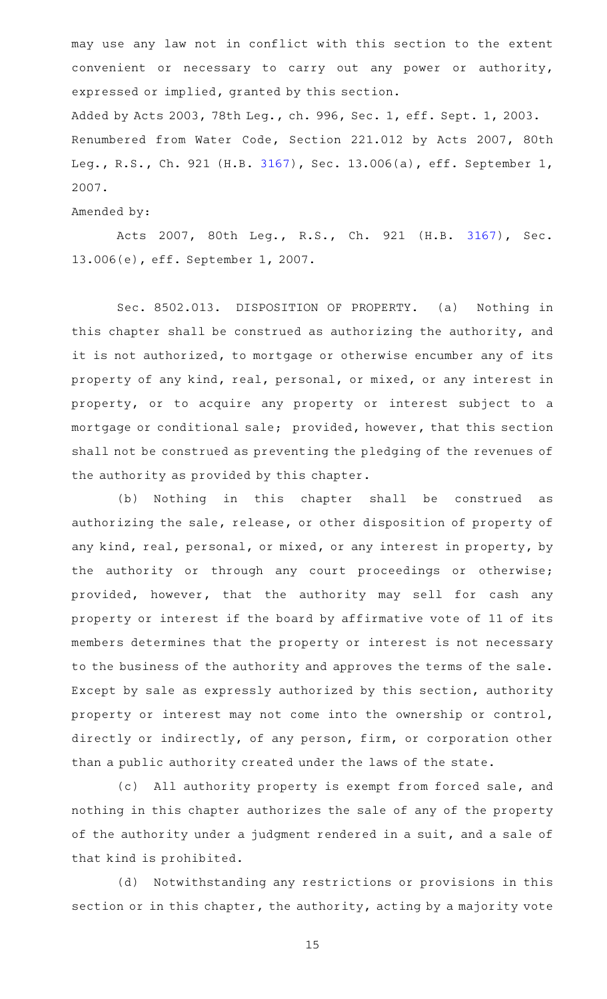may use any law not in conflict with this section to the extent convenient or necessary to carry out any power or authority, expressed or implied, granted by this section. Added by Acts 2003, 78th Leg., ch. 996, Sec. 1, eff. Sept. 1, 2003. Renumbered from Water Code, Section 221.012 by Acts 2007, 80th Leg., R.S., Ch. 921 (H.B. [3167](http://www.legis.state.tx.us/tlodocs/80R/billtext/html/HB03167F.HTM)), Sec. 13.006(a), eff. September 1, 2007.

Amended by:

Acts 2007, 80th Leg., R.S., Ch. 921 (H.B. [3167\)](http://www.legis.state.tx.us/tlodocs/80R/billtext/html/HB03167F.HTM), Sec. 13.006(e), eff. September 1, 2007.

Sec. 8502.013. DISPOSITION OF PROPERTY. (a) Nothing in this chapter shall be construed as authorizing the authority, and it is not authorized, to mortgage or otherwise encumber any of its property of any kind, real, personal, or mixed, or any interest in property, or to acquire any property or interest subject to a mortgage or conditional sale; provided, however, that this section shall not be construed as preventing the pledging of the revenues of the authority as provided by this chapter.

(b) Nothing in this chapter shall be construed as authorizing the sale, release, or other disposition of property of any kind, real, personal, or mixed, or any interest in property, by the authority or through any court proceedings or otherwise; provided, however, that the authority may sell for cash any property or interest if the board by affirmative vote of 11 of its members determines that the property or interest is not necessary to the business of the authority and approves the terms of the sale. Except by sale as expressly authorized by this section, authority property or interest may not come into the ownership or control, directly or indirectly, of any person, firm, or corporation other than a public authority created under the laws of the state.

(c) All authority property is exempt from forced sale, and nothing in this chapter authorizes the sale of any of the property of the authority under a judgment rendered in a suit, and a sale of that kind is prohibited.

(d) Notwithstanding any restrictions or provisions in this section or in this chapter, the authority, acting by a majority vote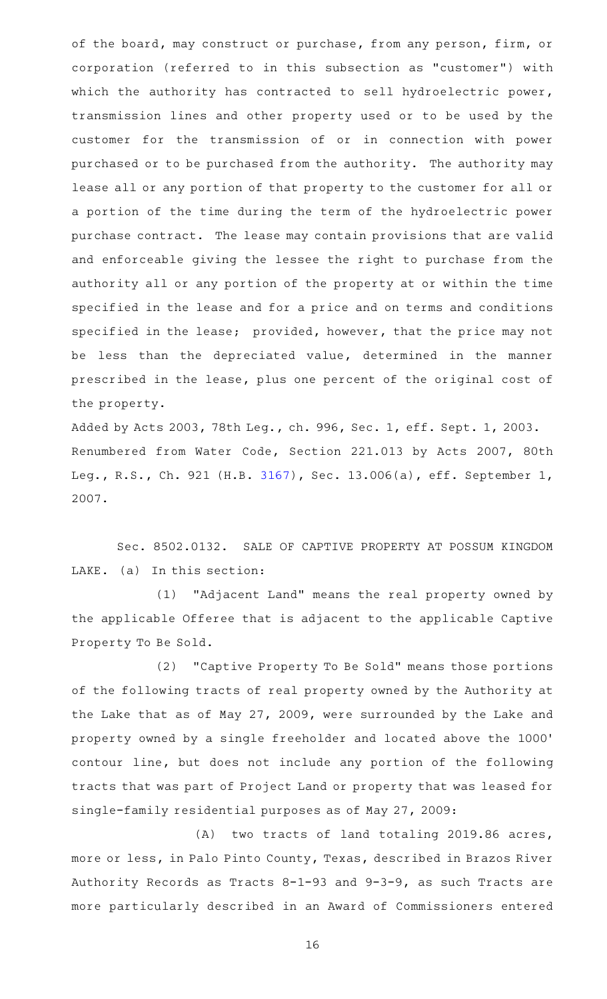of the board, may construct or purchase, from any person, firm, or corporation (referred to in this subsection as "customer") with which the authority has contracted to sell hydroelectric power, transmission lines and other property used or to be used by the customer for the transmission of or in connection with power purchased or to be purchased from the authority. The authority may lease all or any portion of that property to the customer for all or a portion of the time during the term of the hydroelectric power purchase contract. The lease may contain provisions that are valid and enforceable giving the lessee the right to purchase from the authority all or any portion of the property at or within the time specified in the lease and for a price and on terms and conditions specified in the lease; provided, however, that the price may not be less than the depreciated value, determined in the manner prescribed in the lease, plus one percent of the original cost of the property.

Added by Acts 2003, 78th Leg., ch. 996, Sec. 1, eff. Sept. 1, 2003. Renumbered from Water Code, Section 221.013 by Acts 2007, 80th Leg., R.S., Ch. 921 (H.B. [3167](http://www.legis.state.tx.us/tlodocs/80R/billtext/html/HB03167F.HTM)), Sec. 13.006(a), eff. September 1, 2007.

Sec. 8502.0132. SALE OF CAPTIVE PROPERTY AT POSSUM KINGDOM LAKE. (a) In this section:

(1) "Adjacent Land" means the real property owned by the applicable Offeree that is adjacent to the applicable Captive Property To Be Sold.

(2) "Captive Property To Be Sold" means those portions of the following tracts of real property owned by the Authority at the Lake that as of May 27, 2009, were surrounded by the Lake and property owned by a single freeholder and located above the 1000 ' contour line, but does not include any portion of the following tracts that was part of Project Land or property that was leased for single-family residential purposes as of May 27, 2009:

(A) two tracts of land totaling 2019.86 acres, more or less, in Palo Pinto County, Texas, described in Brazos River Authority Records as Tracts 8-1-93 and 9-3-9, as such Tracts are more particularly described in an Award of Commissioners entered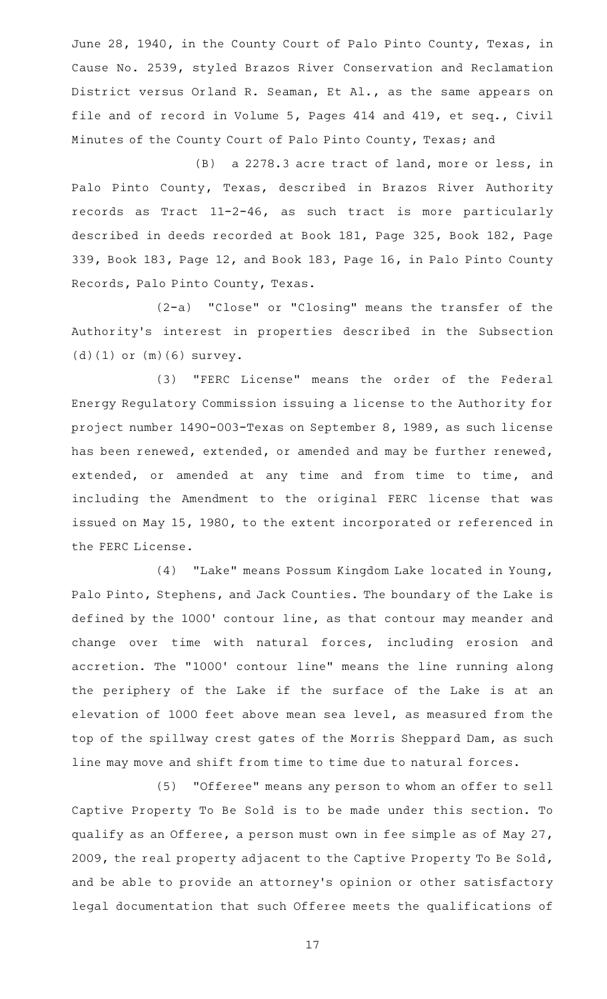June 28, 1940, in the County Court of Palo Pinto County, Texas, in Cause No. 2539, styled Brazos River Conservation and Reclamation District versus Orland R. Seaman, Et Al., as the same appears on file and of record in Volume 5, Pages 414 and 419, et seq., Civil Minutes of the County Court of Palo Pinto County, Texas; and

(B) a 2278.3 acre tract of land, more or less, in Palo Pinto County, Texas, described in Brazos River Authority records as Tract 11-2-46, as such tract is more particularly described in deeds recorded at Book 181, Page 325, Book 182, Page 339, Book 183, Page 12, and Book 183, Page 16, in Palo Pinto County Records, Palo Pinto County, Texas.

(2-a) "Close" or "Closing" means the transfer of the Authority's interest in properties described in the Subsection (d)(1) or (m)(6) survey.

(3) "FERC License" means the order of the Federal Energy Regulatory Commission issuing a license to the Authority for project number 1490-003-Texas on September 8, 1989, as such license has been renewed, extended, or amended and may be further renewed, extended, or amended at any time and from time to time, and including the Amendment to the original FERC license that was issued on May 15, 1980, to the extent incorporated or referenced in the FERC License.

(4) "Lake" means Possum Kingdom Lake located in Young, Palo Pinto, Stephens, and Jack Counties. The boundary of the Lake is defined by the 1000' contour line, as that contour may meander and change over time with natural forces, including erosion and accretion. The "1000' contour line" means the line running along the periphery of the Lake if the surface of the Lake is at an elevation of 1000 feet above mean sea level, as measured from the top of the spillway crest gates of the Morris Sheppard Dam, as such line may move and shift from time to time due to natural forces.

(5) "Offeree" means any person to whom an offer to sell Captive Property To Be Sold is to be made under this section. To qualify as an Offeree, a person must own in fee simple as of May 27, 2009, the real property adjacent to the Captive Property To Be Sold, and be able to provide an attorney 's opinion or other satisfactory legal documentation that such Offeree meets the qualifications of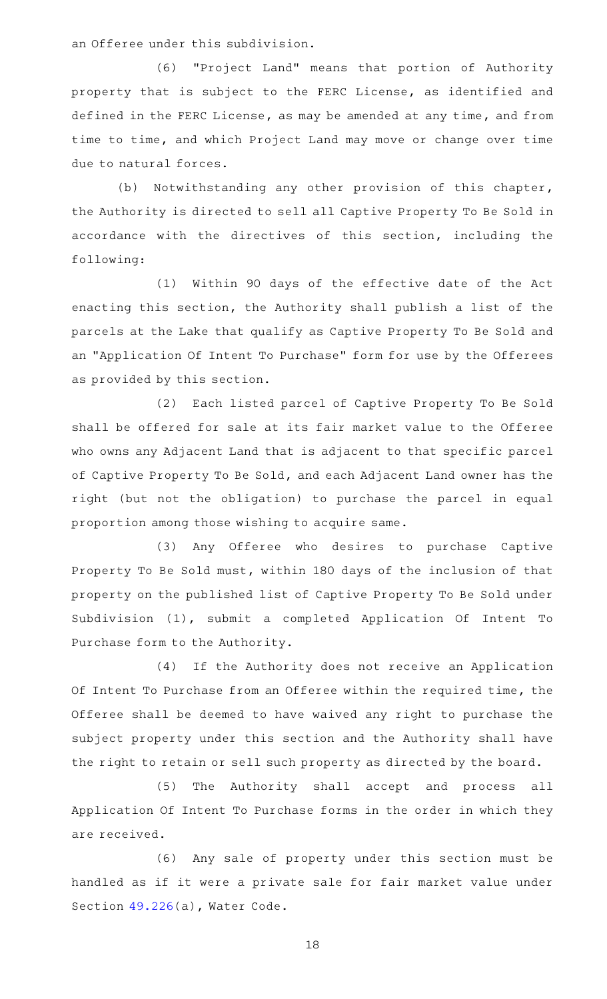an Offeree under this subdivision.

(6) "Project Land" means that portion of Authority property that is subject to the FERC License, as identified and defined in the FERC License, as may be amended at any time, and from time to time, and which Project Land may move or change over time due to natural forces.

(b) Notwithstanding any other provision of this chapter, the Authority is directed to sell all Captive Property To Be Sold in accordance with the directives of this section, including the following:

(1) Within 90 days of the effective date of the Act enacting this section, the Authority shall publish a list of the parcels at the Lake that qualify as Captive Property To Be Sold and an "Application Of Intent To Purchase" form for use by the Offerees as provided by this section.

(2) Each listed parcel of Captive Property To Be Sold shall be offered for sale at its fair market value to the Offeree who owns any Adjacent Land that is adjacent to that specific parcel of Captive Property To Be Sold, and each Adjacent Land owner has the right (but not the obligation) to purchase the parcel in equal proportion among those wishing to acquire same.

(3) Any Offeree who desires to purchase Captive Property To Be Sold must, within 180 days of the inclusion of that property on the published list of Captive Property To Be Sold under Subdivision (1), submit a completed Application Of Intent To Purchase form to the Authority.

(4) If the Authority does not receive an Application Of Intent To Purchase from an Offeree within the required time, the Offeree shall be deemed to have waived any right to purchase the subject property under this section and the Authority shall have the right to retain or sell such property as directed by the board.

(5) The Authority shall accept and process all Application Of Intent To Purchase forms in the order in which they are received.

(6) Any sale of property under this section must be handled as if it were a private sale for fair market value under Section [49.226](http://www.statutes.legis.state.tx.us/GetStatute.aspx?Code=WA&Value=49.226)(a), Water Code.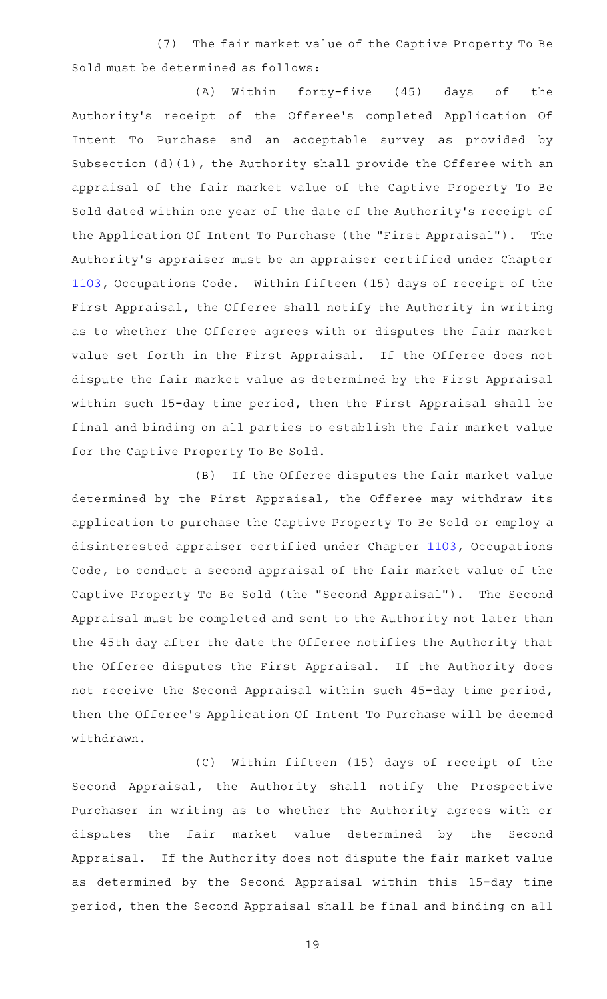(7) The fair market value of the Captive Property To Be Sold must be determined as follows:

(A) Within forty-five (45) days of the Authority's receipt of the Offeree's completed Application Of Intent To Purchase and an acceptable survey as provided by Subsection (d)(1), the Authority shall provide the Offeree with an appraisal of the fair market value of the Captive Property To Be Sold dated within one year of the date of the Authority 's receipt of the Application Of Intent To Purchase (the "First Appraisal"). The Authority 's appraiser must be an appraiser certified under Chapter [1103](http://www.statutes.legis.state.tx.us/GetStatute.aspx?Code=OC&Value=1103), Occupations Code. Within fifteen (15) days of receipt of the First Appraisal, the Offeree shall notify the Authority in writing as to whether the Offeree agrees with or disputes the fair market value set forth in the First Appraisal. If the Offeree does not dispute the fair market value as determined by the First Appraisal within such 15-day time period, then the First Appraisal shall be final and binding on all parties to establish the fair market value for the Captive Property To Be Sold.

(B) If the Offeree disputes the fair market value determined by the First Appraisal, the Offeree may withdraw its application to purchase the Captive Property To Be Sold or employ a disinterested appraiser certified under Chapter [1103,](http://www.statutes.legis.state.tx.us/GetStatute.aspx?Code=OC&Value=1103) Occupations Code, to conduct a second appraisal of the fair market value of the Captive Property To Be Sold (the "Second Appraisal"). The Second Appraisal must be completed and sent to the Authority not later than the 45th day after the date the Offeree notifies the Authority that the Offeree disputes the First Appraisal. If the Authority does not receive the Second Appraisal within such 45-day time period, then the Offeree 's Application Of Intent To Purchase will be deemed withdrawn.

(C) Within fifteen (15) days of receipt of the Second Appraisal, the Authority shall notify the Prospective Purchaser in writing as to whether the Authority agrees with or disputes the fair market value determined by the Second Appraisal. If the Authority does not dispute the fair market value as determined by the Second Appraisal within this 15-day time period, then the Second Appraisal shall be final and binding on all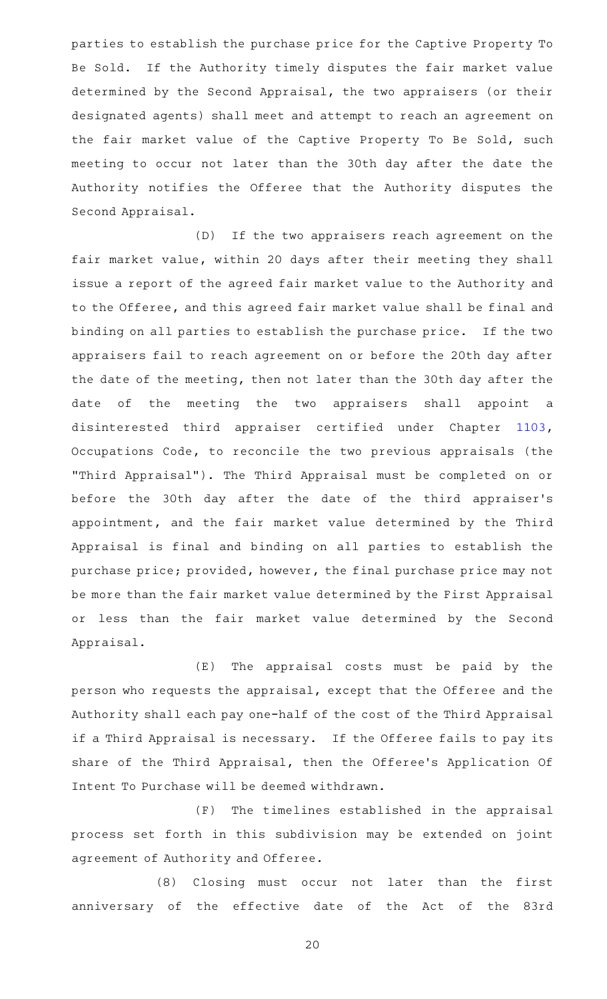parties to establish the purchase price for the Captive Property To Be Sold. If the Authority timely disputes the fair market value determined by the Second Appraisal, the two appraisers (or their designated agents) shall meet and attempt to reach an agreement on the fair market value of the Captive Property To Be Sold, such meeting to occur not later than the 30th day after the date the Authority notifies the Offeree that the Authority disputes the Second Appraisal.

(D) If the two appraisers reach agreement on the fair market value, within 20 days after their meeting they shall issue a report of the agreed fair market value to the Authority and to the Offeree, and this agreed fair market value shall be final and binding on all parties to establish the purchase price. If the two appraisers fail to reach agreement on or before the 20th day after the date of the meeting, then not later than the 30th day after the date of the meeting the two appraisers shall appoint a disinterested third appraiser certified under Chapter [1103](http://www.statutes.legis.state.tx.us/GetStatute.aspx?Code=OC&Value=1103), Occupations Code, to reconcile the two previous appraisals (the "Third Appraisal"). The Third Appraisal must be completed on or before the 30th day after the date of the third appraiser 's appointment, and the fair market value determined by the Third Appraisal is final and binding on all parties to establish the purchase price; provided, however, the final purchase price may not be more than the fair market value determined by the First Appraisal or less than the fair market value determined by the Second Appraisal.

 $(E)$  The appraisal costs must be paid by the person who requests the appraisal, except that the Offeree and the Authority shall each pay one-half of the cost of the Third Appraisal if a Third Appraisal is necessary. If the Offeree fails to pay its share of the Third Appraisal, then the Offeree 's Application Of Intent To Purchase will be deemed withdrawn.

(F) The timelines established in the appraisal process set forth in this subdivision may be extended on joint agreement of Authority and Offeree.

(8) Closing must occur not later than the first anniversary of the effective date of the Act of the 83rd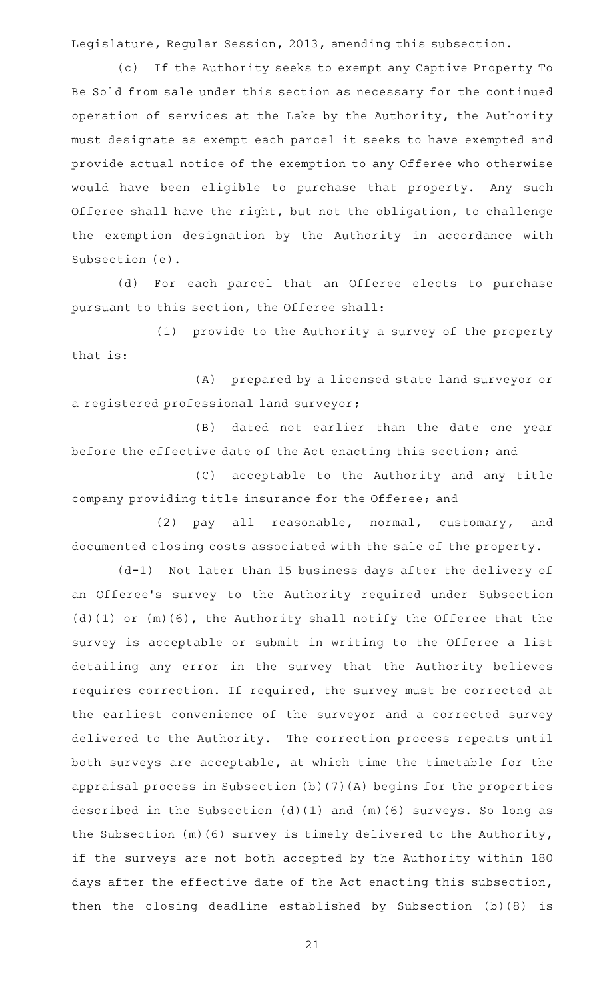Legislature, Regular Session, 2013, amending this subsection.

(c) If the Authority seeks to exempt any Captive Property To Be Sold from sale under this section as necessary for the continued operation of services at the Lake by the Authority, the Authority must designate as exempt each parcel it seeks to have exempted and provide actual notice of the exemption to any Offeree who otherwise would have been eligible to purchase that property. Any such Offeree shall have the right, but not the obligation, to challenge the exemption designation by the Authority in accordance with Subsection (e).

(d) For each parcel that an Offeree elects to purchase pursuant to this section, the Offeree shall:

(1) provide to the Authority a survey of the property that is:

(A) prepared by a licensed state land surveyor or a registered professional land surveyor;

(B) dated not earlier than the date one year before the effective date of the Act enacting this section; and

(C) acceptable to the Authority and any title company providing title insurance for the Offeree; and

(2) pay all reasonable, normal, customary, and documented closing costs associated with the sale of the property.

(d-1) Not later than 15 business days after the delivery of an Offeree 's survey to the Authority required under Subsection (d)(1) or (m)(6), the Authority shall notify the Offeree that the survey is acceptable or submit in writing to the Offeree a list detailing any error in the survey that the Authority believes requires correction. If required, the survey must be corrected at the earliest convenience of the surveyor and a corrected survey delivered to the Authority. The correction process repeats until both surveys are acceptable, at which time the timetable for the appraisal process in Subsection (b)(7)(A) begins for the properties described in the Subsection (d)(1) and (m)(6) surveys. So long as the Subsection (m)(6) survey is timely delivered to the Authority, if the surveys are not both accepted by the Authority within 180 days after the effective date of the Act enacting this subsection, then the closing deadline established by Subsection (b)(8) is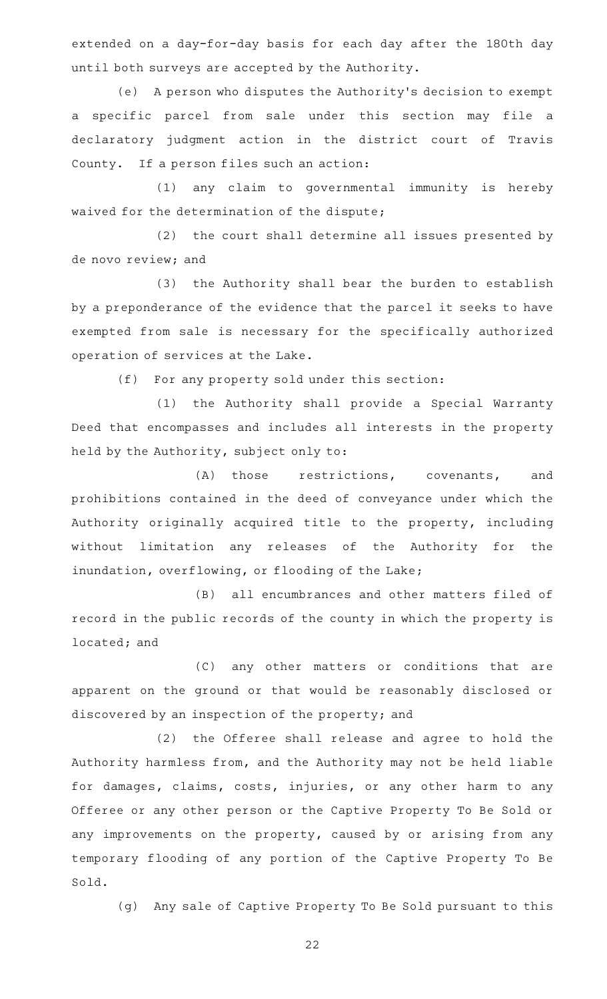extended on a day-for-day basis for each day after the 180th day until both surveys are accepted by the Authority.

(e) A person who disputes the Authority's decision to exempt a specific parcel from sale under this section may file a declaratory judgment action in the district court of Travis County. If a person files such an action:

(1) any claim to governmental immunity is hereby waived for the determination of the dispute;

 $(2)$  the court shall determine all issues presented by de novo review; and

(3) the Authority shall bear the burden to establish by a preponderance of the evidence that the parcel it seeks to have exempted from sale is necessary for the specifically authorized operation of services at the Lake.

(f) For any property sold under this section:

(1) the Authority shall provide a Special Warranty Deed that encompasses and includes all interests in the property held by the Authority, subject only to:

(A) those restrictions, covenants, and prohibitions contained in the deed of conveyance under which the Authority originally acquired title to the property, including without limitation any releases of the Authority for the inundation, overflowing, or flooding of the Lake;

(B) all encumbrances and other matters filed of record in the public records of the county in which the property is located; and

(C) any other matters or conditions that are apparent on the ground or that would be reasonably disclosed or discovered by an inspection of the property; and

(2) the Offeree shall release and agree to hold the Authority harmless from, and the Authority may not be held liable for damages, claims, costs, injuries, or any other harm to any Offeree or any other person or the Captive Property To Be Sold or any improvements on the property, caused by or arising from any temporary flooding of any portion of the Captive Property To Be Sold.

(g) Any sale of Captive Property To Be Sold pursuant to this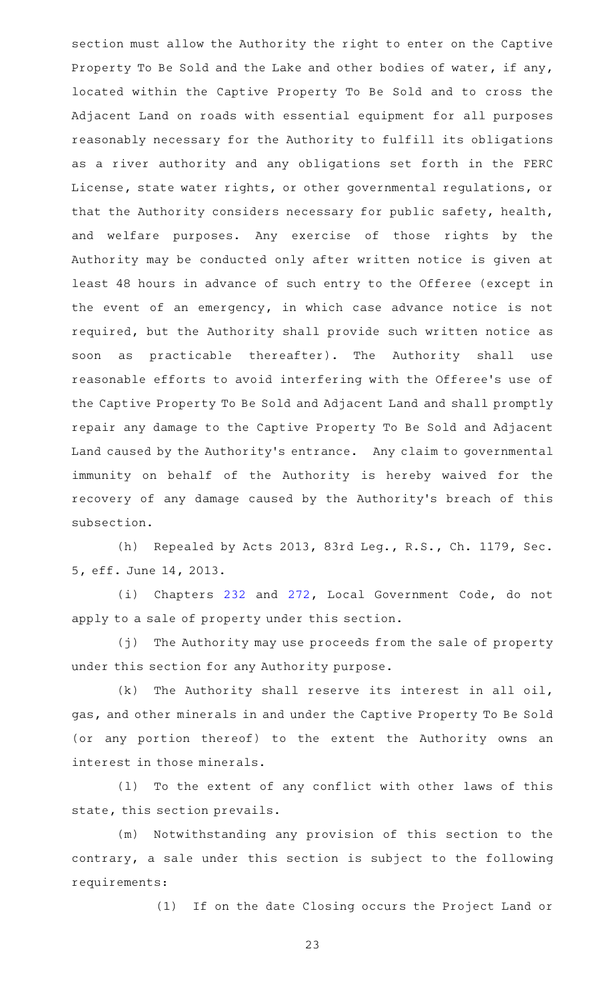section must allow the Authority the right to enter on the Captive Property To Be Sold and the Lake and other bodies of water, if any, located within the Captive Property To Be Sold and to cross the Adjacent Land on roads with essential equipment for all purposes reasonably necessary for the Authority to fulfill its obligations as a river authority and any obligations set forth in the FERC License, state water rights, or other governmental regulations, or that the Authority considers necessary for public safety, health, and welfare purposes. Any exercise of those rights by the Authority may be conducted only after written notice is given at least 48 hours in advance of such entry to the Offeree (except in the event of an emergency, in which case advance notice is not required, but the Authority shall provide such written notice as soon as practicable thereafter). The Authority shall use reasonable efforts to avoid interfering with the Offeree 's use of the Captive Property To Be Sold and Adjacent Land and shall promptly repair any damage to the Captive Property To Be Sold and Adjacent Land caused by the Authority's entrance. Any claim to governmental immunity on behalf of the Authority is hereby waived for the recovery of any damage caused by the Authority's breach of this subsection.

(h) Repealed by Acts 2013, 83rd Leg., R.S., Ch. 1179, Sec. 5, eff. June 14, 2013.

(i) Chapters [232](http://www.statutes.legis.state.tx.us/GetStatute.aspx?Code=LG&Value=232) and [272,](http://www.statutes.legis.state.tx.us/GetStatute.aspx?Code=LG&Value=272) Local Government Code, do not apply to a sale of property under this section.

(j) The Authority may use proceeds from the sale of property under this section for any Authority purpose.

 $(k)$  The Authority shall reserve its interest in all oil, gas, and other minerals in and under the Captive Property To Be Sold (or any portion thereof) to the extent the Authority owns an interest in those minerals.

(1) To the extent of any conflict with other laws of this state, this section prevails.

(m) Notwithstanding any provision of this section to the contrary, a sale under this section is subject to the following requirements:

(1) If on the date Closing occurs the Project Land or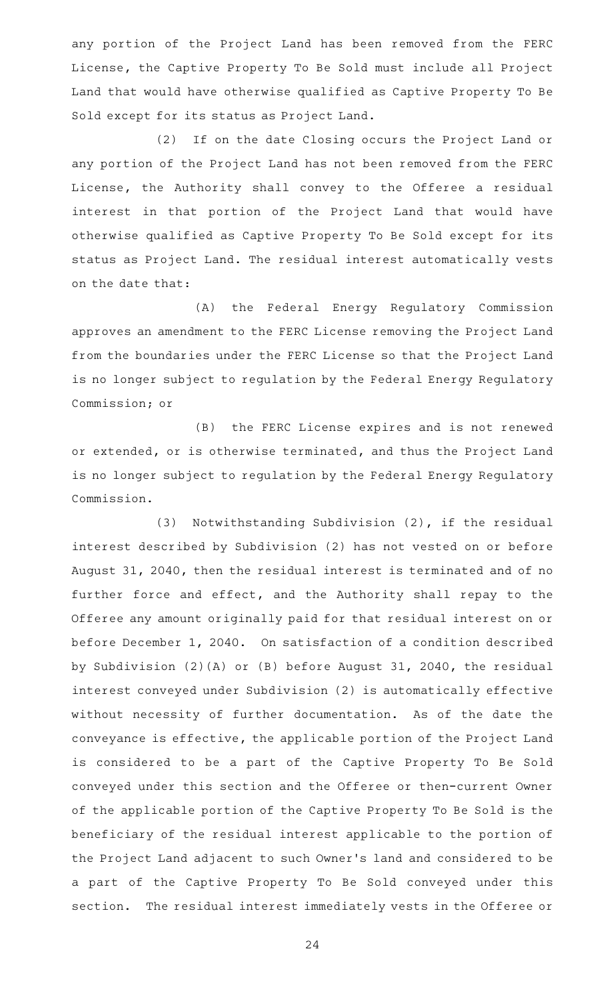any portion of the Project Land has been removed from the FERC License, the Captive Property To Be Sold must include all Project Land that would have otherwise qualified as Captive Property To Be Sold except for its status as Project Land.

(2) If on the date Closing occurs the Project Land or any portion of the Project Land has not been removed from the FERC License, the Authority shall convey to the Offeree a residual interest in that portion of the Project Land that would have otherwise qualified as Captive Property To Be Sold except for its status as Project Land. The residual interest automatically vests on the date that:

(A) the Federal Energy Regulatory Commission approves an amendment to the FERC License removing the Project Land from the boundaries under the FERC License so that the Project Land is no longer subject to regulation by the Federal Energy Regulatory Commission; or

(B) the FERC License expires and is not renewed or extended, or is otherwise terminated, and thus the Project Land is no longer subject to regulation by the Federal Energy Regulatory Commission.

(3) Notwithstanding Subdivision (2), if the residual interest described by Subdivision (2) has not vested on or before August 31, 2040, then the residual interest is terminated and of no further force and effect, and the Authority shall repay to the Offeree any amount originally paid for that residual interest on or before December 1, 2040. On satisfaction of a condition described by Subdivision (2)(A) or (B) before August 31, 2040, the residual interest conveyed under Subdivision (2) is automatically effective without necessity of further documentation. As of the date the conveyance is effective, the applicable portion of the Project Land is considered to be a part of the Captive Property To Be Sold conveyed under this section and the Offeree or then-current Owner of the applicable portion of the Captive Property To Be Sold is the beneficiary of the residual interest applicable to the portion of the Project Land adjacent to such Owner 's land and considered to be a part of the Captive Property To Be Sold conveyed under this section. The residual interest immediately vests in the Offeree or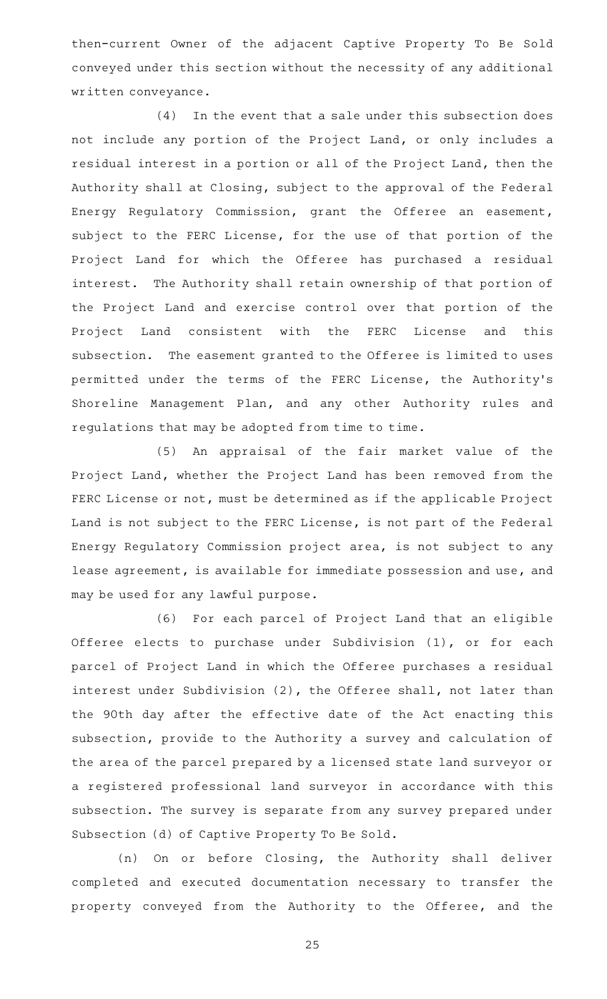then-current Owner of the adjacent Captive Property To Be Sold conveyed under this section without the necessity of any additional written conveyance.

 $(4)$  In the event that a sale under this subsection does not include any portion of the Project Land, or only includes a residual interest in a portion or all of the Project Land, then the Authority shall at Closing, subject to the approval of the Federal Energy Regulatory Commission, grant the Offeree an easement, subject to the FERC License, for the use of that portion of the Project Land for which the Offeree has purchased a residual interest. The Authority shall retain ownership of that portion of the Project Land and exercise control over that portion of the Project Land consistent with the FERC License and this subsection. The easement granted to the Offeree is limited to uses permitted under the terms of the FERC License, the Authority 's Shoreline Management Plan, and any other Authority rules and regulations that may be adopted from time to time.

(5) An appraisal of the fair market value of the Project Land, whether the Project Land has been removed from the FERC License or not, must be determined as if the applicable Project Land is not subject to the FERC License, is not part of the Federal Energy Regulatory Commission project area, is not subject to any lease agreement, is available for immediate possession and use, and may be used for any lawful purpose.

(6) For each parcel of Project Land that an eligible Offeree elects to purchase under Subdivision (1), or for each parcel of Project Land in which the Offeree purchases a residual interest under Subdivision (2), the Offeree shall, not later than the 90th day after the effective date of the Act enacting this subsection, provide to the Authority a survey and calculation of the area of the parcel prepared by a licensed state land surveyor or a registered professional land surveyor in accordance with this subsection. The survey is separate from any survey prepared under Subsection (d) of Captive Property To Be Sold.

(n) On or before Closing, the Authority shall deliver completed and executed documentation necessary to transfer the property conveyed from the Authority to the Offeree, and the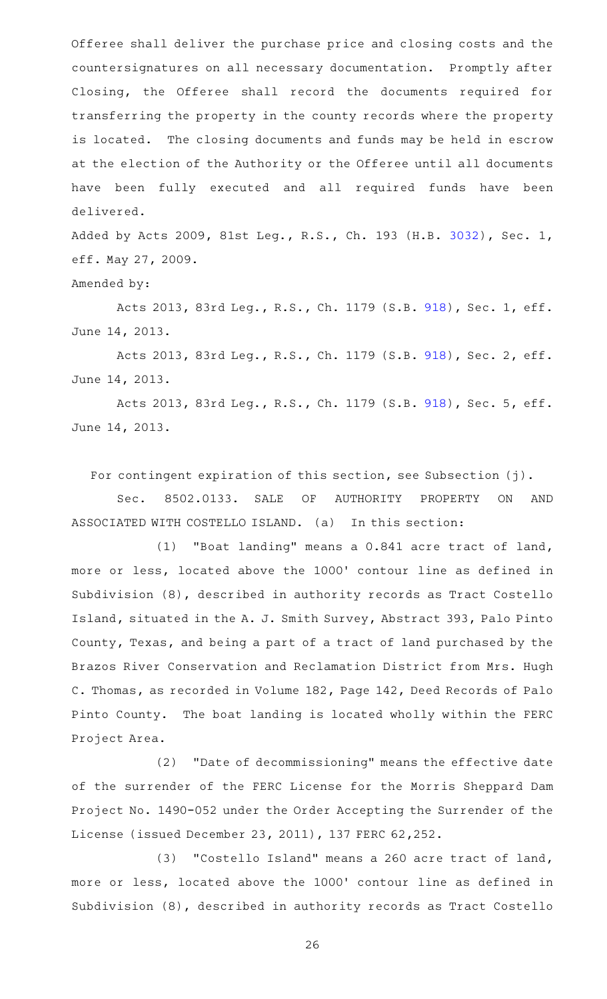Offeree shall deliver the purchase price and closing costs and the countersignatures on all necessary documentation. Promptly after Closing, the Offeree shall record the documents required for transferring the property in the county records where the property is located. The closing documents and funds may be held in escrow at the election of the Authority or the Offeree until all documents have been fully executed and all required funds have been delivered.

Added by Acts 2009, 81st Leg., R.S., Ch. 193 (H.B. [3032](http://www.legis.state.tx.us/tlodocs/81R/billtext/html/HB03032F.HTM)), Sec. 1, eff. May 27, 2009.

Amended by:

Acts 2013, 83rd Leg., R.S., Ch. 1179 (S.B. [918](http://www.legis.state.tx.us/tlodocs/83R/billtext/html/SB00918F.HTM)), Sec. 1, eff. June 14, 2013.

Acts 2013, 83rd Leg., R.S., Ch. 1179 (S.B. [918](http://www.legis.state.tx.us/tlodocs/83R/billtext/html/SB00918F.HTM)), Sec. 2, eff. June 14, 2013.

Acts 2013, 83rd Leg., R.S., Ch. 1179 (S.B. [918](http://www.legis.state.tx.us/tlodocs/83R/billtext/html/SB00918F.HTM)), Sec. 5, eff. June 14, 2013.

For contingent expiration of this section, see Subsection (j).

Sec. 8502.0133. SALE OF AUTHORITY PROPERTY ON AND ASSOCIATED WITH COSTELLO ISLAND. (a) In this section:

(1) "Boat landing" means a 0.841 acre tract of land, more or less, located above the 1000' contour line as defined in Subdivision (8), described in authority records as Tract Costello Island, situated in the A. J. Smith Survey, Abstract 393, Palo Pinto County, Texas, and being a part of a tract of land purchased by the Brazos River Conservation and Reclamation District from Mrs. Hugh C. Thomas, as recorded in Volume 182, Page 142, Deed Records of Palo Pinto County. The boat landing is located wholly within the FERC Project Area.

(2) "Date of decommissioning" means the effective date of the surrender of the FERC License for the Morris Sheppard Dam Project No. 1490-052 under the Order Accepting the Surrender of the License (issued December 23, 2011), 137 FERC 62,252.

(3) "Costello Island" means a 260 acre tract of land, more or less, located above the 1000' contour line as defined in Subdivision (8), described in authority records as Tract Costello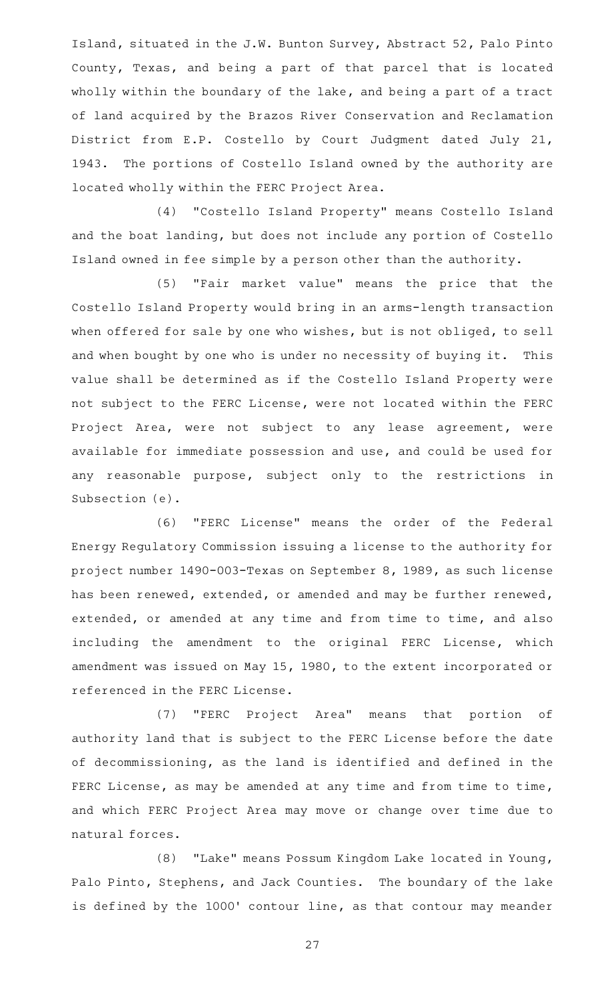Island, situated in the J.W. Bunton Survey, Abstract 52, Palo Pinto County, Texas, and being a part of that parcel that is located wholly within the boundary of the lake, and being a part of a tract of land acquired by the Brazos River Conservation and Reclamation District from E.P. Costello by Court Judgment dated July 21, 1943. The portions of Costello Island owned by the authority are located wholly within the FERC Project Area.

(4) "Costello Island Property" means Costello Island and the boat landing, but does not include any portion of Costello Island owned in fee simple by a person other than the authority.

(5) "Fair market value" means the price that the Costello Island Property would bring in an arms-length transaction when offered for sale by one who wishes, but is not obliged, to sell and when bought by one who is under no necessity of buying it. This value shall be determined as if the Costello Island Property were not subject to the FERC License, were not located within the FERC Project Area, were not subject to any lease agreement, were available for immediate possession and use, and could be used for any reasonable purpose, subject only to the restrictions in Subsection (e).

(6) "FERC License" means the order of the Federal Energy Regulatory Commission issuing a license to the authority for project number 1490-003-Texas on September 8, 1989, as such license has been renewed, extended, or amended and may be further renewed, extended, or amended at any time and from time to time, and also including the amendment to the original FERC License, which amendment was issued on May 15, 1980, to the extent incorporated or referenced in the FERC License.

(7) "FERC Project Area" means that portion of authority land that is subject to the FERC License before the date of decommissioning, as the land is identified and defined in the FERC License, as may be amended at any time and from time to time, and which FERC Project Area may move or change over time due to natural forces.

(8) "Lake" means Possum Kingdom Lake located in Young, Palo Pinto, Stephens, and Jack Counties. The boundary of the lake is defined by the 1000' contour line, as that contour may meander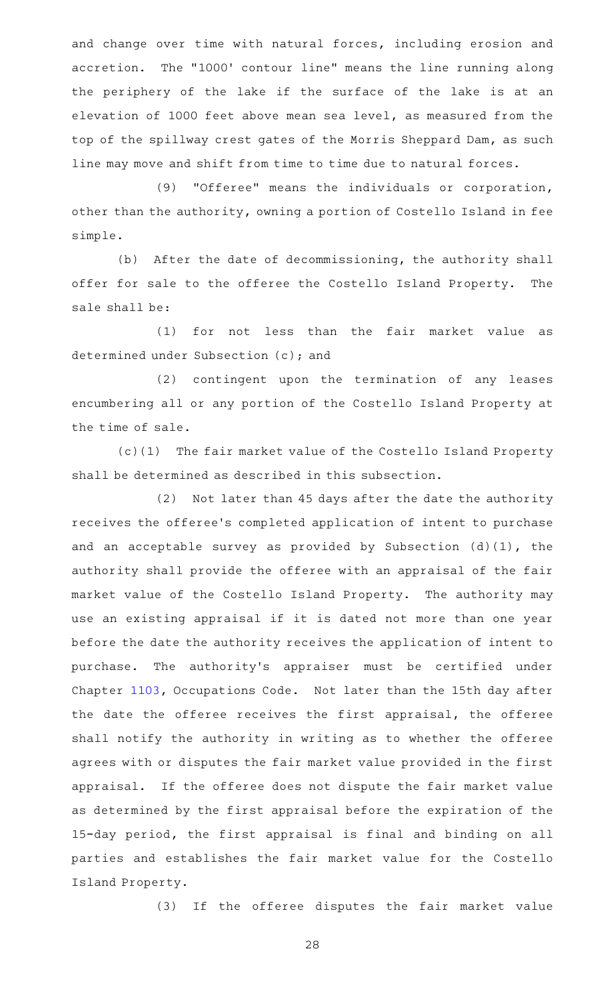and change over time with natural forces, including erosion and accretion. The "1000' contour line" means the line running along the periphery of the lake if the surface of the lake is at an elevation of 1000 feet above mean sea level, as measured from the top of the spillway crest gates of the Morris Sheppard Dam, as such line may move and shift from time to time due to natural forces.

(9) "Offeree" means the individuals or corporation, other than the authority, owning a portion of Costello Island in fee simple.

(b) After the date of decommissioning, the authority shall offer for sale to the offeree the Costello Island Property. The sale shall be:

(1) for not less than the fair market value as determined under Subsection (c); and

(2) contingent upon the termination of any leases encumbering all or any portion of the Costello Island Property at the time of sale.

(c)(1) The fair market value of the Costello Island Property shall be determined as described in this subsection.

(2) Not later than 45 days after the date the authority receives the offeree 's completed application of intent to purchase and an acceptable survey as provided by Subsection (d)(1), the authority shall provide the offeree with an appraisal of the fair market value of the Costello Island Property. The authority may use an existing appraisal if it is dated not more than one year before the date the authority receives the application of intent to purchase. The authority's appraiser must be certified under Chapter [1103](http://www.statutes.legis.state.tx.us/GetStatute.aspx?Code=OC&Value=1103), Occupations Code. Not later than the 15th day after the date the offeree receives the first appraisal, the offeree shall notify the authority in writing as to whether the offeree agrees with or disputes the fair market value provided in the first appraisal. If the offeree does not dispute the fair market value as determined by the first appraisal before the expiration of the 15-day period, the first appraisal is final and binding on all parties and establishes the fair market value for the Costello Island Property.

(3) If the offeree disputes the fair market value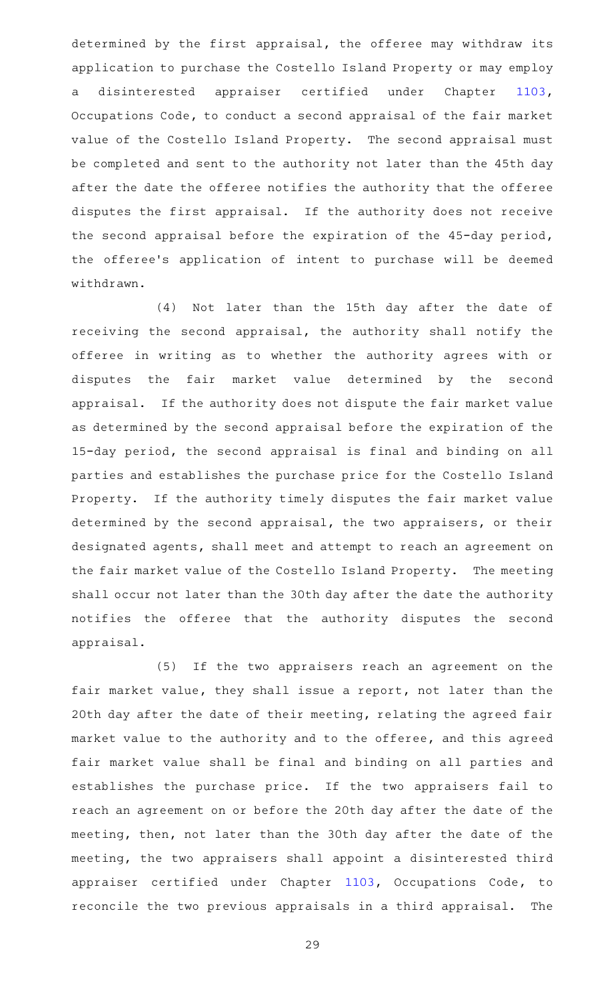determined by the first appraisal, the offeree may withdraw its application to purchase the Costello Island Property or may employ a disinterested appraiser certified under Chapter [1103](http://www.statutes.legis.state.tx.us/GetStatute.aspx?Code=OC&Value=1103), Occupations Code, to conduct a second appraisal of the fair market value of the Costello Island Property. The second appraisal must be completed and sent to the authority not later than the 45th day after the date the offeree notifies the authority that the offeree disputes the first appraisal. If the authority does not receive the second appraisal before the expiration of the 45-day period, the offeree's application of intent to purchase will be deemed withdrawn.

(4) Not later than the 15th day after the date of receiving the second appraisal, the authority shall notify the offeree in writing as to whether the authority agrees with or disputes the fair market value determined by the second appraisal. If the authority does not dispute the fair market value as determined by the second appraisal before the expiration of the 15-day period, the second appraisal is final and binding on all parties and establishes the purchase price for the Costello Island Property. If the authority timely disputes the fair market value determined by the second appraisal, the two appraisers, or their designated agents, shall meet and attempt to reach an agreement on the fair market value of the Costello Island Property. The meeting shall occur not later than the 30th day after the date the authority notifies the offeree that the authority disputes the second appraisal.

(5) If the two appraisers reach an agreement on the fair market value, they shall issue a report, not later than the 20th day after the date of their meeting, relating the agreed fair market value to the authority and to the offeree, and this agreed fair market value shall be final and binding on all parties and establishes the purchase price. If the two appraisers fail to reach an agreement on or before the 20th day after the date of the meeting, then, not later than the 30th day after the date of the meeting, the two appraisers shall appoint a disinterested third appraiser certified under Chapter [1103,](http://www.statutes.legis.state.tx.us/GetStatute.aspx?Code=OC&Value=1103) Occupations Code, to reconcile the two previous appraisals in a third appraisal. The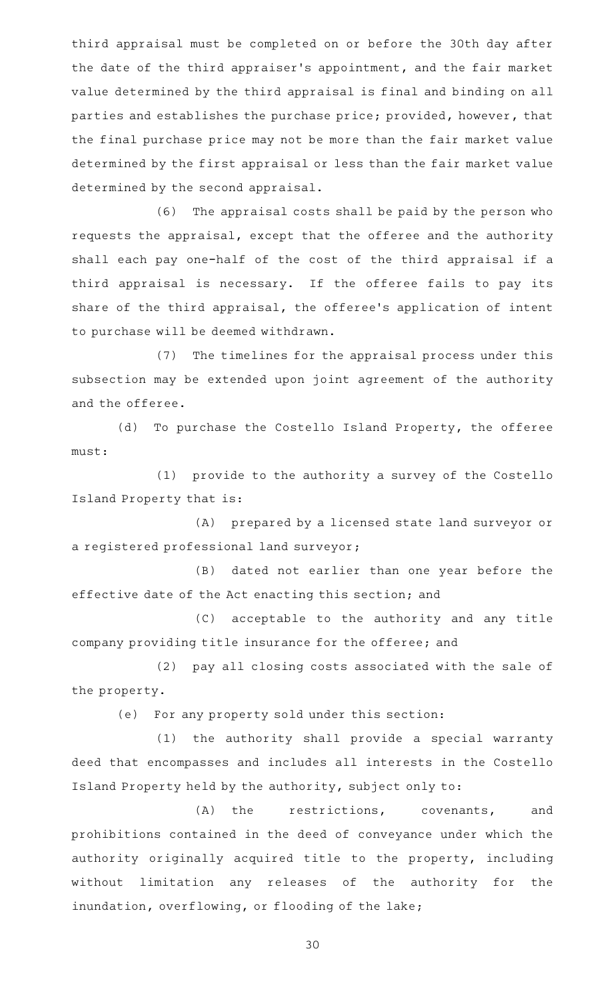third appraisal must be completed on or before the 30th day after the date of the third appraiser 's appointment, and the fair market value determined by the third appraisal is final and binding on all parties and establishes the purchase price; provided, however, that the final purchase price may not be more than the fair market value determined by the first appraisal or less than the fair market value determined by the second appraisal.

(6) The appraisal costs shall be paid by the person who requests the appraisal, except that the offeree and the authority shall each pay one-half of the cost of the third appraisal if a third appraisal is necessary. If the offeree fails to pay its share of the third appraisal, the offeree's application of intent to purchase will be deemed withdrawn.

(7) The timelines for the appraisal process under this subsection may be extended upon joint agreement of the authority and the offeree.

(d) To purchase the Costello Island Property, the offeree must:

(1) provide to the authority a survey of the Costello Island Property that is:

(A) prepared by a licensed state land surveyor or a registered professional land surveyor;

(B) dated not earlier than one year before the effective date of the Act enacting this section; and

(C) acceptable to the authority and any title company providing title insurance for the offeree; and

(2) pay all closing costs associated with the sale of the property.

(e) For any property sold under this section:

(1) the authority shall provide a special warranty deed that encompasses and includes all interests in the Costello Island Property held by the authority, subject only to:

(A) the restrictions, covenants, and prohibitions contained in the deed of conveyance under which the authority originally acquired title to the property, including without limitation any releases of the authority for the inundation, overflowing, or flooding of the lake;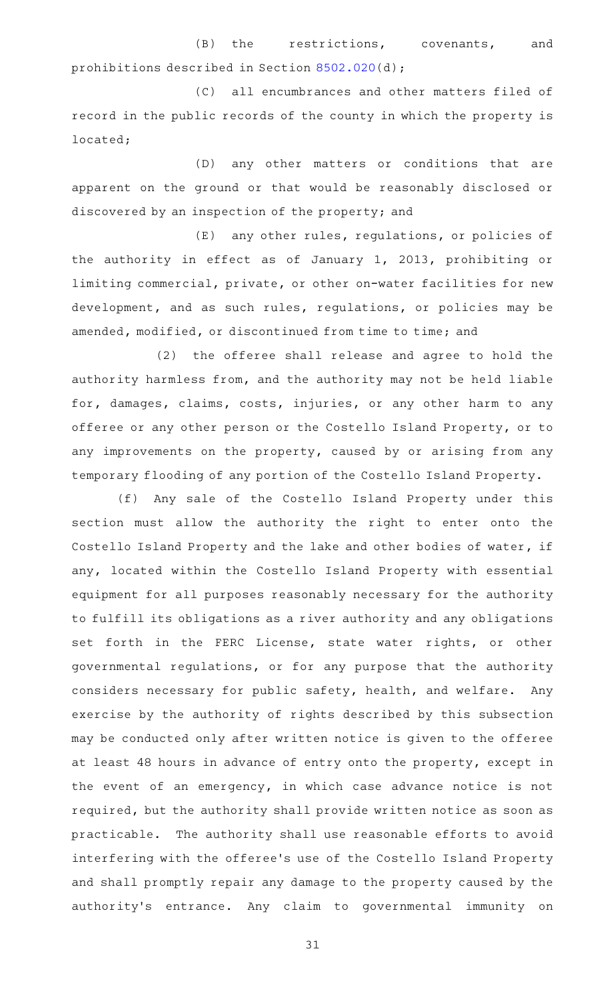## (B) the restrictions, covenants, and prohibitions described in Section [8502.020\(](http://www.statutes.legis.state.tx.us/GetStatute.aspx?Code=SD&Value=8502.020)d);

(C) all encumbrances and other matters filed of record in the public records of the county in which the property is located;

(D) any other matters or conditions that are apparent on the ground or that would be reasonably disclosed or discovered by an inspection of the property; and

 $(E)$  any other rules, regulations, or policies of the authority in effect as of January 1, 2013, prohibiting or limiting commercial, private, or other on-water facilities for new development, and as such rules, regulations, or policies may be amended, modified, or discontinued from time to time; and

(2) the offeree shall release and agree to hold the authority harmless from, and the authority may not be held liable for, damages, claims, costs, injuries, or any other harm to any offeree or any other person or the Costello Island Property, or to any improvements on the property, caused by or arising from any temporary flooding of any portion of the Costello Island Property.

(f) Any sale of the Costello Island Property under this section must allow the authority the right to enter onto the Costello Island Property and the lake and other bodies of water, if any, located within the Costello Island Property with essential equipment for all purposes reasonably necessary for the authority to fulfill its obligations as a river authority and any obligations set forth in the FERC License, state water rights, or other governmental regulations, or for any purpose that the authority considers necessary for public safety, health, and welfare. Any exercise by the authority of rights described by this subsection may be conducted only after written notice is given to the offeree at least 48 hours in advance of entry onto the property, except in the event of an emergency, in which case advance notice is not required, but the authority shall provide written notice as soon as practicable. The authority shall use reasonable efforts to avoid interfering with the offeree 's use of the Costello Island Property and shall promptly repair any damage to the property caused by the authority's entrance. Any claim to governmental immunity on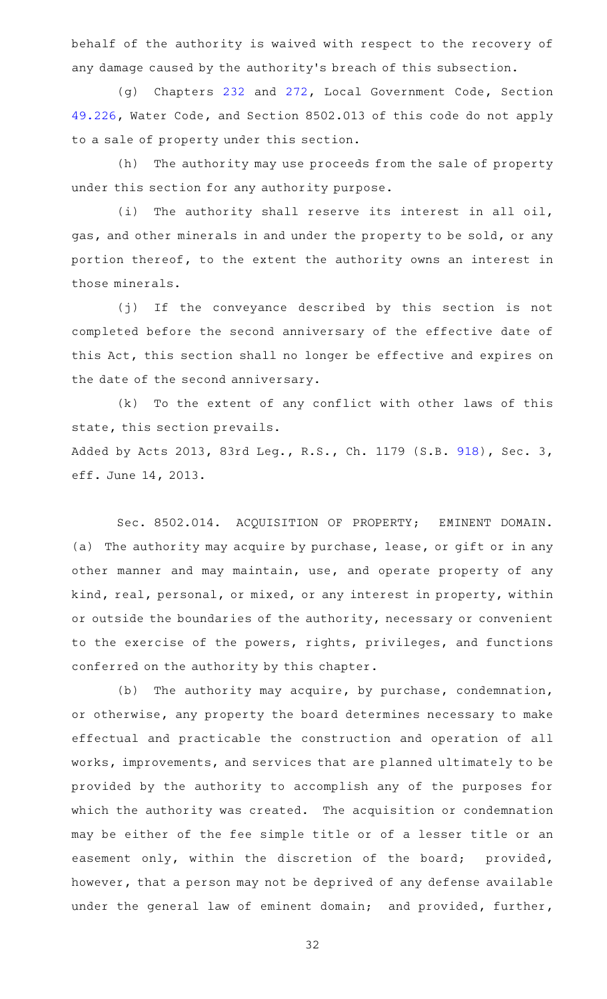behalf of the authority is waived with respect to the recovery of any damage caused by the authority 's breach of this subsection.

(g) Chapters [232](http://www.statutes.legis.state.tx.us/GetStatute.aspx?Code=LG&Value=232) and [272,](http://www.statutes.legis.state.tx.us/GetStatute.aspx?Code=LG&Value=272) Local Government Code, Section [49.226](http://www.statutes.legis.state.tx.us/GetStatute.aspx?Code=WA&Value=49.226), Water Code, and Section 8502.013 of this code do not apply to a sale of property under this section.

(h) The authority may use proceeds from the sale of property under this section for any authority purpose.

(i) The authority shall reserve its interest in all oil, gas, and other minerals in and under the property to be sold, or any portion thereof, to the extent the authority owns an interest in those minerals.

(j) If the conveyance described by this section is not completed before the second anniversary of the effective date of this Act, this section shall no longer be effective and expires on the date of the second anniversary.

 $(k)$  To the extent of any conflict with other laws of this state, this section prevails.

Added by Acts 2013, 83rd Leg., R.S., Ch. 1179 (S.B. [918](http://www.legis.state.tx.us/tlodocs/83R/billtext/html/SB00918F.HTM)), Sec. 3, eff. June 14, 2013.

Sec. 8502.014. ACQUISITION OF PROPERTY; EMINENT DOMAIN. (a) The authority may acquire by purchase, lease, or gift or in any other manner and may maintain, use, and operate property of any kind, real, personal, or mixed, or any interest in property, within or outside the boundaries of the authority, necessary or convenient to the exercise of the powers, rights, privileges, and functions conferred on the authority by this chapter.

(b) The authority may acquire, by purchase, condemnation, or otherwise, any property the board determines necessary to make effectual and practicable the construction and operation of all works, improvements, and services that are planned ultimately to be provided by the authority to accomplish any of the purposes for which the authority was created. The acquisition or condemnation may be either of the fee simple title or of a lesser title or an easement only, within the discretion of the board; provided, however, that a person may not be deprived of any defense available under the general law of eminent domain; and provided, further,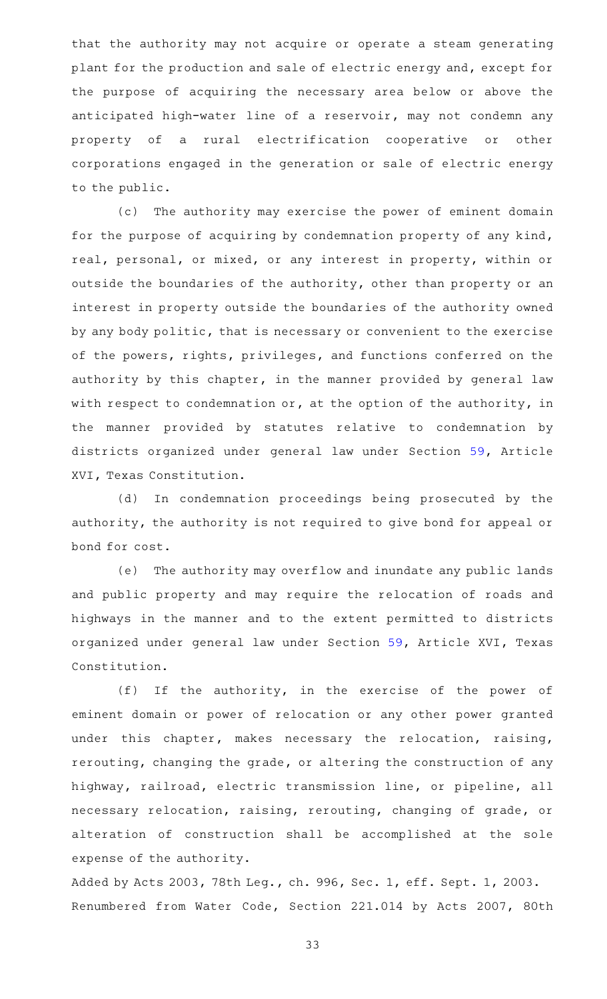that the authority may not acquire or operate a steam generating plant for the production and sale of electric energy and, except for the purpose of acquiring the necessary area below or above the anticipated high-water line of a reservoir, may not condemn any property of a rural electrification cooperative or other corporations engaged in the generation or sale of electric energy to the public.

(c) The authority may exercise the power of eminent domain for the purpose of acquiring by condemnation property of any kind, real, personal, or mixed, or any interest in property, within or outside the boundaries of the authority, other than property or an interest in property outside the boundaries of the authority owned by any body politic, that is necessary or convenient to the exercise of the powers, rights, privileges, and functions conferred on the authority by this chapter, in the manner provided by general law with respect to condemnation or, at the option of the authority, in the manner provided by statutes relative to condemnation by districts organized under general law under Section [59,](http://www.statutes.legis.state.tx.us/GetStatute.aspx?Code=CN&Value=16.59) Article XVI, Texas Constitution.

(d) In condemnation proceedings being prosecuted by the authority, the authority is not required to give bond for appeal or bond for cost.

(e) The authority may overflow and inundate any public lands and public property and may require the relocation of roads and highways in the manner and to the extent permitted to districts organized under general law under Section [59](http://www.statutes.legis.state.tx.us/GetStatute.aspx?Code=CN&Value=16.59), Article XVI, Texas Constitution.

 $(f)$  If the authority, in the exercise of the power of eminent domain or power of relocation or any other power granted under this chapter, makes necessary the relocation, raising, rerouting, changing the grade, or altering the construction of any highway, railroad, electric transmission line, or pipeline, all necessary relocation, raising, rerouting, changing of grade, or alteration of construction shall be accomplished at the sole expense of the authority.

Added by Acts 2003, 78th Leg., ch. 996, Sec. 1, eff. Sept. 1, 2003. Renumbered from Water Code, Section 221.014 by Acts 2007, 80th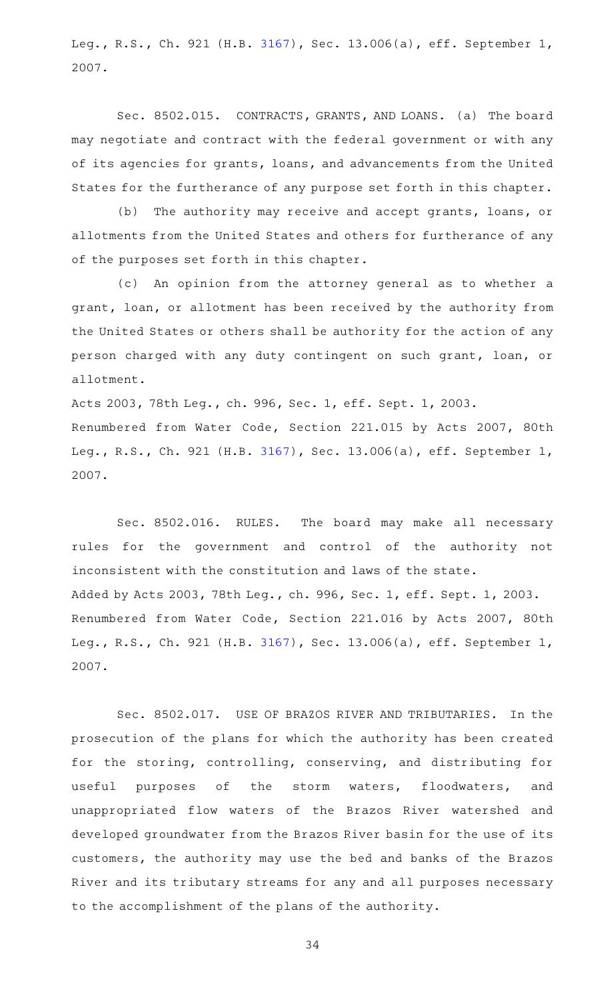Leg., R.S., Ch. 921 (H.B. [3167](http://www.legis.state.tx.us/tlodocs/80R/billtext/html/HB03167F.HTM)), Sec. 13.006(a), eff. September 1, 2007.

Sec. 8502.015. CONTRACTS, GRANTS, AND LOANS. (a) The board may negotiate and contract with the federal government or with any of its agencies for grants, loans, and advancements from the United States for the furtherance of any purpose set forth in this chapter.

(b) The authority may receive and accept grants, loans, or allotments from the United States and others for furtherance of any of the purposes set forth in this chapter.

(c) An opinion from the attorney general as to whether a grant, loan, or allotment has been received by the authority from the United States or others shall be authority for the action of any person charged with any duty contingent on such grant, loan, or allotment.

Acts 2003, 78th Leg., ch. 996, Sec. 1, eff. Sept. 1, 2003. Renumbered from Water Code, Section 221.015 by Acts 2007, 80th Leg., R.S., Ch. 921 (H.B. [3167](http://www.legis.state.tx.us/tlodocs/80R/billtext/html/HB03167F.HTM)), Sec. 13.006(a), eff. September 1, 2007.

Sec. 8502.016. RULES. The board may make all necessary rules for the government and control of the authority not inconsistent with the constitution and laws of the state. Added by Acts 2003, 78th Leg., ch. 996, Sec. 1, eff. Sept. 1, 2003. Renumbered from Water Code, Section 221.016 by Acts 2007, 80th Leg., R.S., Ch. 921 (H.B. [3167](http://www.legis.state.tx.us/tlodocs/80R/billtext/html/HB03167F.HTM)), Sec. 13.006(a), eff. September 1, 2007.

Sec. 8502.017. USE OF BRAZOS RIVER AND TRIBUTARIES. In the prosecution of the plans for which the authority has been created for the storing, controlling, conserving, and distributing for useful purposes of the storm waters, floodwaters, and unappropriated flow waters of the Brazos River watershed and developed groundwater from the Brazos River basin for the use of its customers, the authority may use the bed and banks of the Brazos River and its tributary streams for any and all purposes necessary to the accomplishment of the plans of the authority.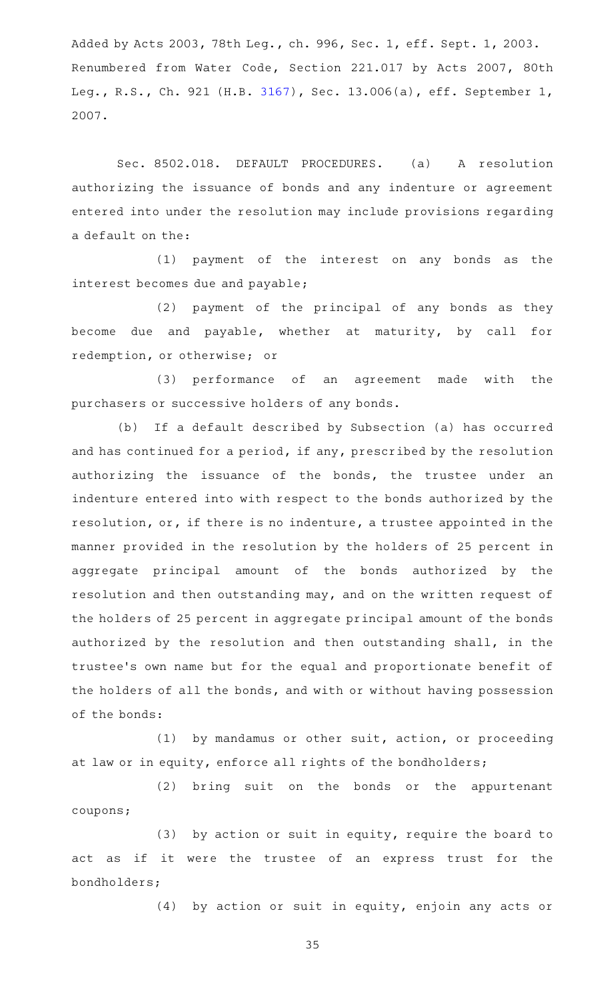Added by Acts 2003, 78th Leg., ch. 996, Sec. 1, eff. Sept. 1, 2003. Renumbered from Water Code, Section 221.017 by Acts 2007, 80th Leg., R.S., Ch. 921 (H.B. [3167](http://www.legis.state.tx.us/tlodocs/80R/billtext/html/HB03167F.HTM)), Sec. 13.006(a), eff. September 1, 2007.

Sec. 8502.018. DEFAULT PROCEDURES. (a) A resolution authorizing the issuance of bonds and any indenture or agreement entered into under the resolution may include provisions regarding a default on the:

(1) payment of the interest on any bonds as the interest becomes due and payable;

(2) payment of the principal of any bonds as they become due and payable, whether at maturity, by call for redemption, or otherwise; or

(3) performance of an agreement made with the purchasers or successive holders of any bonds.

(b) If a default described by Subsection (a) has occurred and has continued for a period, if any, prescribed by the resolution authorizing the issuance of the bonds, the trustee under an indenture entered into with respect to the bonds authorized by the resolution, or, if there is no indenture, a trustee appointed in the manner provided in the resolution by the holders of 25 percent in aggregate principal amount of the bonds authorized by the resolution and then outstanding may, and on the written request of the holders of 25 percent in aggregate principal amount of the bonds authorized by the resolution and then outstanding shall, in the trustee 's own name but for the equal and proportionate benefit of the holders of all the bonds, and with or without having possession of the bonds:

 $(1)$  by mandamus or other suit, action, or proceeding at law or in equity, enforce all rights of the bondholders;

(2) bring suit on the bonds or the appurtenant coupons;

(3) by action or suit in equity, require the board to act as if it were the trustee of an express trust for the bondholders;

 $(4)$  by action or suit in equity, enjoin any acts or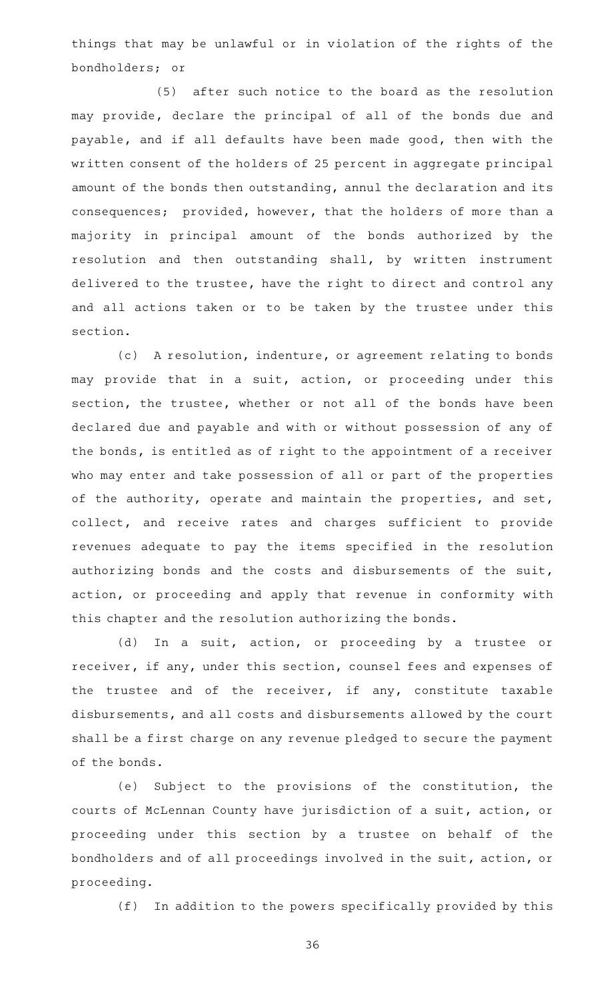things that may be unlawful or in violation of the rights of the bondholders; or

(5) after such notice to the board as the resolution may provide, declare the principal of all of the bonds due and payable, and if all defaults have been made good, then with the written consent of the holders of 25 percent in aggregate principal amount of the bonds then outstanding, annul the declaration and its consequences; provided, however, that the holders of more than a majority in principal amount of the bonds authorized by the resolution and then outstanding shall, by written instrument delivered to the trustee, have the right to direct and control any and all actions taken or to be taken by the trustee under this section.

(c) A resolution, indenture, or agreement relating to bonds may provide that in a suit, action, or proceeding under this section, the trustee, whether or not all of the bonds have been declared due and payable and with or without possession of any of the bonds, is entitled as of right to the appointment of a receiver who may enter and take possession of all or part of the properties of the authority, operate and maintain the properties, and set, collect, and receive rates and charges sufficient to provide revenues adequate to pay the items specified in the resolution authorizing bonds and the costs and disbursements of the suit, action, or proceeding and apply that revenue in conformity with this chapter and the resolution authorizing the bonds.

(d) In a suit, action, or proceeding by a trustee or receiver, if any, under this section, counsel fees and expenses of the trustee and of the receiver, if any, constitute taxable disbursements, and all costs and disbursements allowed by the court shall be a first charge on any revenue pledged to secure the payment of the bonds.

(e) Subject to the provisions of the constitution, the courts of McLennan County have jurisdiction of a suit, action, or proceeding under this section by a trustee on behalf of the bondholders and of all proceedings involved in the suit, action, or proceeding.

(f) In addition to the powers specifically provided by this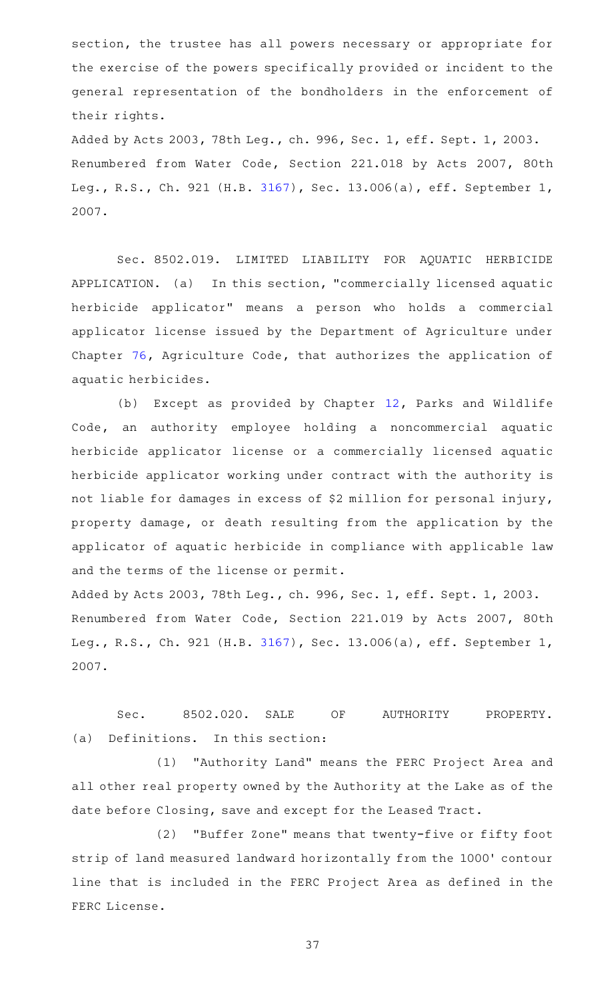section, the trustee has all powers necessary or appropriate for the exercise of the powers specifically provided or incident to the general representation of the bondholders in the enforcement of their rights.

Added by Acts 2003, 78th Leg., ch. 996, Sec. 1, eff. Sept. 1, 2003. Renumbered from Water Code, Section 221.018 by Acts 2007, 80th Leg., R.S., Ch. 921 (H.B. [3167](http://www.legis.state.tx.us/tlodocs/80R/billtext/html/HB03167F.HTM)), Sec. 13.006(a), eff. September 1, 2007.

Sec. 8502.019. LIMITED LIABILITY FOR AQUATIC HERBICIDE APPLICATION. (a) In this section, "commercially licensed aquatic herbicide applicator" means a person who holds a commercial applicator license issued by the Department of Agriculture under Chapter [76,](http://www.statutes.legis.state.tx.us/GetStatute.aspx?Code=AG&Value=76) Agriculture Code, that authorizes the application of aquatic herbicides.

(b) Except as provided by Chapter  $12$ , Parks and Wildlife Code, an authority employee holding a noncommercial aquatic herbicide applicator license or a commercially licensed aquatic herbicide applicator working under contract with the authority is not liable for damages in excess of \$2 million for personal injury, property damage, or death resulting from the application by the applicator of aquatic herbicide in compliance with applicable law and the terms of the license or permit.

Added by Acts 2003, 78th Leg., ch. 996, Sec. 1, eff. Sept. 1, 2003. Renumbered from Water Code, Section 221.019 by Acts 2007, 80th Leg., R.S., Ch. 921 (H.B. [3167](http://www.legis.state.tx.us/tlodocs/80R/billtext/html/HB03167F.HTM)), Sec. 13.006(a), eff. September 1, 2007.

Sec. 8502.020. SALE OF AUTHORITY PROPERTY. (a) Definitions. In this section:

(1) "Authority Land" means the FERC Project Area and all other real property owned by the Authority at the Lake as of the date before Closing, save and except for the Leased Tract.

(2) "Buffer Zone" means that twenty-five or fifty foot strip of land measured landward horizontally from the 1000 ' contour line that is included in the FERC Project Area as defined in the FERC License.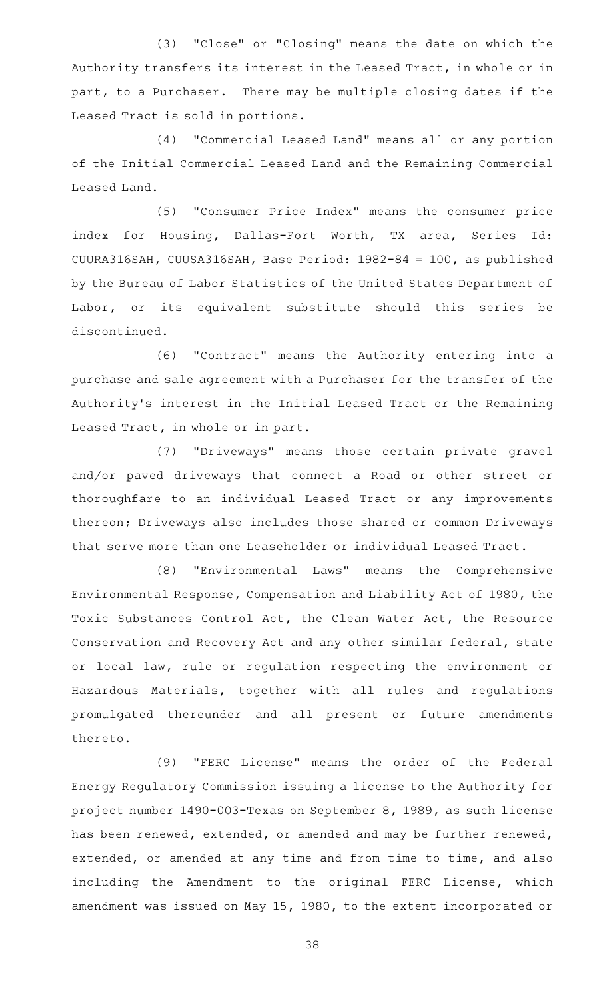(3) "Close" or "Closing" means the date on which the Authority transfers its interest in the Leased Tract, in whole or in part, to a Purchaser. There may be multiple closing dates if the Leased Tract is sold in portions.

(4) "Commercial Leased Land" means all or any portion of the Initial Commercial Leased Land and the Remaining Commercial Leased Land.

(5) "Consumer Price Index" means the consumer price index for Housing, Dallas-Fort Worth, TX area, Series Id: CUURA316SAH, CUUSA316SAH, Base Period: 1982-84 = 100, as published by the Bureau of Labor Statistics of the United States Department of Labor, or its equivalent substitute should this series be discontinued.

(6) "Contract" means the Authority entering into a purchase and sale agreement with a Purchaser for the transfer of the Authority's interest in the Initial Leased Tract or the Remaining Leased Tract, in whole or in part.

(7) "Driveways" means those certain private gravel and/or paved driveways that connect a Road or other street or thoroughfare to an individual Leased Tract or any improvements thereon; Driveways also includes those shared or common Driveways that serve more than one Leaseholder or individual Leased Tract.

(8) "Environmental Laws" means the Comprehensive Environmental Response, Compensation and Liability Act of 1980, the Toxic Substances Control Act, the Clean Water Act, the Resource Conservation and Recovery Act and any other similar federal, state or local law, rule or regulation respecting the environment or Hazardous Materials, together with all rules and regulations promulgated thereunder and all present or future amendments thereto.

(9) "FERC License" means the order of the Federal Energy Regulatory Commission issuing a license to the Authority for project number 1490-003-Texas on September 8, 1989, as such license has been renewed, extended, or amended and may be further renewed, extended, or amended at any time and from time to time, and also including the Amendment to the original FERC License, which amendment was issued on May 15, 1980, to the extent incorporated or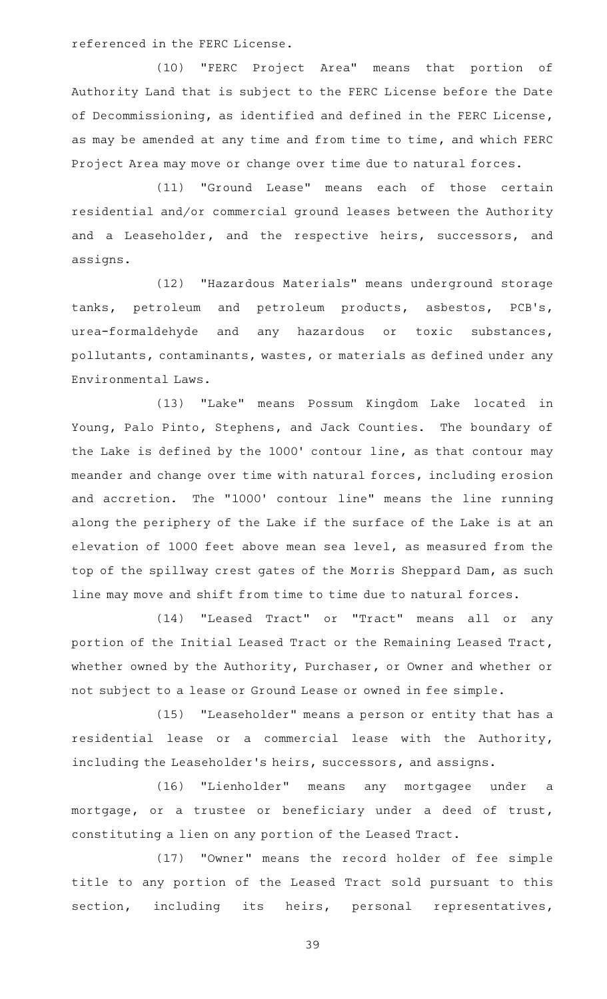referenced in the FERC License.

(10) "FERC Project Area" means that portion of Authority Land that is subject to the FERC License before the Date of Decommissioning, as identified and defined in the FERC License, as may be amended at any time and from time to time, and which FERC Project Area may move or change over time due to natural forces.

(11) "Ground Lease" means each of those certain residential and/or commercial ground leases between the Authority and a Leaseholder, and the respective heirs, successors, and assigns.

(12) "Hazardous Materials" means underground storage tanks, petroleum and petroleum products, asbestos, PCB 's, urea-formaldehyde and any hazardous or toxic substances, pollutants, contaminants, wastes, or materials as defined under any Environmental Laws.

(13) "Lake" means Possum Kingdom Lake located in Young, Palo Pinto, Stephens, and Jack Counties. The boundary of the Lake is defined by the 1000' contour line, as that contour may meander and change over time with natural forces, including erosion and accretion. The "1000' contour line" means the line running along the periphery of the Lake if the surface of the Lake is at an elevation of 1000 feet above mean sea level, as measured from the top of the spillway crest gates of the Morris Sheppard Dam, as such line may move and shift from time to time due to natural forces.

(14) "Leased Tract" or "Tract" means all or any portion of the Initial Leased Tract or the Remaining Leased Tract, whether owned by the Authority, Purchaser, or Owner and whether or not subject to a lease or Ground Lease or owned in fee simple.

(15) "Leaseholder" means a person or entity that has a residential lease or a commercial lease with the Authority, including the Leaseholder 's heirs, successors, and assigns.

(16) "Lienholder" means any mortgagee under a mortgage, or a trustee or beneficiary under a deed of trust, constituting a lien on any portion of the Leased Tract.

(17) "Owner" means the record holder of fee simple title to any portion of the Leased Tract sold pursuant to this section, including its heirs, personal representatives,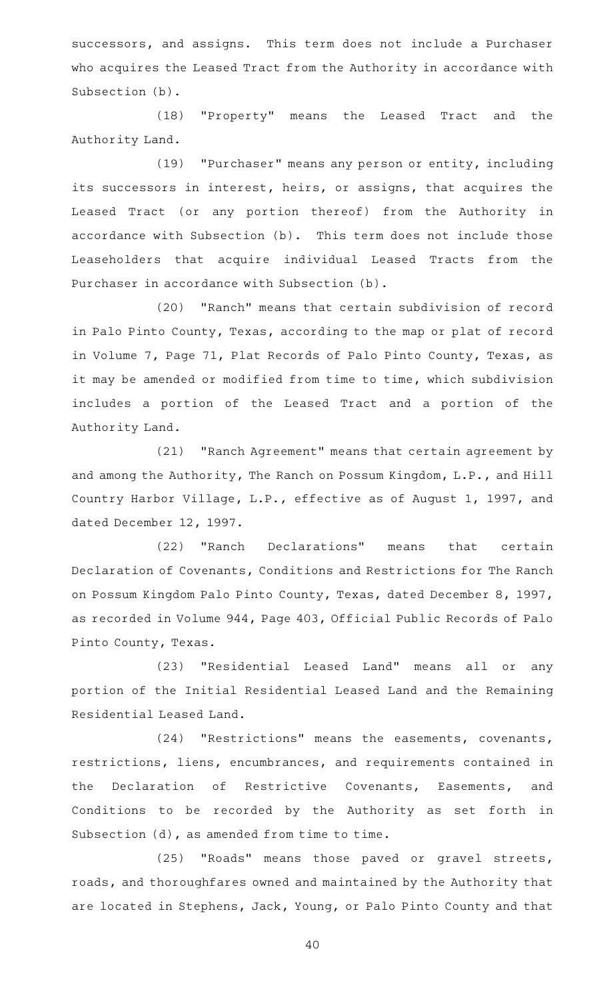successors, and assigns. This term does not include a Purchaser who acquires the Leased Tract from the Authority in accordance with Subsection (b).

(18) "Property" means the Leased Tract and the Authority Land.

(19) "Purchaser" means any person or entity, including its successors in interest, heirs, or assigns, that acquires the Leased Tract (or any portion thereof) from the Authority in accordance with Subsection (b). This term does not include those Leaseholders that acquire individual Leased Tracts from the Purchaser in accordance with Subsection (b).

(20) "Ranch" means that certain subdivision of record in Palo Pinto County, Texas, according to the map or plat of record in Volume 7, Page 71, Plat Records of Palo Pinto County, Texas, as it may be amended or modified from time to time, which subdivision includes a portion of the Leased Tract and a portion of the Authority Land.

(21) "Ranch Agreement" means that certain agreement by and among the Authority, The Ranch on Possum Kingdom, L.P., and Hill Country Harbor Village, L.P., effective as of August 1, 1997, and dated December 12, 1997.

(22) "Ranch Declarations" means that certain Declaration of Covenants, Conditions and Restrictions for The Ranch on Possum Kingdom Palo Pinto County, Texas, dated December 8, 1997, as recorded in Volume 944, Page 403, Official Public Records of Palo Pinto County, Texas.

(23) "Residential Leased Land" means all or any portion of the Initial Residential Leased Land and the Remaining Residential Leased Land.

(24) "Restrictions" means the easements, covenants, restrictions, liens, encumbrances, and requirements contained in the Declaration of Restrictive Covenants, Easements, and Conditions to be recorded by the Authority as set forth in Subsection (d), as amended from time to time.

(25) "Roads" means those paved or gravel streets, roads, and thoroughfares owned and maintained by the Authority that are located in Stephens, Jack, Young, or Palo Pinto County and that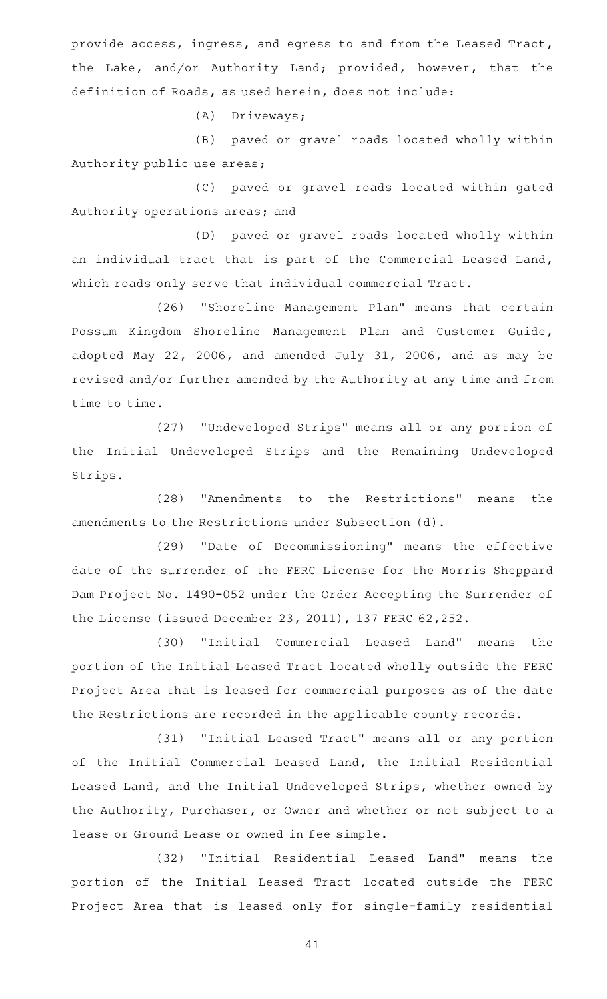provide access, ingress, and egress to and from the Leased Tract, the Lake, and/or Authority Land; provided, however, that the definition of Roads, as used herein, does not include:

(A) Driveways;

(B) paved or gravel roads located wholly within Authority public use areas;

(C) paved or gravel roads located within gated Authority operations areas; and

(D) paved or gravel roads located wholly within an individual tract that is part of the Commercial Leased Land, which roads only serve that individual commercial Tract.

(26) "Shoreline Management Plan" means that certain Possum Kingdom Shoreline Management Plan and Customer Guide, adopted May 22, 2006, and amended July 31, 2006, and as may be revised and/or further amended by the Authority at any time and from time to time.

(27) "Undeveloped Strips" means all or any portion of the Initial Undeveloped Strips and the Remaining Undeveloped Strips.

(28) "Amendments to the Restrictions" means the amendments to the Restrictions under Subsection (d).

(29) "Date of Decommissioning" means the effective date of the surrender of the FERC License for the Morris Sheppard Dam Project No. 1490-052 under the Order Accepting the Surrender of the License (issued December 23, 2011), 137 FERC 62,252.

(30) "Initial Commercial Leased Land" means the portion of the Initial Leased Tract located wholly outside the FERC Project Area that is leased for commercial purposes as of the date the Restrictions are recorded in the applicable county records.

(31) "Initial Leased Tract" means all or any portion of the Initial Commercial Leased Land, the Initial Residential Leased Land, and the Initial Undeveloped Strips, whether owned by the Authority, Purchaser, or Owner and whether or not subject to a lease or Ground Lease or owned in fee simple.

(32) "Initial Residential Leased Land" means the portion of the Initial Leased Tract located outside the FERC Project Area that is leased only for single-family residential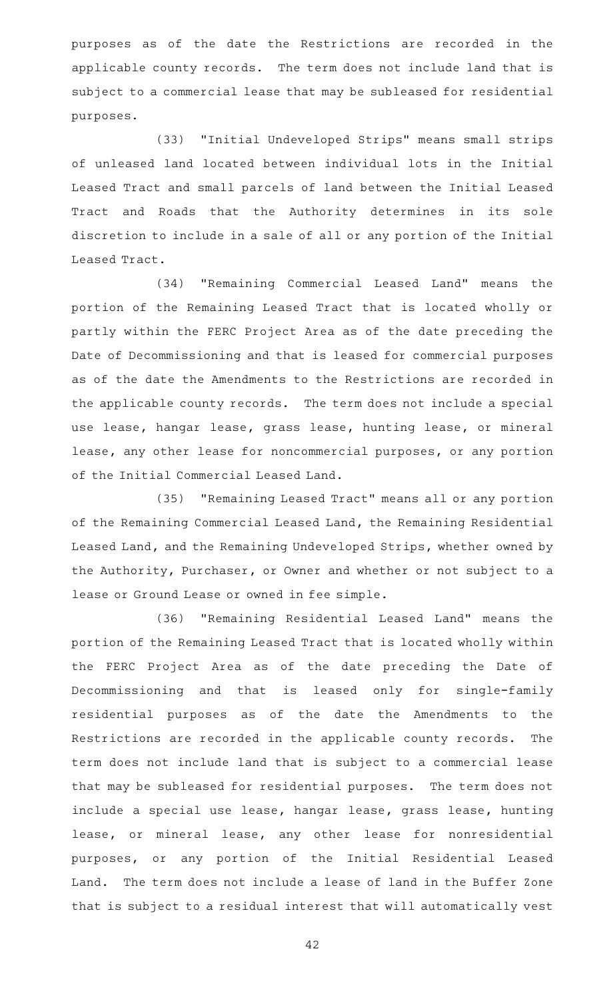purposes as of the date the Restrictions are recorded in the applicable county records. The term does not include land that is subject to a commercial lease that may be subleased for residential purposes.

(33) "Initial Undeveloped Strips" means small strips of unleased land located between individual lots in the Initial Leased Tract and small parcels of land between the Initial Leased Tract and Roads that the Authority determines in its sole discretion to include in a sale of all or any portion of the Initial Leased Tract.

(34) "Remaining Commercial Leased Land" means the portion of the Remaining Leased Tract that is located wholly or partly within the FERC Project Area as of the date preceding the Date of Decommissioning and that is leased for commercial purposes as of the date the Amendments to the Restrictions are recorded in the applicable county records. The term does not include a special use lease, hangar lease, grass lease, hunting lease, or mineral lease, any other lease for noncommercial purposes, or any portion of the Initial Commercial Leased Land.

(35) "Remaining Leased Tract" means all or any portion of the Remaining Commercial Leased Land, the Remaining Residential Leased Land, and the Remaining Undeveloped Strips, whether owned by the Authority, Purchaser, or Owner and whether or not subject to a lease or Ground Lease or owned in fee simple.

(36) "Remaining Residential Leased Land" means the portion of the Remaining Leased Tract that is located wholly within the FERC Project Area as of the date preceding the Date of Decommissioning and that is leased only for single-family residential purposes as of the date the Amendments to the Restrictions are recorded in the applicable county records. The term does not include land that is subject to a commercial lease that may be subleased for residential purposes. The term does not include a special use lease, hangar lease, grass lease, hunting lease, or mineral lease, any other lease for nonresidential purposes, or any portion of the Initial Residential Leased Land. The term does not include a lease of land in the Buffer Zone that is subject to a residual interest that will automatically vest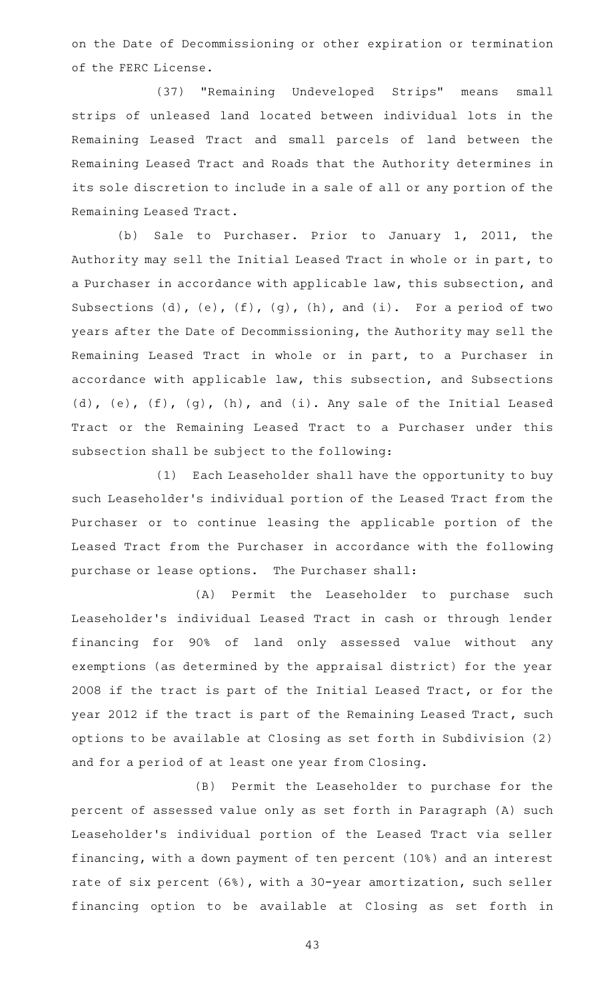on the Date of Decommissioning or other expiration or termination of the FERC License.

(37) "Remaining Undeveloped Strips" means small strips of unleased land located between individual lots in the Remaining Leased Tract and small parcels of land between the Remaining Leased Tract and Roads that the Authority determines in its sole discretion to include in a sale of all or any portion of the Remaining Leased Tract.

(b) Sale to Purchaser. Prior to January 1, 2011, the Authority may sell the Initial Leased Tract in whole or in part, to a Purchaser in accordance with applicable law, this subsection, and Subsections  $(d)$ ,  $(e)$ ,  $(f)$ ,  $(g)$ ,  $(h)$ , and  $(i)$ . For a period of two years after the Date of Decommissioning, the Authority may sell the Remaining Leased Tract in whole or in part, to a Purchaser in accordance with applicable law, this subsection, and Subsections (d), (e), (f), (g), (h), and (i). Any sale of the Initial Leased Tract or the Remaining Leased Tract to a Purchaser under this subsection shall be subject to the following:

(1) Each Leaseholder shall have the opportunity to buy such Leaseholder 's individual portion of the Leased Tract from the Purchaser or to continue leasing the applicable portion of the Leased Tract from the Purchaser in accordance with the following purchase or lease options. The Purchaser shall:

(A) Permit the Leaseholder to purchase such Leaseholder 's individual Leased Tract in cash or through lender financing for 90% of land only assessed value without any exemptions (as determined by the appraisal district) for the year 2008 if the tract is part of the Initial Leased Tract, or for the year 2012 if the tract is part of the Remaining Leased Tract, such options to be available at Closing as set forth in Subdivision (2) and for a period of at least one year from Closing.

(B) Permit the Leaseholder to purchase for the percent of assessed value only as set forth in Paragraph (A) such Leaseholder 's individual portion of the Leased Tract via seller financing, with a down payment of ten percent (10%) and an interest rate of six percent (6%), with a 30-year amortization, such seller financing option to be available at Closing as set forth in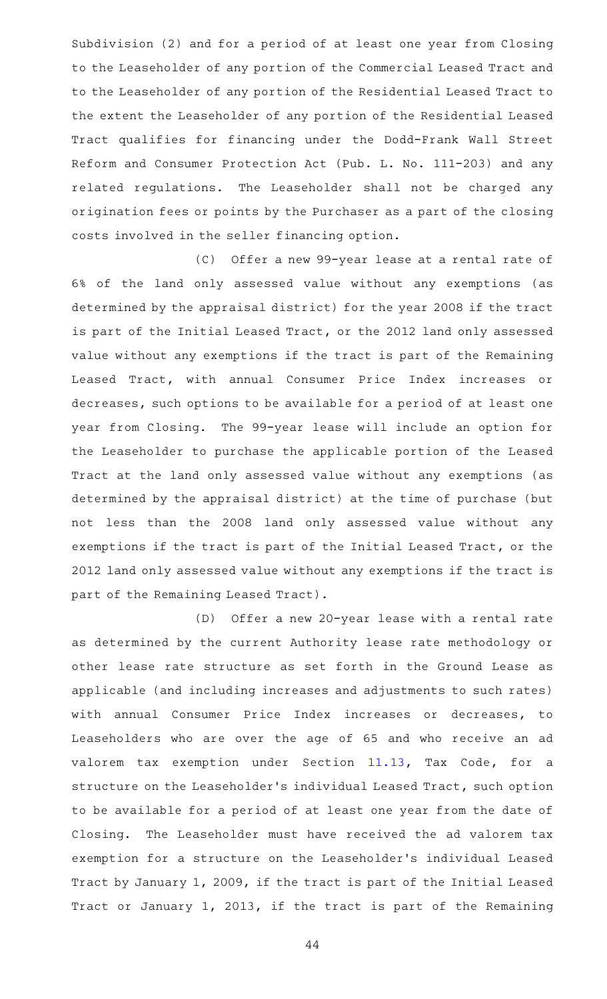Subdivision (2) and for a period of at least one year from Closing to the Leaseholder of any portion of the Commercial Leased Tract and to the Leaseholder of any portion of the Residential Leased Tract to the extent the Leaseholder of any portion of the Residential Leased Tract qualifies for financing under the Dodd-Frank Wall Street Reform and Consumer Protection Act (Pub. L. No. 111-203) and any related regulations. The Leaseholder shall not be charged any origination fees or points by the Purchaser as a part of the closing costs involved in the seller financing option.

(C) Offer a new 99-year lease at a rental rate of 6% of the land only assessed value without any exemptions (as determined by the appraisal district) for the year 2008 if the tract is part of the Initial Leased Tract, or the 2012 land only assessed value without any exemptions if the tract is part of the Remaining Leased Tract, with annual Consumer Price Index increases or decreases, such options to be available for a period of at least one year from Closing. The 99-year lease will include an option for the Leaseholder to purchase the applicable portion of the Leased Tract at the land only assessed value without any exemptions (as determined by the appraisal district) at the time of purchase (but not less than the 2008 land only assessed value without any exemptions if the tract is part of the Initial Leased Tract, or the 2012 land only assessed value without any exemptions if the tract is part of the Remaining Leased Tract).

(D) Offer a new 20-year lease with a rental rate as determined by the current Authority lease rate methodology or other lease rate structure as set forth in the Ground Lease as applicable (and including increases and adjustments to such rates) with annual Consumer Price Index increases or decreases, to Leaseholders who are over the age of 65 and who receive an ad valorem tax exemption under Section [11.13](http://www.statutes.legis.state.tx.us/GetStatute.aspx?Code=TX&Value=11.13), Tax Code, for a structure on the Leaseholder 's individual Leased Tract, such option to be available for a period of at least one year from the date of Closing. The Leaseholder must have received the ad valorem tax exemption for a structure on the Leaseholder 's individual Leased Tract by January 1, 2009, if the tract is part of the Initial Leased Tract or January 1, 2013, if the tract is part of the Remaining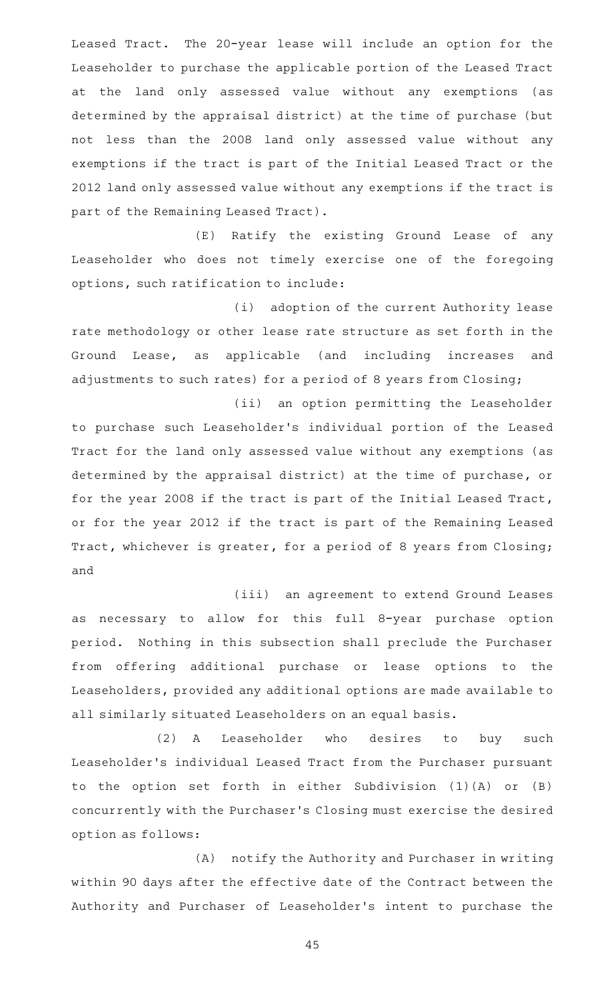Leased Tract. The 20-year lease will include an option for the Leaseholder to purchase the applicable portion of the Leased Tract at the land only assessed value without any exemptions (as determined by the appraisal district) at the time of purchase (but not less than the 2008 land only assessed value without any exemptions if the tract is part of the Initial Leased Tract or the 2012 land only assessed value without any exemptions if the tract is part of the Remaining Leased Tract).

(E) Ratify the existing Ground Lease of any Leaseholder who does not timely exercise one of the foregoing options, such ratification to include:

(i) adoption of the current Authority lease rate methodology or other lease rate structure as set forth in the Ground Lease, as applicable (and including increases and adjustments to such rates) for a period of 8 years from Closing;

(ii) an option permitting the Leaseholder to purchase such Leaseholder 's individual portion of the Leased Tract for the land only assessed value without any exemptions (as determined by the appraisal district) at the time of purchase, or for the year 2008 if the tract is part of the Initial Leased Tract, or for the year 2012 if the tract is part of the Remaining Leased Tract, whichever is greater, for a period of 8 years from Closing; and

(iii) an agreement to extend Ground Leases as necessary to allow for this full 8-year purchase option period. Nothing in this subsection shall preclude the Purchaser from offering additional purchase or lease options to the Leaseholders, provided any additional options are made available to all similarly situated Leaseholders on an equal basis.

(2) A Leaseholder who desires to buy such Leaseholder 's individual Leased Tract from the Purchaser pursuant to the option set forth in either Subdivision (1)(A) or (B) concurrently with the Purchaser 's Closing must exercise the desired option as follows:

(A) notify the Authority and Purchaser in writing within 90 days after the effective date of the Contract between the Authority and Purchaser of Leaseholder 's intent to purchase the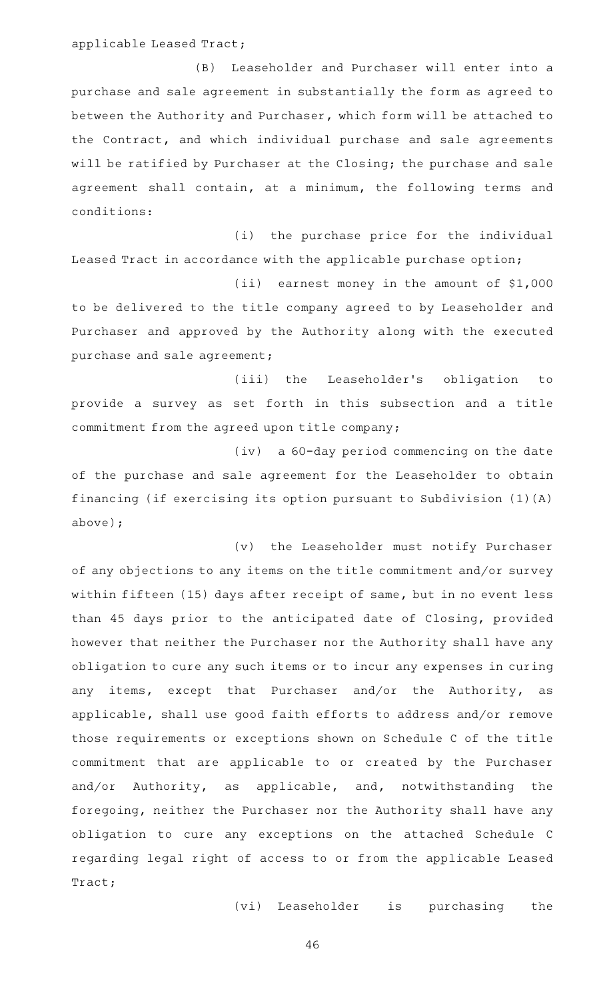applicable Leased Tract;

(B) Leaseholder and Purchaser will enter into a purchase and sale agreement in substantially the form as agreed to between the Authority and Purchaser, which form will be attached to the Contract, and which individual purchase and sale agreements will be ratified by Purchaser at the Closing; the purchase and sale agreement shall contain, at a minimum, the following terms and conditions:

(i) the purchase price for the individual Leased Tract in accordance with the applicable purchase option;

 $(iii)$  earnest money in the amount of \$1,000 to be delivered to the title company agreed to by Leaseholder and Purchaser and approved by the Authority along with the executed purchase and sale agreement;

(iii) the Leaseholder's obligation to provide a survey as set forth in this subsection and a title commitment from the agreed upon title company;

(iv) a 60-day period commencing on the date of the purchase and sale agreement for the Leaseholder to obtain financing (if exercising its option pursuant to Subdivision (1)(A) above);

(v) the Leaseholder must notify Purchaser of any objections to any items on the title commitment and/or survey within fifteen (15) days after receipt of same, but in no event less than 45 days prior to the anticipated date of Closing, provided however that neither the Purchaser nor the Authority shall have any obligation to cure any such items or to incur any expenses in curing any items, except that Purchaser and/or the Authority, as applicable, shall use good faith efforts to address and/or remove those requirements or exceptions shown on Schedule C of the title commitment that are applicable to or created by the Purchaser and/or Authority, as applicable, and, notwithstanding the foregoing, neither the Purchaser nor the Authority shall have any obligation to cure any exceptions on the attached Schedule C regarding legal right of access to or from the applicable Leased Tract;

(vi) Leaseholder is purchasing the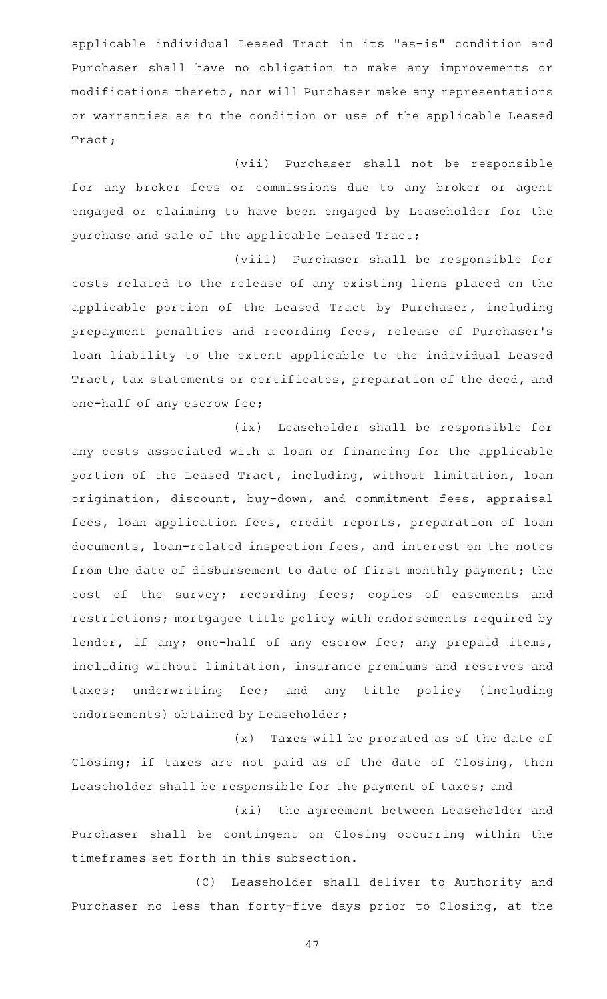applicable individual Leased Tract in its "as-is" condition and Purchaser shall have no obligation to make any improvements or modifications thereto, nor will Purchaser make any representations or warranties as to the condition or use of the applicable Leased Tract;

(vii) Purchaser shall not be responsible for any broker fees or commissions due to any broker or agent engaged or claiming to have been engaged by Leaseholder for the purchase and sale of the applicable Leased Tract;

(viii) Purchaser shall be responsible for costs related to the release of any existing liens placed on the applicable portion of the Leased Tract by Purchaser, including prepayment penalties and recording fees, release of Purchaser 's loan liability to the extent applicable to the individual Leased Tract, tax statements or certificates, preparation of the deed, and one-half of any escrow fee;

(ix) Leaseholder shall be responsible for any costs associated with a loan or financing for the applicable portion of the Leased Tract, including, without limitation, loan origination, discount, buy-down, and commitment fees, appraisal fees, loan application fees, credit reports, preparation of loan documents, loan-related inspection fees, and interest on the notes from the date of disbursement to date of first monthly payment; the cost of the survey; recording fees; copies of easements and restrictions; mortgagee title policy with endorsements required by lender, if any; one-half of any escrow fee; any prepaid items, including without limitation, insurance premiums and reserves and taxes; underwriting fee; and any title policy (including endorsements) obtained by Leaseholder;

(x) Taxes will be prorated as of the date of Closing; if taxes are not paid as of the date of Closing, then Leaseholder shall be responsible for the payment of taxes; and

(xi) the agreement between Leaseholder and Purchaser shall be contingent on Closing occurring within the timeframes set forth in this subsection.

(C) Leaseholder shall deliver to Authority and Purchaser no less than forty-five days prior to Closing, at the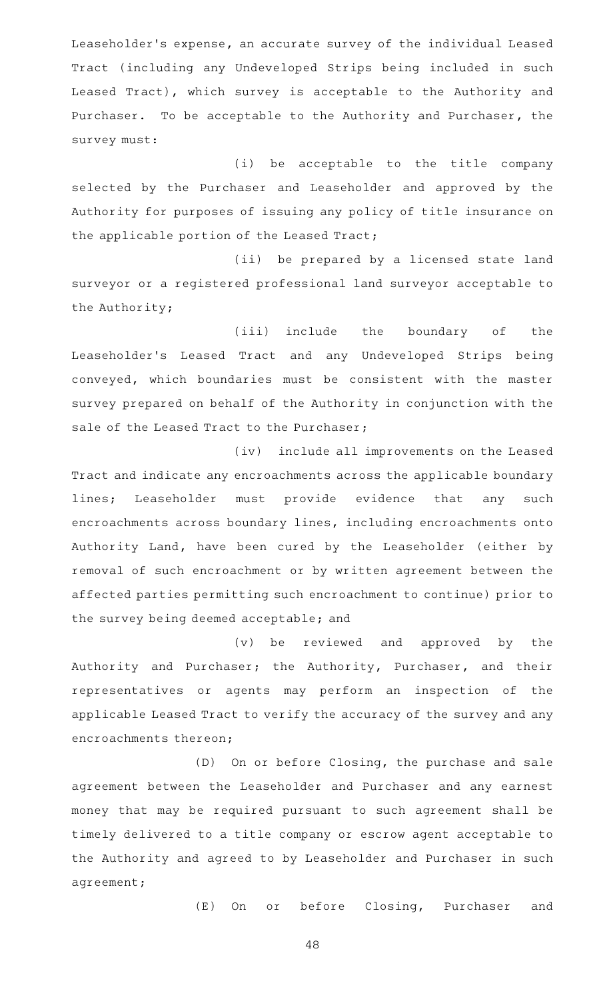Leaseholder 's expense, an accurate survey of the individual Leased Tract (including any Undeveloped Strips being included in such Leased Tract), which survey is acceptable to the Authority and Purchaser. To be acceptable to the Authority and Purchaser, the survey must:

(i) be acceptable to the title company selected by the Purchaser and Leaseholder and approved by the Authority for purposes of issuing any policy of title insurance on the applicable portion of the Leased Tract;

(ii) be prepared by a licensed state land surveyor or a registered professional land surveyor acceptable to the Authority;

(iii) include the boundary of the Leaseholder's Leased Tract and any Undeveloped Strips being conveyed, which boundaries must be consistent with the master survey prepared on behalf of the Authority in conjunction with the sale of the Leased Tract to the Purchaser;

(iv) include all improvements on the Leased Tract and indicate any encroachments across the applicable boundary lines; Leaseholder must provide evidence that any such encroachments across boundary lines, including encroachments onto Authority Land, have been cured by the Leaseholder (either by removal of such encroachment or by written agreement between the affected parties permitting such encroachment to continue) prior to the survey being deemed acceptable; and

(v) be reviewed and approved by the Authority and Purchaser; the Authority, Purchaser, and their representatives or agents may perform an inspection of the applicable Leased Tract to verify the accuracy of the survey and any encroachments thereon;

(D) On or before Closing, the purchase and sale agreement between the Leaseholder and Purchaser and any earnest money that may be required pursuant to such agreement shall be timely delivered to a title company or escrow agent acceptable to the Authority and agreed to by Leaseholder and Purchaser in such agreement;

(E) On or before Closing, Purchaser and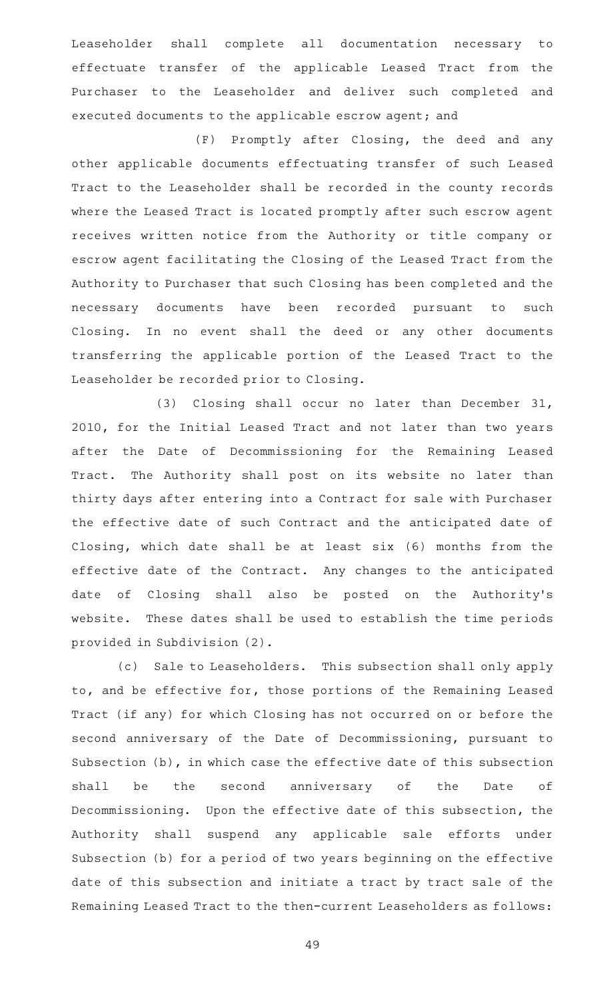Leaseholder shall complete all documentation necessary to effectuate transfer of the applicable Leased Tract from the Purchaser to the Leaseholder and deliver such completed and executed documents to the applicable escrow agent; and

(F) Promptly after Closing, the deed and any other applicable documents effectuating transfer of such Leased Tract to the Leaseholder shall be recorded in the county records where the Leased Tract is located promptly after such escrow agent receives written notice from the Authority or title company or escrow agent facilitating the Closing of the Leased Tract from the Authority to Purchaser that such Closing has been completed and the necessary documents have been recorded pursuant to such Closing. In no event shall the deed or any other documents transferring the applicable portion of the Leased Tract to the Leaseholder be recorded prior to Closing.

(3) Closing shall occur no later than December 31, 2010, for the Initial Leased Tract and not later than two years after the Date of Decommissioning for the Remaining Leased Tract. The Authority shall post on its website no later than thirty days after entering into a Contract for sale with Purchaser the effective date of such Contract and the anticipated date of Closing, which date shall be at least six (6) months from the effective date of the Contract. Any changes to the anticipated date of Closing shall also be posted on the Authority's website. These dates shall be used to establish the time periods provided in Subdivision (2).

(c) Sale to Leaseholders. This subsection shall only apply to, and be effective for, those portions of the Remaining Leased Tract (if any) for which Closing has not occurred on or before the second anniversary of the Date of Decommissioning, pursuant to Subsection (b), in which case the effective date of this subsection shall be the second anniversary of the Date of Decommissioning. Upon the effective date of this subsection, the Authority shall suspend any applicable sale efforts under Subsection (b) for a period of two years beginning on the effective date of this subsection and initiate a tract by tract sale of the Remaining Leased Tract to the then-current Leaseholders as follows: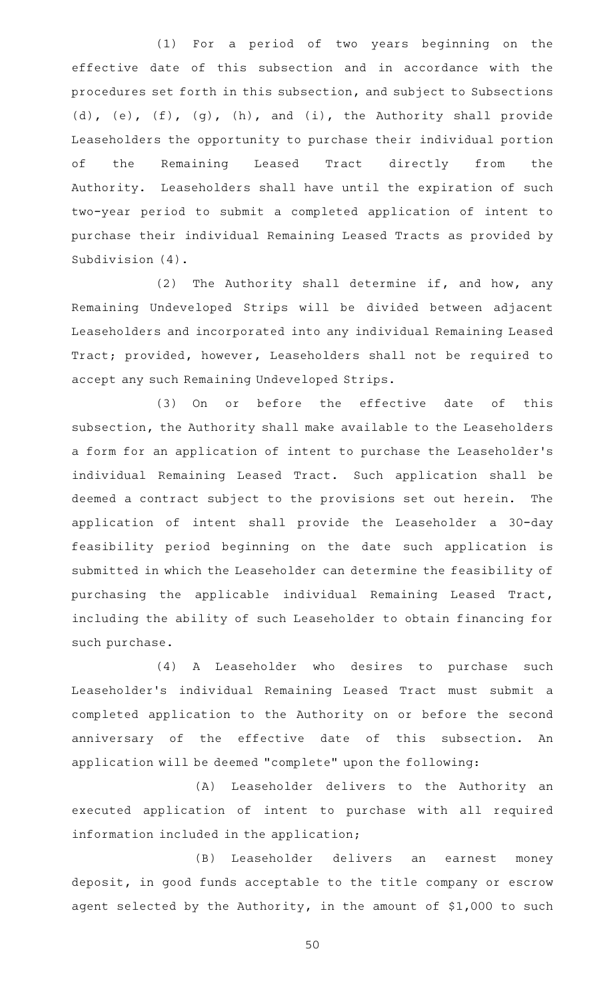(1) For a period of two years beginning on the effective date of this subsection and in accordance with the procedures set forth in this subsection, and subject to Subsections (d), (e), (f), (g), (h), and (i), the Authority shall provide Leaseholders the opportunity to purchase their individual portion of the Remaining Leased Tract directly from the Authority. Leaseholders shall have until the expiration of such two-year period to submit a completed application of intent to purchase their individual Remaining Leased Tracts as provided by Subdivision (4).

(2) The Authority shall determine if, and how, any Remaining Undeveloped Strips will be divided between adjacent Leaseholders and incorporated into any individual Remaining Leased Tract; provided, however, Leaseholders shall not be required to accept any such Remaining Undeveloped Strips.

(3) On or before the effective date of this subsection, the Authority shall make available to the Leaseholders a form for an application of intent to purchase the Leaseholder 's individual Remaining Leased Tract. Such application shall be deemed a contract subject to the provisions set out herein. The application of intent shall provide the Leaseholder a 30-day feasibility period beginning on the date such application is submitted in which the Leaseholder can determine the feasibility of purchasing the applicable individual Remaining Leased Tract, including the ability of such Leaseholder to obtain financing for such purchase.

(4) A Leaseholder who desires to purchase such Leaseholder 's individual Remaining Leased Tract must submit a completed application to the Authority on or before the second anniversary of the effective date of this subsection. An application will be deemed "complete" upon the following:

(A) Leaseholder delivers to the Authority an executed application of intent to purchase with all required information included in the application;

(B) Leaseholder delivers an earnest money deposit, in good funds acceptable to the title company or escrow agent selected by the Authority, in the amount of \$1,000 to such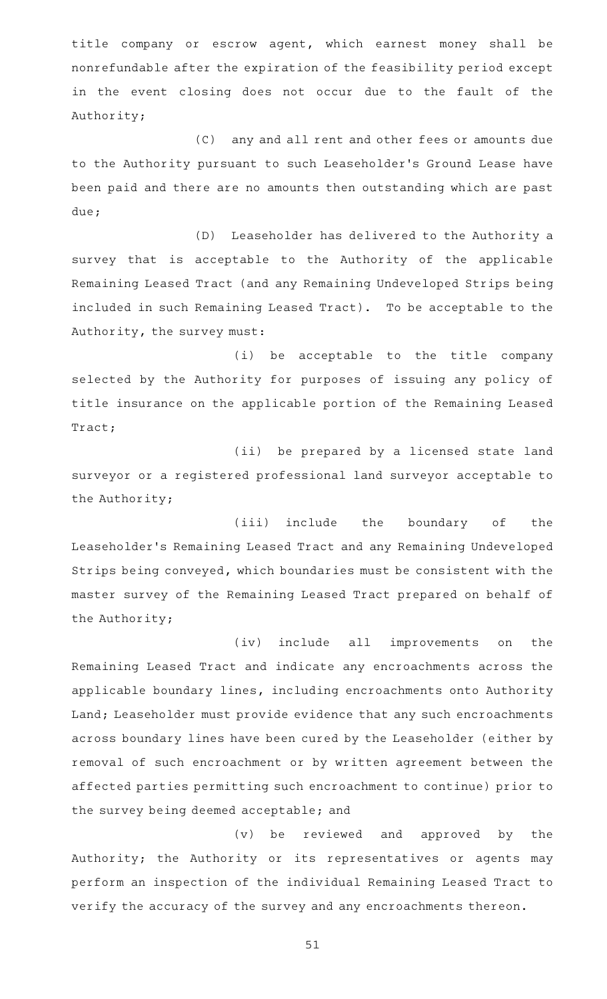title company or escrow agent, which earnest money shall be nonrefundable after the expiration of the feasibility period except in the event closing does not occur due to the fault of the Authority;

(C) any and all rent and other fees or amounts due to the Authority pursuant to such Leaseholder 's Ground Lease have been paid and there are no amounts then outstanding which are past due;

(D) Leaseholder has delivered to the Authority a survey that is acceptable to the Authority of the applicable Remaining Leased Tract (and any Remaining Undeveloped Strips being included in such Remaining Leased Tract). To be acceptable to the Authority, the survey must:

(i) be acceptable to the title company selected by the Authority for purposes of issuing any policy of title insurance on the applicable portion of the Remaining Leased Tract;

(ii) be prepared by a licensed state land surveyor or a registered professional land surveyor acceptable to the Authority;

(iii) include the boundary of the Leaseholder 's Remaining Leased Tract and any Remaining Undeveloped Strips being conveyed, which boundaries must be consistent with the master survey of the Remaining Leased Tract prepared on behalf of the Authority;

(iv) include all improvements on the Remaining Leased Tract and indicate any encroachments across the applicable boundary lines, including encroachments onto Authority Land; Leaseholder must provide evidence that any such encroachments across boundary lines have been cured by the Leaseholder (either by removal of such encroachment or by written agreement between the affected parties permitting such encroachment to continue) prior to the survey being deemed acceptable; and

(v) be reviewed and approved by the Authority; the Authority or its representatives or agents may perform an inspection of the individual Remaining Leased Tract to verify the accuracy of the survey and any encroachments thereon.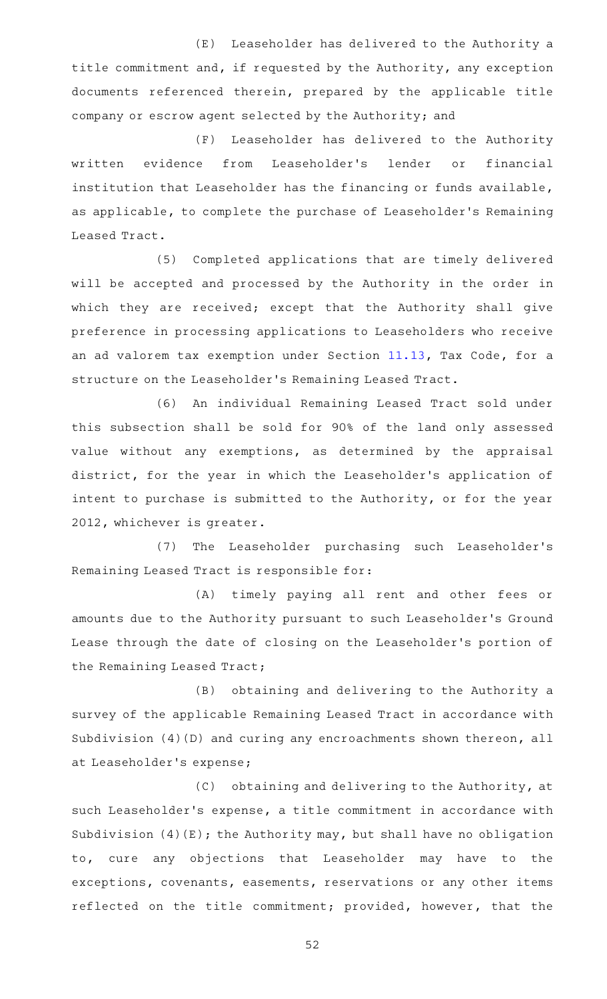(E) Leaseholder has delivered to the Authority a title commitment and, if requested by the Authority, any exception documents referenced therein, prepared by the applicable title company or escrow agent selected by the Authority; and

(F) Leaseholder has delivered to the Authority written evidence from Leaseholder's lender or financial institution that Leaseholder has the financing or funds available, as applicable, to complete the purchase of Leaseholder 's Remaining Leased Tract.

(5) Completed applications that are timely delivered will be accepted and processed by the Authority in the order in which they are received; except that the Authority shall give preference in processing applications to Leaseholders who receive an ad valorem tax exemption under Section [11.13,](http://www.statutes.legis.state.tx.us/GetStatute.aspx?Code=TX&Value=11.13) Tax Code, for a structure on the Leaseholder 's Remaining Leased Tract.

(6) An individual Remaining Leased Tract sold under this subsection shall be sold for 90% of the land only assessed value without any exemptions, as determined by the appraisal district, for the year in which the Leaseholder 's application of intent to purchase is submitted to the Authority, or for the year 2012, whichever is greater.

(7) The Leaseholder purchasing such Leaseholder's Remaining Leased Tract is responsible for:

(A) timely paying all rent and other fees or amounts due to the Authority pursuant to such Leaseholder 's Ground Lease through the date of closing on the Leaseholder 's portion of the Remaining Leased Tract;

(B) obtaining and delivering to the Authority a survey of the applicable Remaining Leased Tract in accordance with Subdivision (4)(D) and curing any encroachments shown thereon, all at Leaseholder 's expense;

(C) obtaining and delivering to the Authority, at such Leaseholder 's expense, a title commitment in accordance with Subdivision  $(4)(E)$ ; the Authority may, but shall have no obligation to, cure any objections that Leaseholder may have to the exceptions, covenants, easements, reservations or any other items reflected on the title commitment; provided, however, that the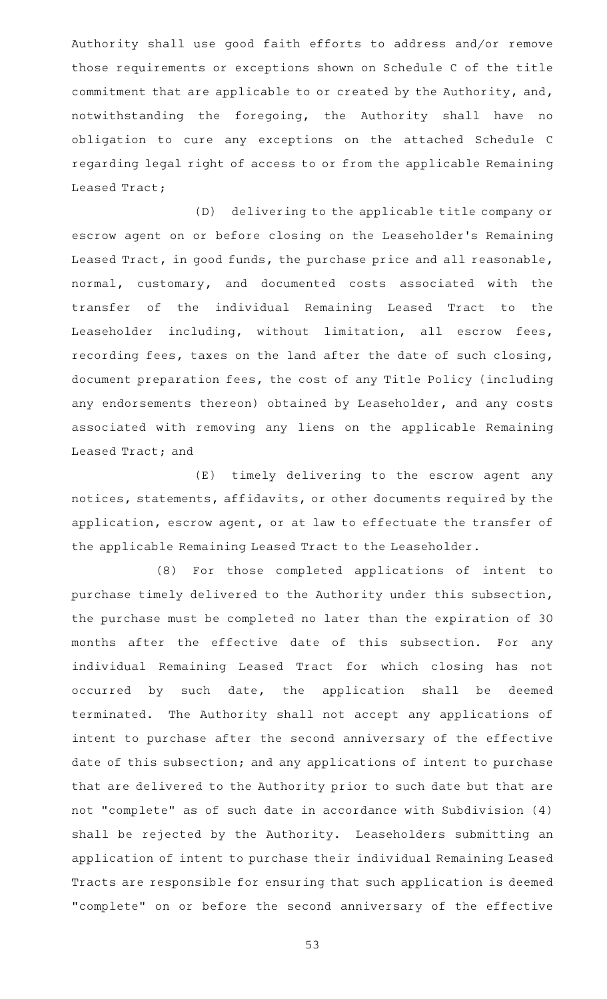Authority shall use good faith efforts to address and/or remove those requirements or exceptions shown on Schedule C of the title commitment that are applicable to or created by the Authority, and, notwithstanding the foregoing, the Authority shall have no obligation to cure any exceptions on the attached Schedule C regarding legal right of access to or from the applicable Remaining Leased Tract;

(D) delivering to the applicable title company or escrow agent on or before closing on the Leaseholder 's Remaining Leased Tract, in good funds, the purchase price and all reasonable, normal, customary, and documented costs associated with the transfer of the individual Remaining Leased Tract to the Leaseholder including, without limitation, all escrow fees, recording fees, taxes on the land after the date of such closing, document preparation fees, the cost of any Title Policy (including any endorsements thereon) obtained by Leaseholder, and any costs associated with removing any liens on the applicable Remaining Leased Tract; and

(E) timely delivering to the escrow agent any notices, statements, affidavits, or other documents required by the application, escrow agent, or at law to effectuate the transfer of the applicable Remaining Leased Tract to the Leaseholder.

(8) For those completed applications of intent to purchase timely delivered to the Authority under this subsection, the purchase must be completed no later than the expiration of 30 months after the effective date of this subsection. For any individual Remaining Leased Tract for which closing has not occurred by such date, the application shall be deemed terminated. The Authority shall not accept any applications of intent to purchase after the second anniversary of the effective date of this subsection; and any applications of intent to purchase that are delivered to the Authority prior to such date but that are not "complete" as of such date in accordance with Subdivision (4) shall be rejected by the Authority. Leaseholders submitting an application of intent to purchase their individual Remaining Leased Tracts are responsible for ensuring that such application is deemed "complete" on or before the second anniversary of the effective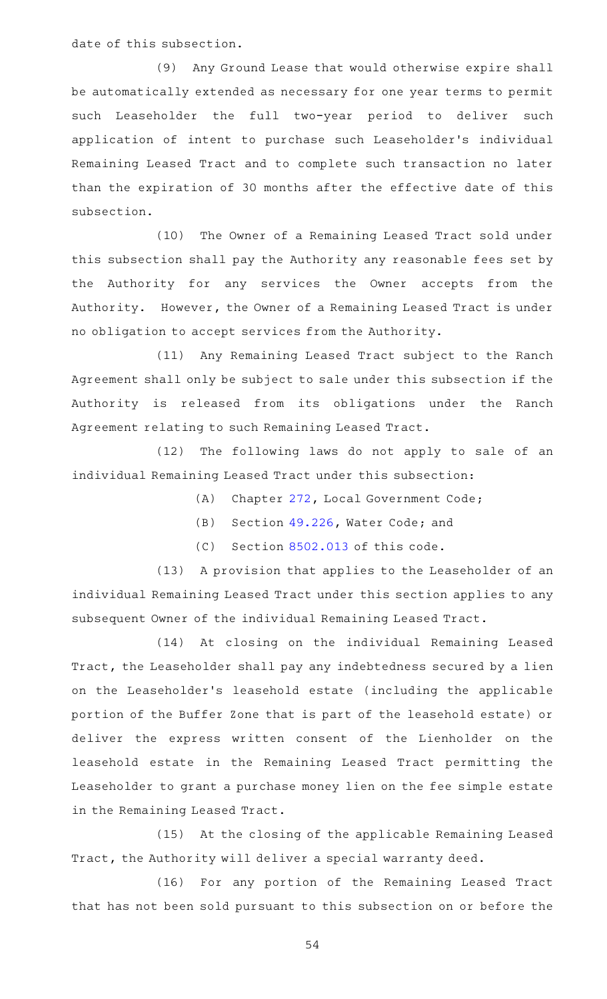date of this subsection.

(9) Any Ground Lease that would otherwise expire shall be automatically extended as necessary for one year terms to permit such Leaseholder the full two-year period to deliver such application of intent to purchase such Leaseholder 's individual Remaining Leased Tract and to complete such transaction no later than the expiration of 30 months after the effective date of this subsection.

(10) The Owner of a Remaining Leased Tract sold under this subsection shall pay the Authority any reasonable fees set by the Authority for any services the Owner accepts from the Authority. However, the Owner of a Remaining Leased Tract is under no obligation to accept services from the Authority.

(11) Any Remaining Leased Tract subject to the Ranch Agreement shall only be subject to sale under this subsection if the Authority is released from its obligations under the Ranch Agreement relating to such Remaining Leased Tract.

(12) The following laws do not apply to sale of an individual Remaining Leased Tract under this subsection:

- (A) Chapter [272,](http://www.statutes.legis.state.tx.us/GetStatute.aspx?Code=LG&Value=272) Local Government Code;
- (B) Section [49.226,](http://www.statutes.legis.state.tx.us/GetStatute.aspx?Code=WA&Value=49.226) Water Code; and
- $(C)$  Section [8502.013](http://www.statutes.legis.state.tx.us/GetStatute.aspx?Code=SD&Value=8502.013) of this code.

(13) A provision that applies to the Leaseholder of an individual Remaining Leased Tract under this section applies to any subsequent Owner of the individual Remaining Leased Tract.

(14) At closing on the individual Remaining Leased Tract, the Leaseholder shall pay any indebtedness secured by a lien on the Leaseholder 's leasehold estate (including the applicable portion of the Buffer Zone that is part of the leasehold estate) or deliver the express written consent of the Lienholder on the leasehold estate in the Remaining Leased Tract permitting the Leaseholder to grant a purchase money lien on the fee simple estate in the Remaining Leased Tract.

(15) At the closing of the applicable Remaining Leased Tract, the Authority will deliver a special warranty deed.

(16) For any portion of the Remaining Leased Tract that has not been sold pursuant to this subsection on or before the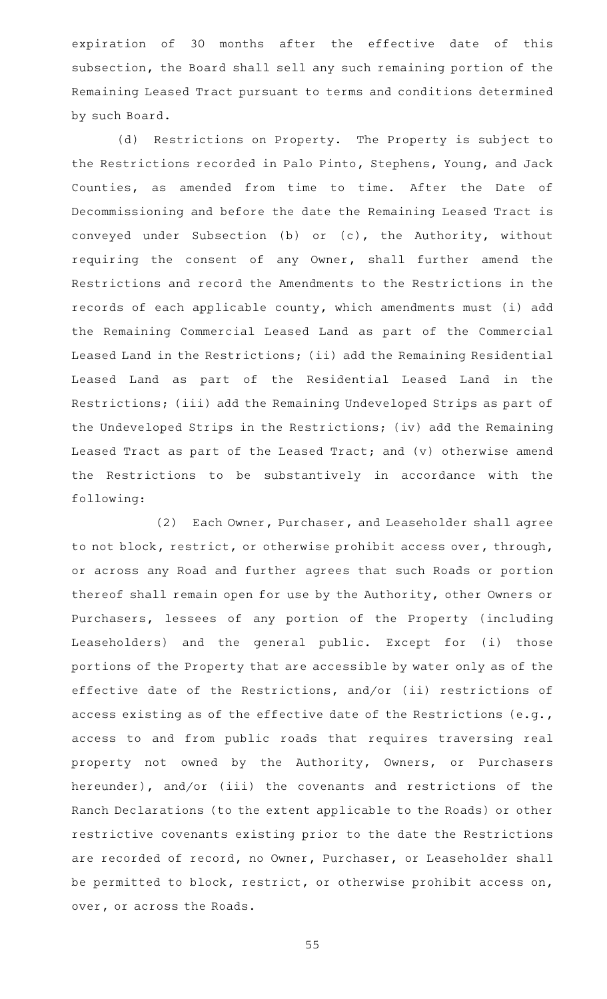expiration of 30 months after the effective date of this subsection, the Board shall sell any such remaining portion of the Remaining Leased Tract pursuant to terms and conditions determined by such Board.

(d) Restrictions on Property. The Property is subject to the Restrictions recorded in Palo Pinto, Stephens, Young, and Jack Counties, as amended from time to time. After the Date of Decommissioning and before the date the Remaining Leased Tract is conveyed under Subsection (b) or (c), the Authority, without requiring the consent of any Owner, shall further amend the Restrictions and record the Amendments to the Restrictions in the records of each applicable county, which amendments must (i) add the Remaining Commercial Leased Land as part of the Commercial Leased Land in the Restrictions; (ii) add the Remaining Residential Leased Land as part of the Residential Leased Land in the Restrictions; (iii) add the Remaining Undeveloped Strips as part of the Undeveloped Strips in the Restrictions; (iv) add the Remaining Leased Tract as part of the Leased Tract; and (v) otherwise amend the Restrictions to be substantively in accordance with the following:

(2) Each Owner, Purchaser, and Leaseholder shall agree to not block, restrict, or otherwise prohibit access over, through, or across any Road and further agrees that such Roads or portion thereof shall remain open for use by the Authority, other Owners or Purchasers, lessees of any portion of the Property (including Leaseholders) and the general public. Except for (i) those portions of the Property that are accessible by water only as of the effective date of the Restrictions, and/or (ii) restrictions of access existing as of the effective date of the Restrictions (e.g., access to and from public roads that requires traversing real property not owned by the Authority, Owners, or Purchasers hereunder), and/or (iii) the covenants and restrictions of the Ranch Declarations (to the extent applicable to the Roads) or other restrictive covenants existing prior to the date the Restrictions are recorded of record, no Owner, Purchaser, or Leaseholder shall be permitted to block, restrict, or otherwise prohibit access on, over, or across the Roads.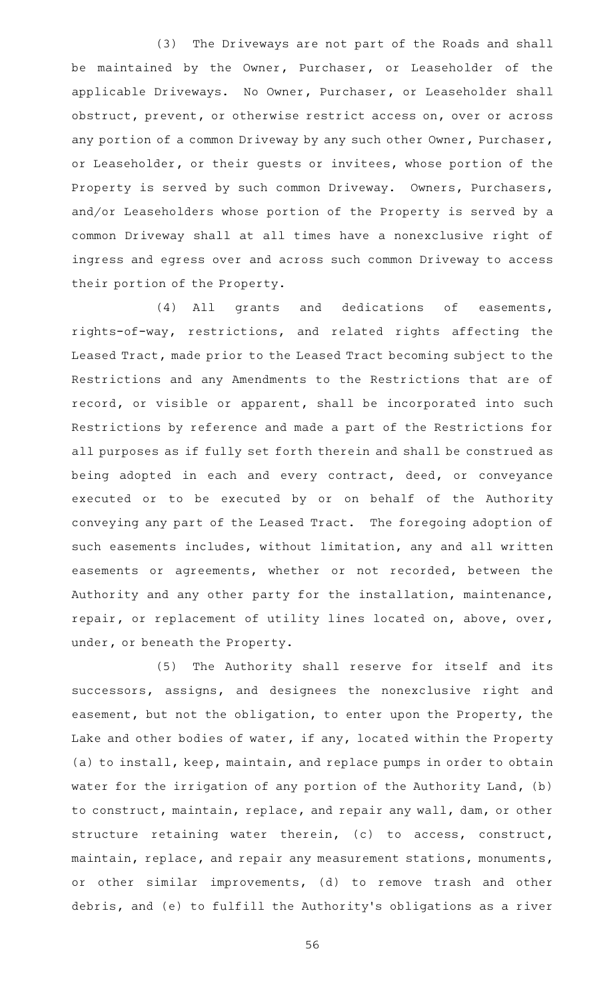(3) The Driveways are not part of the Roads and shall be maintained by the Owner, Purchaser, or Leaseholder of the applicable Driveways. No Owner, Purchaser, or Leaseholder shall obstruct, prevent, or otherwise restrict access on, over or across any portion of a common Driveway by any such other Owner, Purchaser, or Leaseholder, or their guests or invitees, whose portion of the Property is served by such common Driveway. Owners, Purchasers, and/or Leaseholders whose portion of the Property is served by a common Driveway shall at all times have a nonexclusive right of ingress and egress over and across such common Driveway to access their portion of the Property.

(4) All grants and dedications of easements, rights-of-way, restrictions, and related rights affecting the Leased Tract, made prior to the Leased Tract becoming subject to the Restrictions and any Amendments to the Restrictions that are of record, or visible or apparent, shall be incorporated into such Restrictions by reference and made a part of the Restrictions for all purposes as if fully set forth therein and shall be construed as being adopted in each and every contract, deed, or conveyance executed or to be executed by or on behalf of the Authority conveying any part of the Leased Tract. The foregoing adoption of such easements includes, without limitation, any and all written easements or agreements, whether or not recorded, between the Authority and any other party for the installation, maintenance, repair, or replacement of utility lines located on, above, over, under, or beneath the Property.

(5) The Authority shall reserve for itself and its successors, assigns, and designees the nonexclusive right and easement, but not the obligation, to enter upon the Property, the Lake and other bodies of water, if any, located within the Property (a) to install, keep, maintain, and replace pumps in order to obtain water for the irrigation of any portion of the Authority Land, (b) to construct, maintain, replace, and repair any wall, dam, or other structure retaining water therein, (c) to access, construct, maintain, replace, and repair any measurement stations, monuments, or other similar improvements, (d) to remove trash and other debris, and (e) to fulfill the Authority 's obligations as a river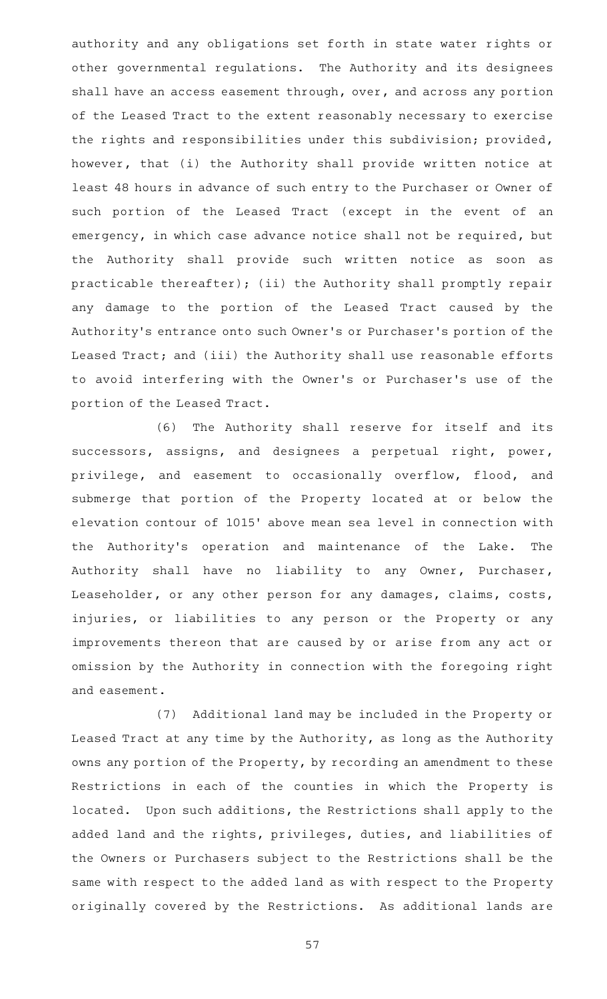authority and any obligations set forth in state water rights or other governmental regulations. The Authority and its designees shall have an access easement through, over, and across any portion of the Leased Tract to the extent reasonably necessary to exercise the rights and responsibilities under this subdivision; provided, however, that (i) the Authority shall provide written notice at least 48 hours in advance of such entry to the Purchaser or Owner of such portion of the Leased Tract (except in the event of an emergency, in which case advance notice shall not be required, but the Authority shall provide such written notice as soon as practicable thereafter); (ii) the Authority shall promptly repair any damage to the portion of the Leased Tract caused by the Authority 's entrance onto such Owner 's or Purchaser 's portion of the Leased Tract; and (iii) the Authority shall use reasonable efforts to avoid interfering with the Owner 's or Purchaser 's use of the portion of the Leased Tract.

(6) The Authority shall reserve for itself and its successors, assigns, and designees a perpetual right, power, privilege, and easement to occasionally overflow, flood, and submerge that portion of the Property located at or below the elevation contour of 1015' above mean sea level in connection with the Authority's operation and maintenance of the Lake. The Authority shall have no liability to any Owner, Purchaser, Leaseholder, or any other person for any damages, claims, costs, injuries, or liabilities to any person or the Property or any improvements thereon that are caused by or arise from any act or omission by the Authority in connection with the foregoing right and easement.

(7) Additional land may be included in the Property or Leased Tract at any time by the Authority, as long as the Authority owns any portion of the Property, by recording an amendment to these Restrictions in each of the counties in which the Property is located. Upon such additions, the Restrictions shall apply to the added land and the rights, privileges, duties, and liabilities of the Owners or Purchasers subject to the Restrictions shall be the same with respect to the added land as with respect to the Property originally covered by the Restrictions. As additional lands are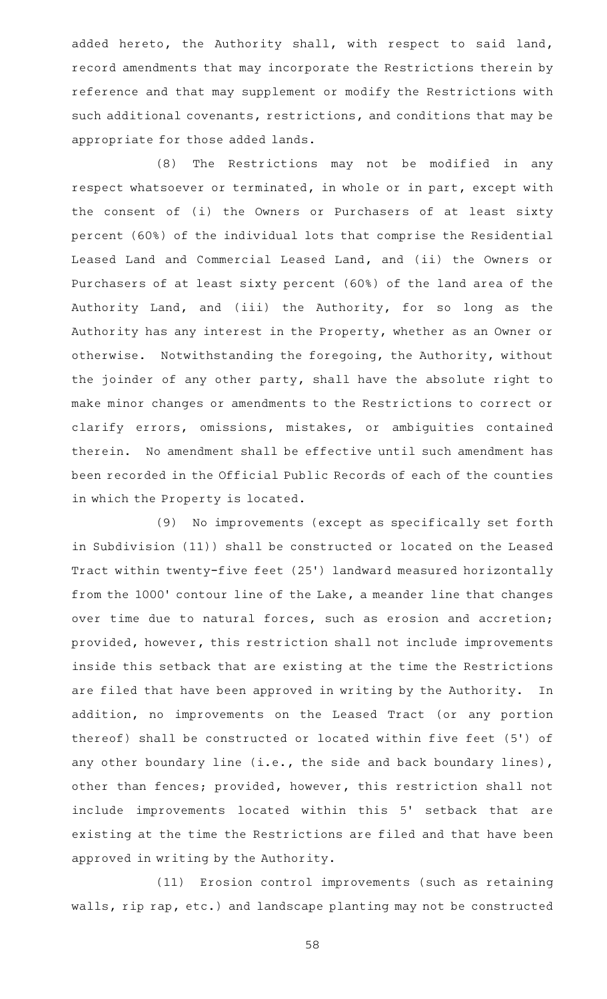added hereto, the Authority shall, with respect to said land, record amendments that may incorporate the Restrictions therein by reference and that may supplement or modify the Restrictions with such additional covenants, restrictions, and conditions that may be appropriate for those added lands.

(8) The Restrictions may not be modified in any respect whatsoever or terminated, in whole or in part, except with the consent of (i) the Owners or Purchasers of at least sixty percent (60%) of the individual lots that comprise the Residential Leased Land and Commercial Leased Land, and (ii) the Owners or Purchasers of at least sixty percent (60%) of the land area of the Authority Land, and (iii) the Authority, for so long as the Authority has any interest in the Property, whether as an Owner or otherwise. Notwithstanding the foregoing, the Authority, without the joinder of any other party, shall have the absolute right to make minor changes or amendments to the Restrictions to correct or clarify errors, omissions, mistakes, or ambiguities contained therein. No amendment shall be effective until such amendment has been recorded in the Official Public Records of each of the counties in which the Property is located.

(9) No improvements (except as specifically set forth in Subdivision (11)) shall be constructed or located on the Leased Tract within twenty-five feet (25 ') landward measured horizontally from the 1000' contour line of the Lake, a meander line that changes over time due to natural forces, such as erosion and accretion; provided, however, this restriction shall not include improvements inside this setback that are existing at the time the Restrictions are filed that have been approved in writing by the Authority. In addition, no improvements on the Leased Tract (or any portion thereof) shall be constructed or located within five feet (5') of any other boundary line (i.e., the side and back boundary lines), other than fences; provided, however, this restriction shall not include improvements located within this 5' setback that are existing at the time the Restrictions are filed and that have been approved in writing by the Authority.

(11) Erosion control improvements (such as retaining walls, rip rap, etc.) and landscape planting may not be constructed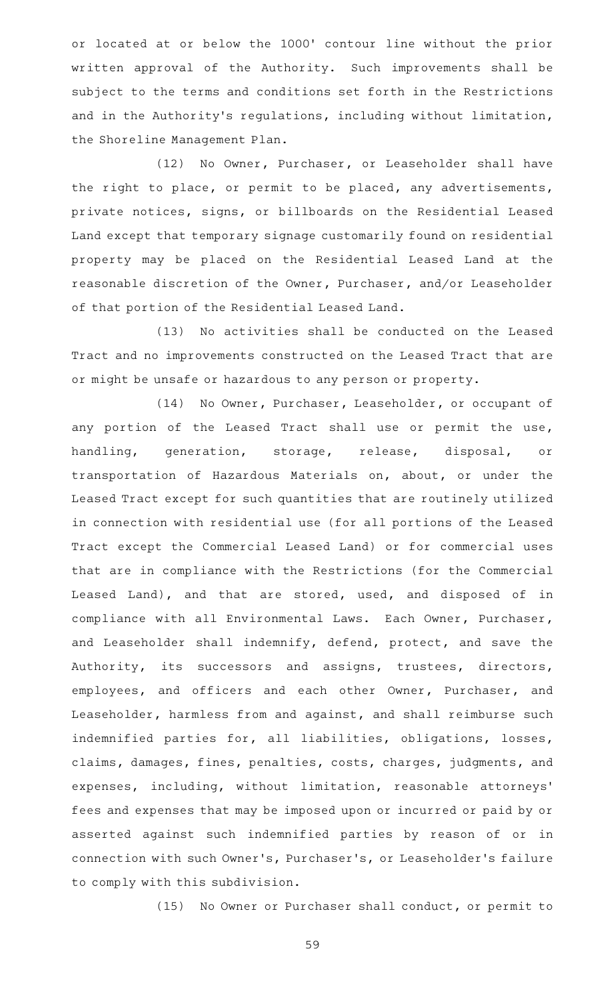or located at or below the 1000' contour line without the prior written approval of the Authority. Such improvements shall be subject to the terms and conditions set forth in the Restrictions and in the Authority's regulations, including without limitation, the Shoreline Management Plan.

(12) No Owner, Purchaser, or Leaseholder shall have the right to place, or permit to be placed, any advertisements, private notices, signs, or billboards on the Residential Leased Land except that temporary signage customarily found on residential property may be placed on the Residential Leased Land at the reasonable discretion of the Owner, Purchaser, and/or Leaseholder of that portion of the Residential Leased Land.

(13) No activities shall be conducted on the Leased Tract and no improvements constructed on the Leased Tract that are or might be unsafe or hazardous to any person or property.

(14) No Owner, Purchaser, Leaseholder, or occupant of any portion of the Leased Tract shall use or permit the use, handling, generation, storage, release, disposal, or transportation of Hazardous Materials on, about, or under the Leased Tract except for such quantities that are routinely utilized in connection with residential use (for all portions of the Leased Tract except the Commercial Leased Land) or for commercial uses that are in compliance with the Restrictions (for the Commercial Leased Land), and that are stored, used, and disposed of in compliance with all Environmental Laws. Each Owner, Purchaser, and Leaseholder shall indemnify, defend, protect, and save the Authority, its successors and assigns, trustees, directors, employees, and officers and each other Owner, Purchaser, and Leaseholder, harmless from and against, and shall reimburse such indemnified parties for, all liabilities, obligations, losses, claims, damages, fines, penalties, costs, charges, judgments, and expenses, including, without limitation, reasonable attorneys ' fees and expenses that may be imposed upon or incurred or paid by or asserted against such indemnified parties by reason of or in connection with such Owner 's, Purchaser 's, or Leaseholder 's failure to comply with this subdivision.

(15) No Owner or Purchaser shall conduct, or permit to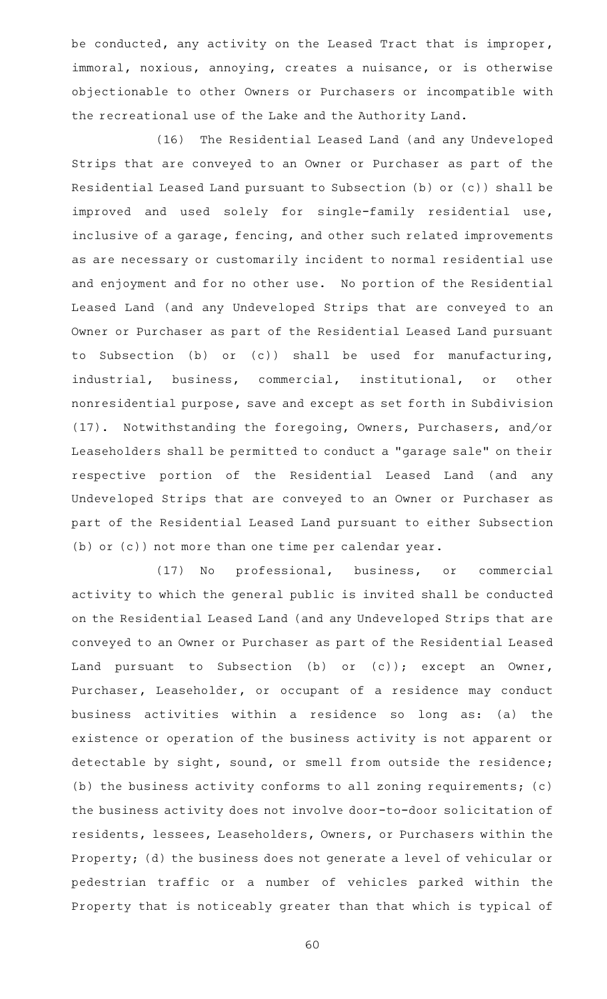be conducted, any activity on the Leased Tract that is improper, immoral, noxious, annoying, creates a nuisance, or is otherwise objectionable to other Owners or Purchasers or incompatible with the recreational use of the Lake and the Authority Land.

(16) The Residential Leased Land (and any Undeveloped Strips that are conveyed to an Owner or Purchaser as part of the Residential Leased Land pursuant to Subsection (b) or (c)) shall be improved and used solely for single-family residential use, inclusive of a garage, fencing, and other such related improvements as are necessary or customarily incident to normal residential use and enjoyment and for no other use. No portion of the Residential Leased Land (and any Undeveloped Strips that are conveyed to an Owner or Purchaser as part of the Residential Leased Land pursuant to Subsection (b) or (c)) shall be used for manufacturing, industrial, business, commercial, institutional, or other nonresidential purpose, save and except as set forth in Subdivision (17). Notwithstanding the foregoing, Owners, Purchasers, and/or Leaseholders shall be permitted to conduct a "garage sale" on their respective portion of the Residential Leased Land (and any Undeveloped Strips that are conveyed to an Owner or Purchaser as part of the Residential Leased Land pursuant to either Subsection (b) or (c)) not more than one time per calendar year.

(17) No professional, business, or commercial activity to which the general public is invited shall be conducted on the Residential Leased Land (and any Undeveloped Strips that are conveyed to an Owner or Purchaser as part of the Residential Leased Land pursuant to Subsection (b) or (c)); except an Owner, Purchaser, Leaseholder, or occupant of a residence may conduct business activities within a residence so long as: (a) the existence or operation of the business activity is not apparent or detectable by sight, sound, or smell from outside the residence; (b) the business activity conforms to all zoning requirements; (c) the business activity does not involve door-to-door solicitation of residents, lessees, Leaseholders, Owners, or Purchasers within the Property; (d) the business does not generate a level of vehicular or pedestrian traffic or a number of vehicles parked within the Property that is noticeably greater than that which is typical of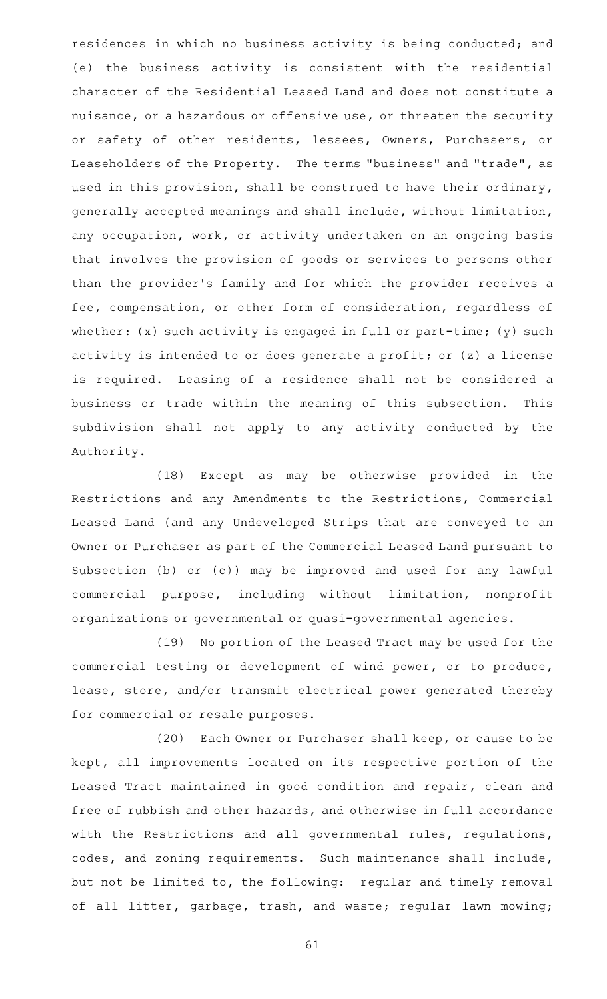residences in which no business activity is being conducted; and (e) the business activity is consistent with the residential character of the Residential Leased Land and does not constitute a nuisance, or a hazardous or offensive use, or threaten the security or safety of other residents, lessees, Owners, Purchasers, or Leaseholders of the Property. The terms "business" and "trade", as used in this provision, shall be construed to have their ordinary, generally accepted meanings and shall include, without limitation, any occupation, work, or activity undertaken on an ongoing basis that involves the provision of goods or services to persons other than the provider 's family and for which the provider receives a fee, compensation, or other form of consideration, regardless of whether: (x) such activity is engaged in full or part-time; (y) such activity is intended to or does generate a profit; or (z) a license is required. Leasing of a residence shall not be considered a business or trade within the meaning of this subsection. This subdivision shall not apply to any activity conducted by the Authority.

(18) Except as may be otherwise provided in the Restrictions and any Amendments to the Restrictions, Commercial Leased Land (and any Undeveloped Strips that are conveyed to an Owner or Purchaser as part of the Commercial Leased Land pursuant to Subsection (b) or (c)) may be improved and used for any lawful commercial purpose, including without limitation, nonprofit organizations or governmental or quasi-governmental agencies.

(19) No portion of the Leased Tract may be used for the commercial testing or development of wind power, or to produce, lease, store, and/or transmit electrical power generated thereby for commercial or resale purposes.

(20) Each Owner or Purchaser shall keep, or cause to be kept, all improvements located on its respective portion of the Leased Tract maintained in good condition and repair, clean and free of rubbish and other hazards, and otherwise in full accordance with the Restrictions and all governmental rules, regulations, codes, and zoning requirements. Such maintenance shall include, but not be limited to, the following: regular and timely removal of all litter, garbage, trash, and waste; regular lawn mowing;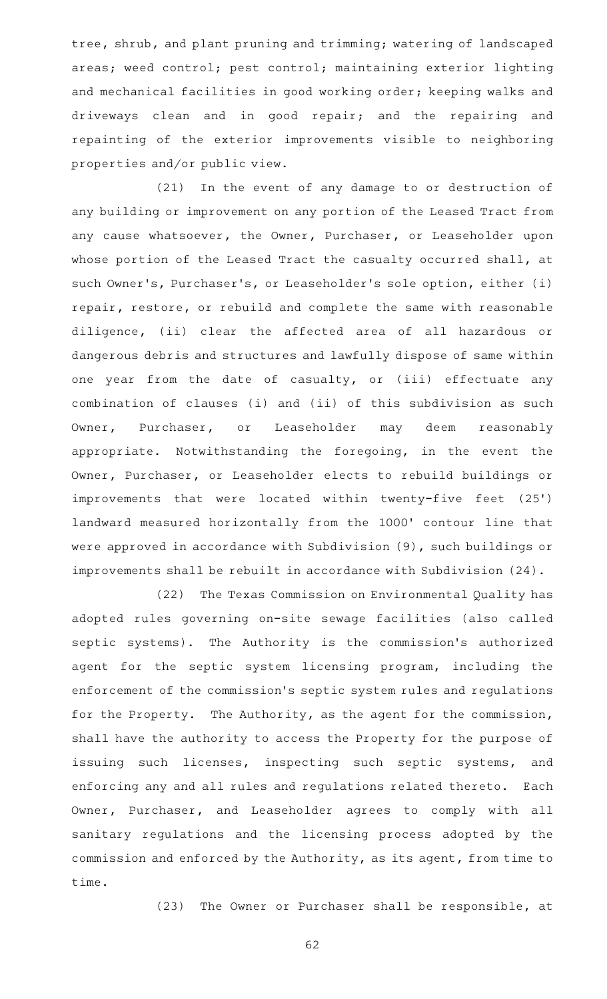tree, shrub, and plant pruning and trimming; watering of landscaped areas; weed control; pest control; maintaining exterior lighting and mechanical facilities in good working order; keeping walks and driveways clean and in good repair; and the repairing and repainting of the exterior improvements visible to neighboring properties and/or public view.

(21) In the event of any damage to or destruction of any building or improvement on any portion of the Leased Tract from any cause whatsoever, the Owner, Purchaser, or Leaseholder upon whose portion of the Leased Tract the casualty occurred shall, at such Owner 's, Purchaser 's, or Leaseholder 's sole option, either (i) repair, restore, or rebuild and complete the same with reasonable diligence, (ii) clear the affected area of all hazardous or dangerous debris and structures and lawfully dispose of same within one year from the date of casualty, or (iii) effectuate any combination of clauses (i) and (ii) of this subdivision as such Owner, Purchaser, or Leaseholder may deem reasonably appropriate. Notwithstanding the foregoing, in the event the Owner, Purchaser, or Leaseholder elects to rebuild buildings or improvements that were located within twenty-five feet (25') landward measured horizontally from the 1000' contour line that were approved in accordance with Subdivision (9), such buildings or improvements shall be rebuilt in accordance with Subdivision (24).

(22) The Texas Commission on Environmental Quality has adopted rules governing on-site sewage facilities (also called septic systems). The Authority is the commission's authorized agent for the septic system licensing program, including the enforcement of the commission 's septic system rules and regulations for the Property. The Authority, as the agent for the commission, shall have the authority to access the Property for the purpose of issuing such licenses, inspecting such septic systems, and enforcing any and all rules and regulations related thereto. Each Owner, Purchaser, and Leaseholder agrees to comply with all sanitary regulations and the licensing process adopted by the commission and enforced by the Authority, as its agent, from time to time.

(23) The Owner or Purchaser shall be responsible, at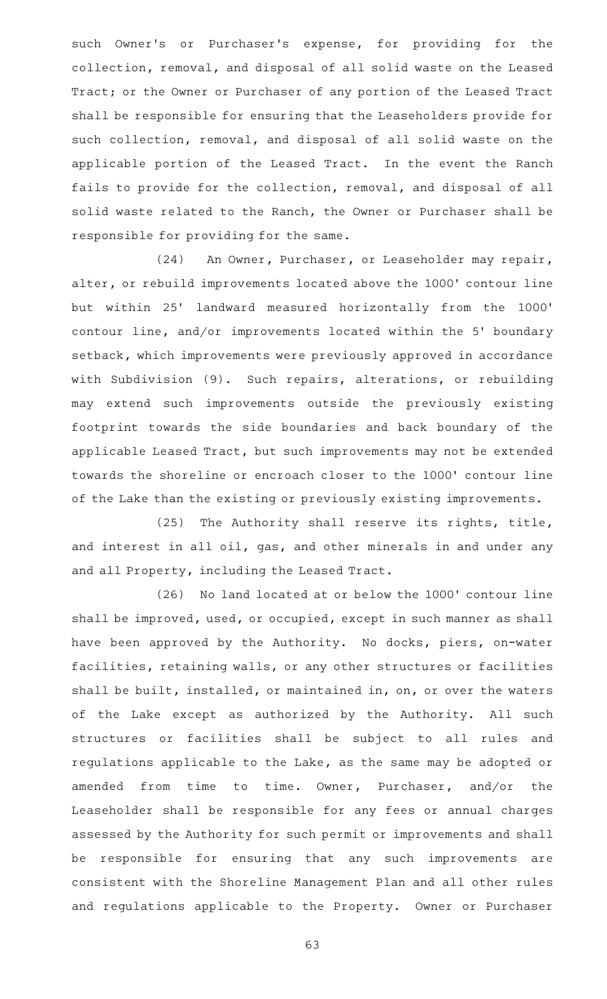such Owner's or Purchaser's expense, for providing for the collection, removal, and disposal of all solid waste on the Leased Tract; or the Owner or Purchaser of any portion of the Leased Tract shall be responsible for ensuring that the Leaseholders provide for such collection, removal, and disposal of all solid waste on the applicable portion of the Leased Tract. In the event the Ranch fails to provide for the collection, removal, and disposal of all solid waste related to the Ranch, the Owner or Purchaser shall be responsible for providing for the same.

(24) An Owner, Purchaser, or Leaseholder may repair, alter, or rebuild improvements located above the 1000' contour line but within 25' landward measured horizontally from the 1000' contour line, and/or improvements located within the 5' boundary setback, which improvements were previously approved in accordance with Subdivision (9). Such repairs, alterations, or rebuilding may extend such improvements outside the previously existing footprint towards the side boundaries and back boundary of the applicable Leased Tract, but such improvements may not be extended towards the shoreline or encroach closer to the 1000' contour line of the Lake than the existing or previously existing improvements.

(25) The Authority shall reserve its rights, title, and interest in all oil, gas, and other minerals in and under any and all Property, including the Leased Tract.

(26) No land located at or below the 1000' contour line shall be improved, used, or occupied, except in such manner as shall have been approved by the Authority. No docks, piers, on-water facilities, retaining walls, or any other structures or facilities shall be built, installed, or maintained in, on, or over the waters of the Lake except as authorized by the Authority. All such structures or facilities shall be subject to all rules and regulations applicable to the Lake, as the same may be adopted or amended from time to time. Owner, Purchaser, and/or the Leaseholder shall be responsible for any fees or annual charges assessed by the Authority for such permit or improvements and shall be responsible for ensuring that any such improvements are consistent with the Shoreline Management Plan and all other rules and regulations applicable to the Property. Owner or Purchaser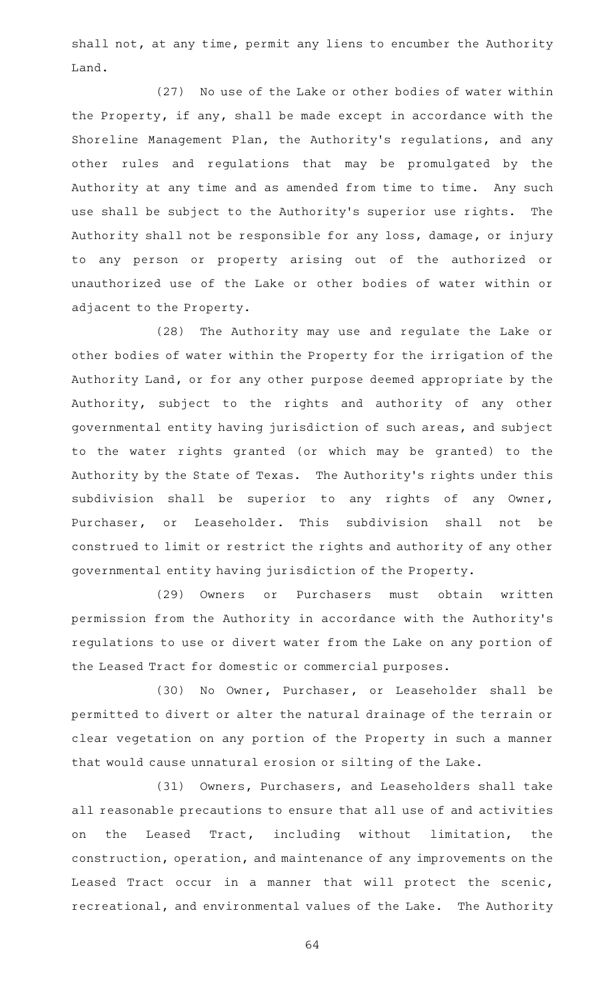shall not, at any time, permit any liens to encumber the Authority Land.

(27) No use of the Lake or other bodies of water within the Property, if any, shall be made except in accordance with the Shoreline Management Plan, the Authority's regulations, and any other rules and regulations that may be promulgated by the Authority at any time and as amended from time to time. Any such use shall be subject to the Authority's superior use rights. The Authority shall not be responsible for any loss, damage, or injury to any person or property arising out of the authorized or unauthorized use of the Lake or other bodies of water within or adjacent to the Property.

(28) The Authority may use and regulate the Lake or other bodies of water within the Property for the irrigation of the Authority Land, or for any other purpose deemed appropriate by the Authority, subject to the rights and authority of any other governmental entity having jurisdiction of such areas, and subject to the water rights granted (or which may be granted) to the Authority by the State of Texas. The Authority's rights under this subdivision shall be superior to any rights of any Owner, Purchaser, or Leaseholder. This subdivision shall not be construed to limit or restrict the rights and authority of any other governmental entity having jurisdiction of the Property.

(29) Owners or Purchasers must obtain written permission from the Authority in accordance with the Authority 's regulations to use or divert water from the Lake on any portion of the Leased Tract for domestic or commercial purposes.

(30) No Owner, Purchaser, or Leaseholder shall be permitted to divert or alter the natural drainage of the terrain or clear vegetation on any portion of the Property in such a manner that would cause unnatural erosion or silting of the Lake.

(31) Owners, Purchasers, and Leaseholders shall take all reasonable precautions to ensure that all use of and activities on the Leased Tract, including without limitation, the construction, operation, and maintenance of any improvements on the Leased Tract occur in a manner that will protect the scenic, recreational, and environmental values of the Lake. The Authority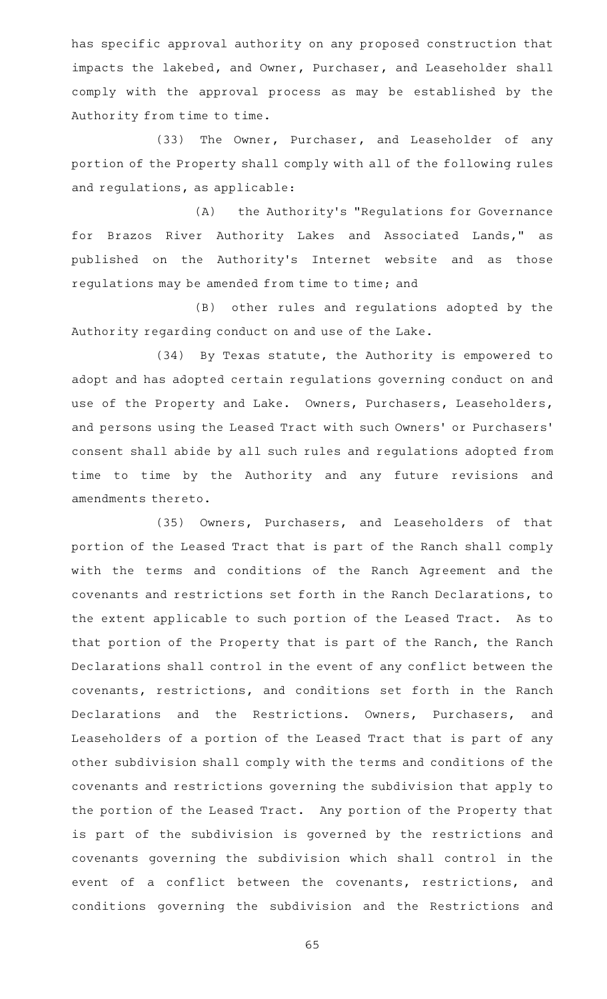has specific approval authority on any proposed construction that impacts the lakebed, and Owner, Purchaser, and Leaseholder shall comply with the approval process as may be established by the Authority from time to time.

(33) The Owner, Purchaser, and Leaseholder of any portion of the Property shall comply with all of the following rules and regulations, as applicable:

(A) the Authority's "Regulations for Governance for Brazos River Authority Lakes and Associated Lands," as published on the Authority's Internet website and as those regulations may be amended from time to time; and

(B) other rules and regulations adopted by the Authority regarding conduct on and use of the Lake.

(34) By Texas statute, the Authority is empowered to adopt and has adopted certain regulations governing conduct on and use of the Property and Lake. Owners, Purchasers, Leaseholders, and persons using the Leased Tract with such Owners' or Purchasers' consent shall abide by all such rules and regulations adopted from time to time by the Authority and any future revisions and amendments thereto.

(35) Owners, Purchasers, and Leaseholders of that portion of the Leased Tract that is part of the Ranch shall comply with the terms and conditions of the Ranch Agreement and the covenants and restrictions set forth in the Ranch Declarations, to the extent applicable to such portion of the Leased Tract. As to that portion of the Property that is part of the Ranch, the Ranch Declarations shall control in the event of any conflict between the covenants, restrictions, and conditions set forth in the Ranch Declarations and the Restrictions. Owners, Purchasers, and Leaseholders of a portion of the Leased Tract that is part of any other subdivision shall comply with the terms and conditions of the covenants and restrictions governing the subdivision that apply to the portion of the Leased Tract. Any portion of the Property that is part of the subdivision is governed by the restrictions and covenants governing the subdivision which shall control in the event of a conflict between the covenants, restrictions, and conditions governing the subdivision and the Restrictions and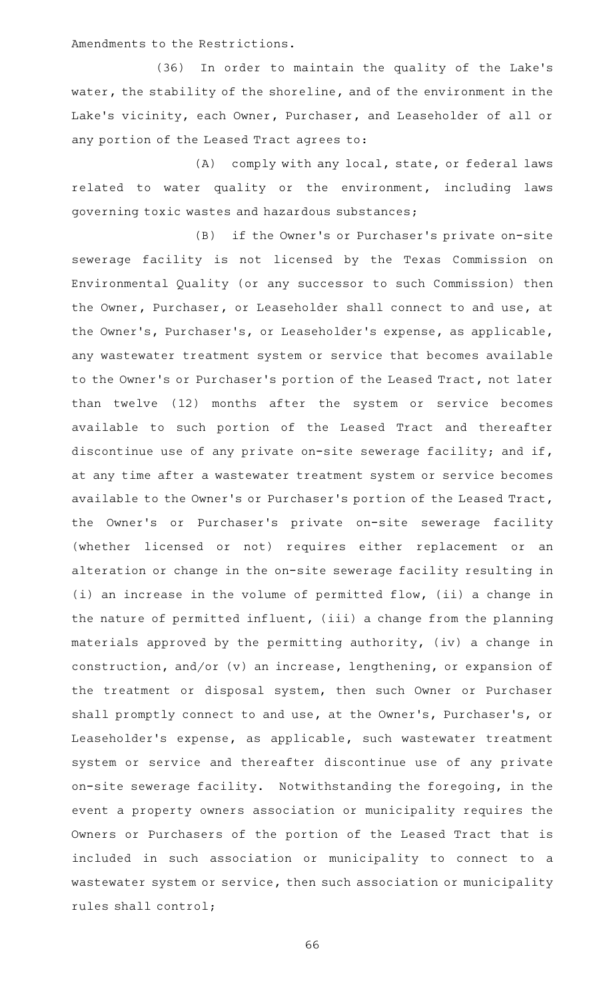Amendments to the Restrictions.

(36) In order to maintain the quality of the Lake's water, the stability of the shoreline, and of the environment in the Lake 's vicinity, each Owner, Purchaser, and Leaseholder of all or any portion of the Leased Tract agrees to:

(A) comply with any local, state, or federal laws related to water quality or the environment, including laws governing toxic wastes and hazardous substances;

(B) if the Owner's or Purchaser's private on-site sewerage facility is not licensed by the Texas Commission on Environmental Quality (or any successor to such Commission) then the Owner, Purchaser, or Leaseholder shall connect to and use, at the Owner 's, Purchaser 's, or Leaseholder 's expense, as applicable, any wastewater treatment system or service that becomes available to the Owner 's or Purchaser 's portion of the Leased Tract, not later than twelve (12) months after the system or service becomes available to such portion of the Leased Tract and thereafter discontinue use of any private on-site sewerage facility; and if, at any time after a wastewater treatment system or service becomes available to the Owner 's or Purchaser 's portion of the Leased Tract, the Owner's or Purchaser's private on-site sewerage facility (whether licensed or not) requires either replacement or an alteration or change in the on-site sewerage facility resulting in (i) an increase in the volume of permitted flow, (ii) a change in the nature of permitted influent, (iii) a change from the planning materials approved by the permitting authority, (iv) a change in construction, and/or (v) an increase, lengthening, or expansion of the treatment or disposal system, then such Owner or Purchaser shall promptly connect to and use, at the Owner 's, Purchaser 's, or Leaseholder 's expense, as applicable, such wastewater treatment system or service and thereafter discontinue use of any private on-site sewerage facility. Notwithstanding the foregoing, in the event a property owners association or municipality requires the Owners or Purchasers of the portion of the Leased Tract that is included in such association or municipality to connect to a wastewater system or service, then such association or municipality rules shall control;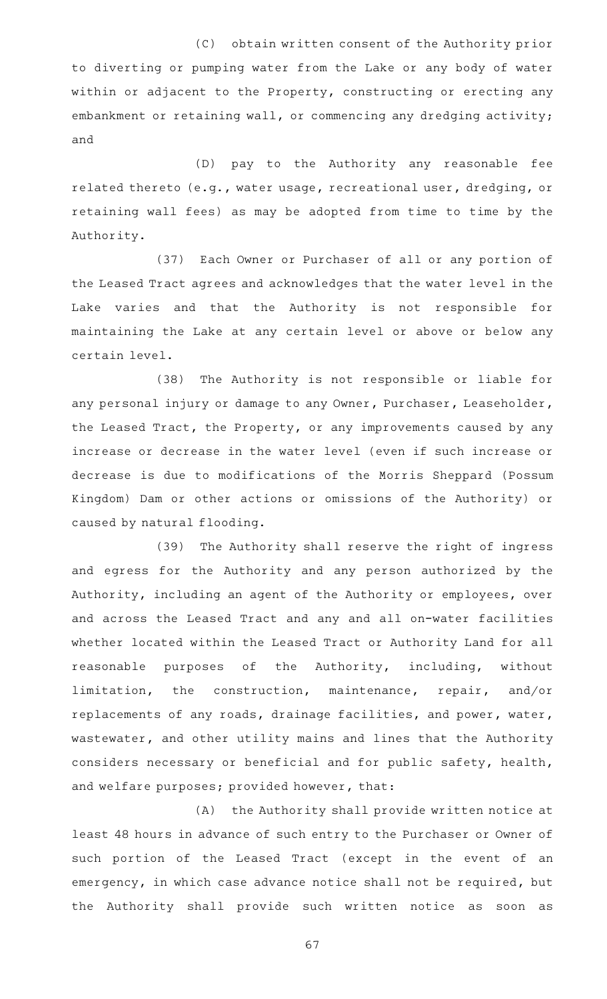(C) obtain written consent of the Authority prior to diverting or pumping water from the Lake or any body of water within or adjacent to the Property, constructing or erecting any embankment or retaining wall, or commencing any dredging activity; and

(D) pay to the Authority any reasonable fee related thereto (e.g., water usage, recreational user, dredging, or retaining wall fees) as may be adopted from time to time by the Authority.

(37) Each Owner or Purchaser of all or any portion of the Leased Tract agrees and acknowledges that the water level in the Lake varies and that the Authority is not responsible for maintaining the Lake at any certain level or above or below any certain level.

(38) The Authority is not responsible or liable for any personal injury or damage to any Owner, Purchaser, Leaseholder, the Leased Tract, the Property, or any improvements caused by any increase or decrease in the water level (even if such increase or decrease is due to modifications of the Morris Sheppard (Possum Kingdom) Dam or other actions or omissions of the Authority) or caused by natural flooding.

(39) The Authority shall reserve the right of ingress and egress for the Authority and any person authorized by the Authority, including an agent of the Authority or employees, over and across the Leased Tract and any and all on-water facilities whether located within the Leased Tract or Authority Land for all reasonable purposes of the Authority, including, without limitation, the construction, maintenance, repair, and/or replacements of any roads, drainage facilities, and power, water, wastewater, and other utility mains and lines that the Authority considers necessary or beneficial and for public safety, health, and welfare purposes; provided however, that:

(A) the Authority shall provide written notice at least 48 hours in advance of such entry to the Purchaser or Owner of such portion of the Leased Tract (except in the event of an emergency, in which case advance notice shall not be required, but the Authority shall provide such written notice as soon as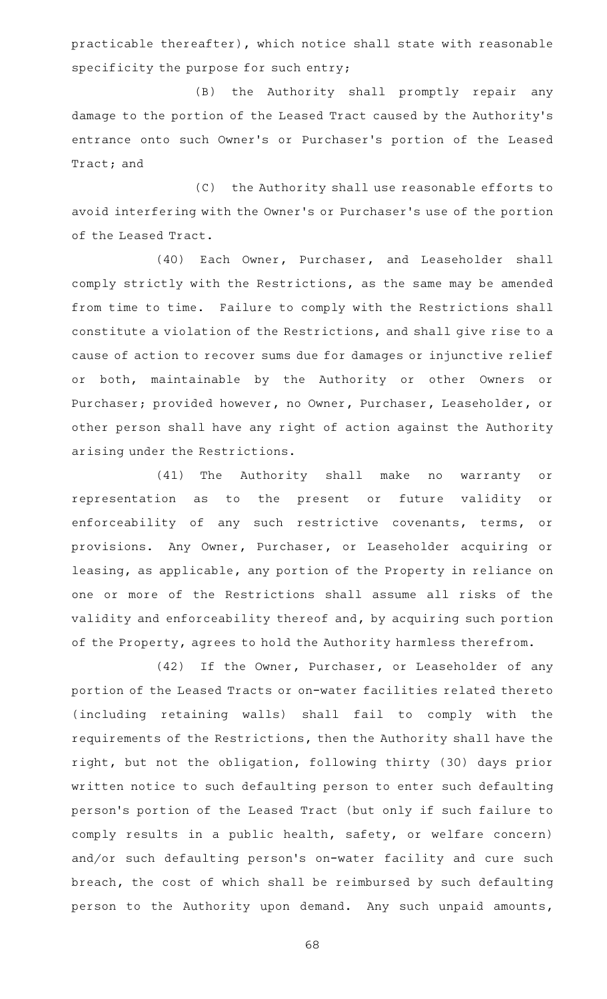practicable thereafter), which notice shall state with reasonable specificity the purpose for such entry;

(B) the Authority shall promptly repair any damage to the portion of the Leased Tract caused by the Authority 's entrance onto such Owner 's or Purchaser 's portion of the Leased Tract; and

(C) the Authority shall use reasonable efforts to avoid interfering with the Owner 's or Purchaser 's use of the portion of the Leased Tract.

(40) Each Owner, Purchaser, and Leaseholder shall comply strictly with the Restrictions, as the same may be amended from time to time. Failure to comply with the Restrictions shall constitute a violation of the Restrictions, and shall give rise to a cause of action to recover sums due for damages or injunctive relief or both, maintainable by the Authority or other Owners or Purchaser; provided however, no Owner, Purchaser, Leaseholder, or other person shall have any right of action against the Authority arising under the Restrictions.

(41) The Authority shall make no warranty or representation as to the present or future validity or enforceability of any such restrictive covenants, terms, or provisions. Any Owner, Purchaser, or Leaseholder acquiring or leasing, as applicable, any portion of the Property in reliance on one or more of the Restrictions shall assume all risks of the validity and enforceability thereof and, by acquiring such portion of the Property, agrees to hold the Authority harmless therefrom.

(42) If the Owner, Purchaser, or Leaseholder of any portion of the Leased Tracts or on-water facilities related thereto (including retaining walls) shall fail to comply with the requirements of the Restrictions, then the Authority shall have the right, but not the obligation, following thirty (30) days prior written notice to such defaulting person to enter such defaulting person 's portion of the Leased Tract (but only if such failure to comply results in a public health, safety, or welfare concern) and/or such defaulting person's on-water facility and cure such breach, the cost of which shall be reimbursed by such defaulting person to the Authority upon demand. Any such unpaid amounts,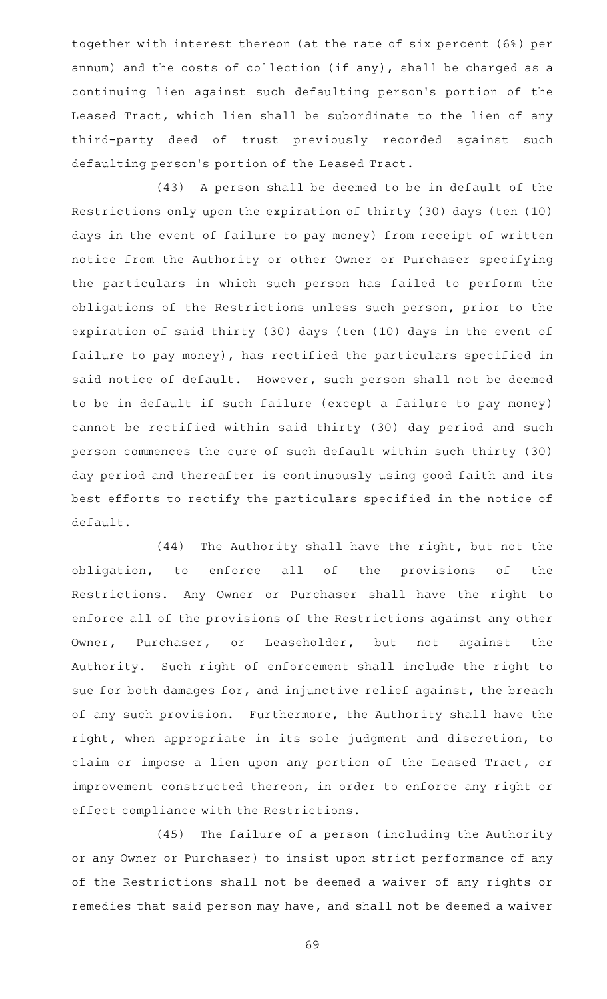together with interest thereon (at the rate of six percent (6%) per annum) and the costs of collection (if any), shall be charged as a continuing lien against such defaulting person's portion of the Leased Tract, which lien shall be subordinate to the lien of any third-party deed of trust previously recorded against such defaulting person 's portion of the Leased Tract.

(43) A person shall be deemed to be in default of the Restrictions only upon the expiration of thirty (30) days (ten (10) days in the event of failure to pay money) from receipt of written notice from the Authority or other Owner or Purchaser specifying the particulars in which such person has failed to perform the obligations of the Restrictions unless such person, prior to the expiration of said thirty (30) days (ten (10) days in the event of failure to pay money), has rectified the particulars specified in said notice of default. However, such person shall not be deemed to be in default if such failure (except a failure to pay money) cannot be rectified within said thirty (30) day period and such person commences the cure of such default within such thirty (30) day period and thereafter is continuously using good faith and its best efforts to rectify the particulars specified in the notice of default.

(44) The Authority shall have the right, but not the obligation, to enforce all of the provisions of the Restrictions. Any Owner or Purchaser shall have the right to enforce all of the provisions of the Restrictions against any other Owner, Purchaser, or Leaseholder, but not against the Authority. Such right of enforcement shall include the right to sue for both damages for, and injunctive relief against, the breach of any such provision. Furthermore, the Authority shall have the right, when appropriate in its sole judgment and discretion, to claim or impose a lien upon any portion of the Leased Tract, or improvement constructed thereon, in order to enforce any right or effect compliance with the Restrictions.

(45) The failure of a person (including the Authority or any Owner or Purchaser) to insist upon strict performance of any of the Restrictions shall not be deemed a waiver of any rights or remedies that said person may have, and shall not be deemed a waiver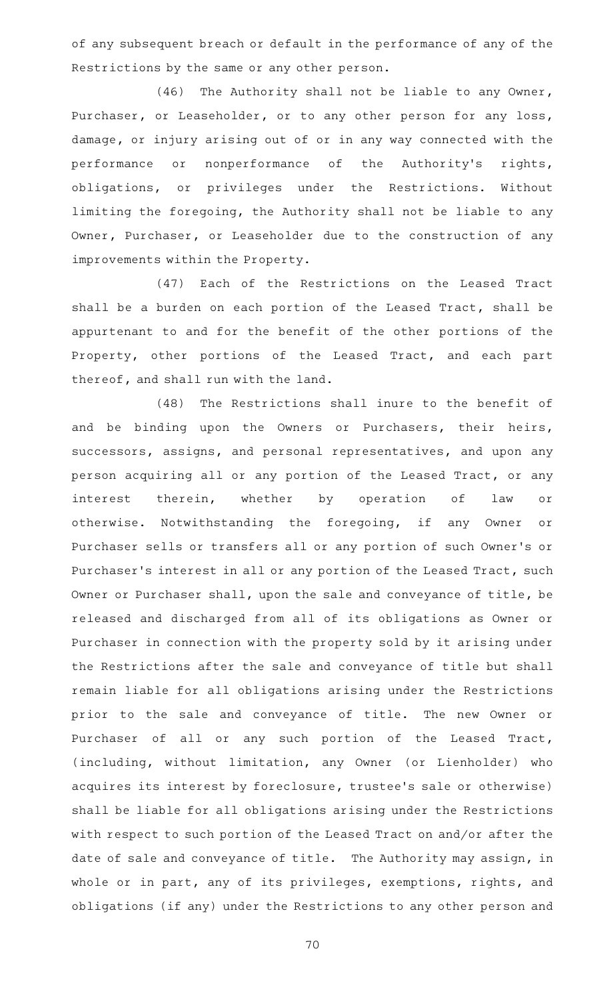of any subsequent breach or default in the performance of any of the Restrictions by the same or any other person.

(46) The Authority shall not be liable to any Owner, Purchaser, or Leaseholder, or to any other person for any loss, damage, or injury arising out of or in any way connected with the performance or nonperformance of the Authority's rights, obligations, or privileges under the Restrictions. Without limiting the foregoing, the Authority shall not be liable to any Owner, Purchaser, or Leaseholder due to the construction of any improvements within the Property.

(47) Each of the Restrictions on the Leased Tract shall be a burden on each portion of the Leased Tract, shall be appurtenant to and for the benefit of the other portions of the Property, other portions of the Leased Tract, and each part thereof, and shall run with the land.

(48) The Restrictions shall inure to the benefit of and be binding upon the Owners or Purchasers, their heirs, successors, assigns, and personal representatives, and upon any person acquiring all or any portion of the Leased Tract, or any interest therein, whether by operation of law or otherwise. Notwithstanding the foregoing, if any Owner or Purchaser sells or transfers all or any portion of such Owner 's or Purchaser 's interest in all or any portion of the Leased Tract, such Owner or Purchaser shall, upon the sale and conveyance of title, be released and discharged from all of its obligations as Owner or Purchaser in connection with the property sold by it arising under the Restrictions after the sale and conveyance of title but shall remain liable for all obligations arising under the Restrictions prior to the sale and conveyance of title. The new Owner or Purchaser of all or any such portion of the Leased Tract, (including, without limitation, any Owner (or Lienholder) who acquires its interest by foreclosure, trustee 's sale or otherwise) shall be liable for all obligations arising under the Restrictions with respect to such portion of the Leased Tract on and/or after the date of sale and conveyance of title. The Authority may assign, in whole or in part, any of its privileges, exemptions, rights, and obligations (if any) under the Restrictions to any other person and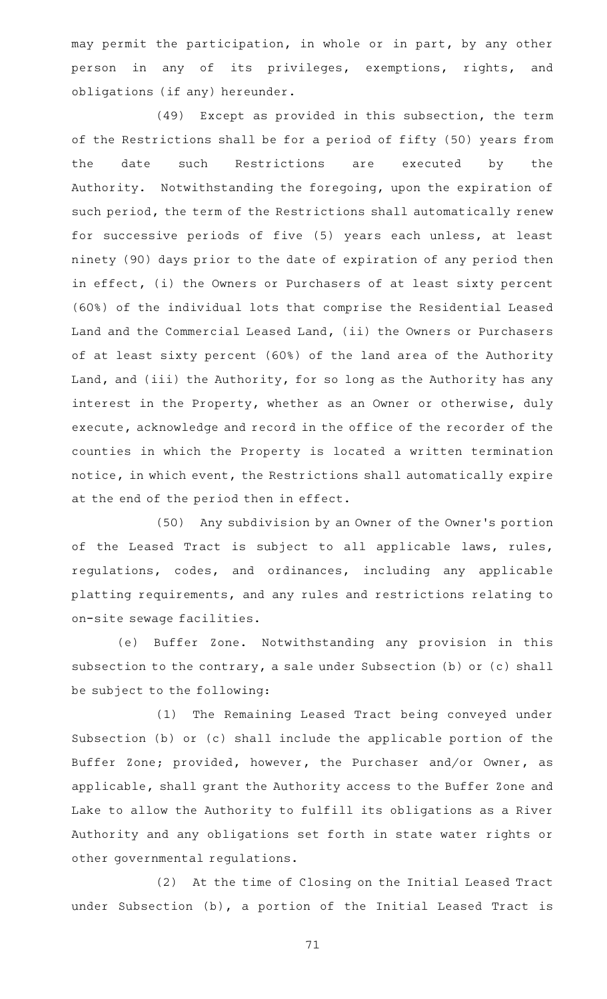may permit the participation, in whole or in part, by any other person in any of its privileges, exemptions, rights, and obligations (if any) hereunder.

(49) Except as provided in this subsection, the term of the Restrictions shall be for a period of fifty (50) years from the date such Restrictions are executed by the Authority. Notwithstanding the foregoing, upon the expiration of such period, the term of the Restrictions shall automatically renew for successive periods of five (5) years each unless, at least ninety (90) days prior to the date of expiration of any period then in effect, (i) the Owners or Purchasers of at least sixty percent (60%) of the individual lots that comprise the Residential Leased Land and the Commercial Leased Land, (ii) the Owners or Purchasers of at least sixty percent (60%) of the land area of the Authority Land, and (iii) the Authority, for so long as the Authority has any interest in the Property, whether as an Owner or otherwise, duly execute, acknowledge and record in the office of the recorder of the counties in which the Property is located a written termination notice, in which event, the Restrictions shall automatically expire at the end of the period then in effect.

(50) Any subdivision by an Owner of the Owner's portion of the Leased Tract is subject to all applicable laws, rules, regulations, codes, and ordinances, including any applicable platting requirements, and any rules and restrictions relating to on-site sewage facilities.

(e) Buffer Zone. Notwithstanding any provision in this subsection to the contrary, a sale under Subsection (b) or (c) shall be subject to the following:

(1) The Remaining Leased Tract being conveyed under Subsection (b) or (c) shall include the applicable portion of the Buffer Zone; provided, however, the Purchaser and/or Owner, as applicable, shall grant the Authority access to the Buffer Zone and Lake to allow the Authority to fulfill its obligations as a River Authority and any obligations set forth in state water rights or other governmental regulations.

(2) At the time of Closing on the Initial Leased Tract under Subsection (b), a portion of the Initial Leased Tract is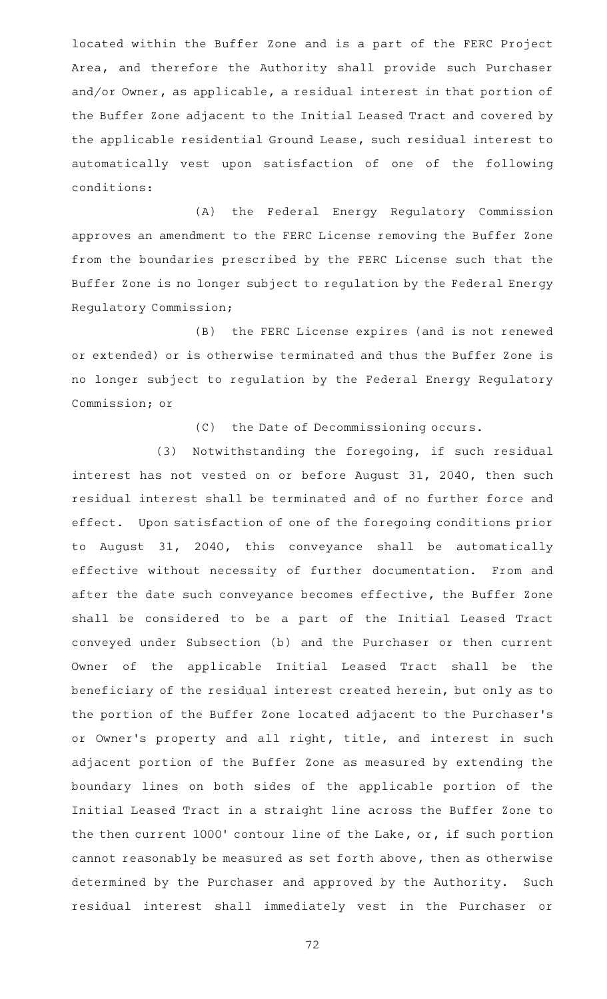located within the Buffer Zone and is a part of the FERC Project Area, and therefore the Authority shall provide such Purchaser and/or Owner, as applicable, a residual interest in that portion of the Buffer Zone adjacent to the Initial Leased Tract and covered by the applicable residential Ground Lease, such residual interest to automatically vest upon satisfaction of one of the following conditions:

(A) the Federal Energy Regulatory Commission approves an amendment to the FERC License removing the Buffer Zone from the boundaries prescribed by the FERC License such that the Buffer Zone is no longer subject to regulation by the Federal Energy Regulatory Commission;

(B) the FERC License expires (and is not renewed or extended) or is otherwise terminated and thus the Buffer Zone is no longer subject to regulation by the Federal Energy Regulatory Commission; or

(C) the Date of Decommissioning occurs.

(3) Notwithstanding the foregoing, if such residual interest has not vested on or before August 31, 2040, then such residual interest shall be terminated and of no further force and effect. Upon satisfaction of one of the foregoing conditions prior to August 31, 2040, this conveyance shall be automatically effective without necessity of further documentation. From and after the date such conveyance becomes effective, the Buffer Zone shall be considered to be a part of the Initial Leased Tract conveyed under Subsection (b) and the Purchaser or then current Owner of the applicable Initial Leased Tract shall be the beneficiary of the residual interest created herein, but only as to the portion of the Buffer Zone located adjacent to the Purchaser 's or Owner's property and all right, title, and interest in such adjacent portion of the Buffer Zone as measured by extending the boundary lines on both sides of the applicable portion of the Initial Leased Tract in a straight line across the Buffer Zone to the then current 1000' contour line of the Lake, or, if such portion cannot reasonably be measured as set forth above, then as otherwise determined by the Purchaser and approved by the Authority. Such residual interest shall immediately vest in the Purchaser or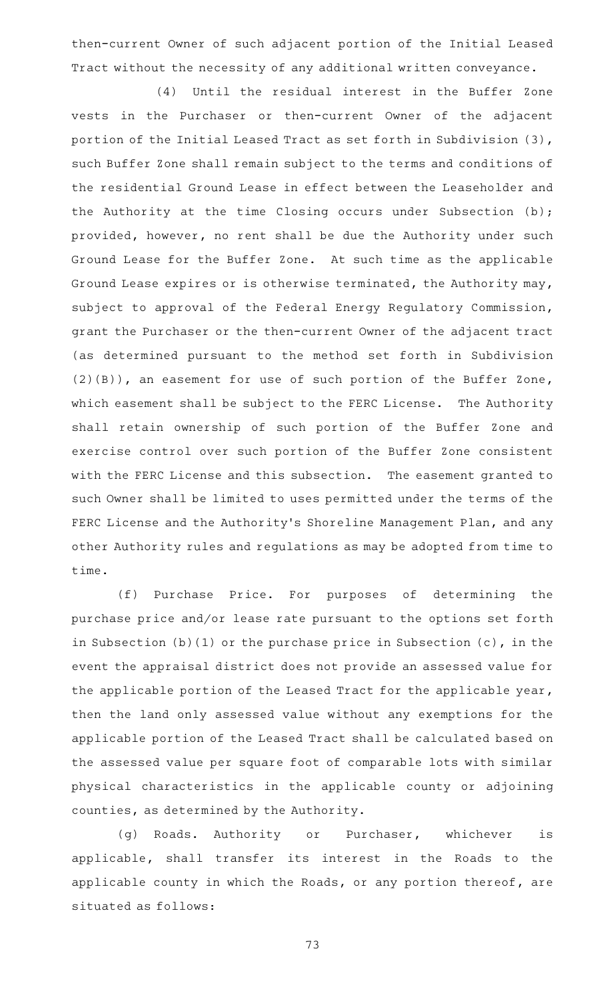then-current Owner of such adjacent portion of the Initial Leased Tract without the necessity of any additional written conveyance.

(4) Until the residual interest in the Buffer Zone vests in the Purchaser or then-current Owner of the adjacent portion of the Initial Leased Tract as set forth in Subdivision (3), such Buffer Zone shall remain subject to the terms and conditions of the residential Ground Lease in effect between the Leaseholder and the Authority at the time Closing occurs under Subsection (b); provided, however, no rent shall be due the Authority under such Ground Lease for the Buffer Zone. At such time as the applicable Ground Lease expires or is otherwise terminated, the Authority may, subject to approval of the Federal Energy Regulatory Commission, grant the Purchaser or the then-current Owner of the adjacent tract (as determined pursuant to the method set forth in Subdivision (2)(B)), an easement for use of such portion of the Buffer Zone, which easement shall be subject to the FERC License. The Authority shall retain ownership of such portion of the Buffer Zone and exercise control over such portion of the Buffer Zone consistent with the FERC License and this subsection. The easement granted to such Owner shall be limited to uses permitted under the terms of the FERC License and the Authority's Shoreline Management Plan, and any other Authority rules and regulations as may be adopted from time to time.

(f) Purchase Price. For purposes of determining the purchase price and/or lease rate pursuant to the options set forth in Subsection (b)(1) or the purchase price in Subsection (c), in the event the appraisal district does not provide an assessed value for the applicable portion of the Leased Tract for the applicable year, then the land only assessed value without any exemptions for the applicable portion of the Leased Tract shall be calculated based on the assessed value per square foot of comparable lots with similar physical characteristics in the applicable county or adjoining counties, as determined by the Authority.

(g) Roads. Authority or Purchaser, whichever is applicable, shall transfer its interest in the Roads to the applicable county in which the Roads, or any portion thereof, are situated as follows:

73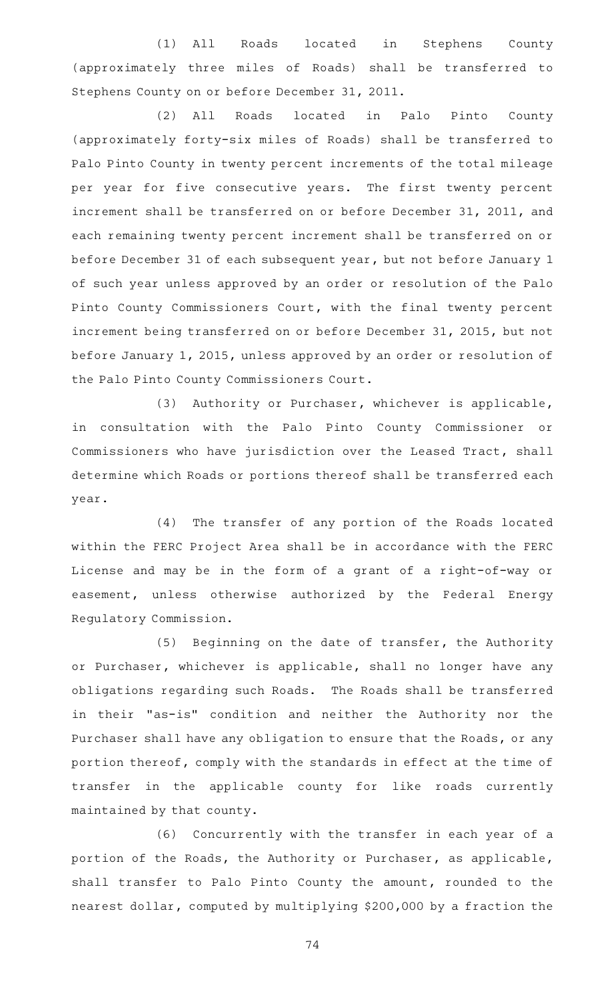(1) All Roads located in Stephens County (approximately three miles of Roads) shall be transferred to Stephens County on or before December 31, 2011.

(2) All Roads located in Palo Pinto County (approximately forty-six miles of Roads) shall be transferred to Palo Pinto County in twenty percent increments of the total mileage per year for five consecutive years. The first twenty percent increment shall be transferred on or before December 31, 2011, and each remaining twenty percent increment shall be transferred on or before December 31 of each subsequent year, but not before January 1 of such year unless approved by an order or resolution of the Palo Pinto County Commissioners Court, with the final twenty percent increment being transferred on or before December 31, 2015, but not before January 1, 2015, unless approved by an order or resolution of the Palo Pinto County Commissioners Court.

(3) Authority or Purchaser, whichever is applicable, in consultation with the Palo Pinto County Commissioner or Commissioners who have jurisdiction over the Leased Tract, shall determine which Roads or portions thereof shall be transferred each year.

(4) The transfer of any portion of the Roads located within the FERC Project Area shall be in accordance with the FERC License and may be in the form of a grant of a right-of-way or easement, unless otherwise authorized by the Federal Energy Regulatory Commission.

(5) Beginning on the date of transfer, the Authority or Purchaser, whichever is applicable, shall no longer have any obligations regarding such Roads. The Roads shall be transferred in their "as-is" condition and neither the Authority nor the Purchaser shall have any obligation to ensure that the Roads, or any portion thereof, comply with the standards in effect at the time of transfer in the applicable county for like roads currently maintained by that county.

(6) Concurrently with the transfer in each year of a portion of the Roads, the Authority or Purchaser, as applicable, shall transfer to Palo Pinto County the amount, rounded to the nearest dollar, computed by multiplying \$200,000 by a fraction the

74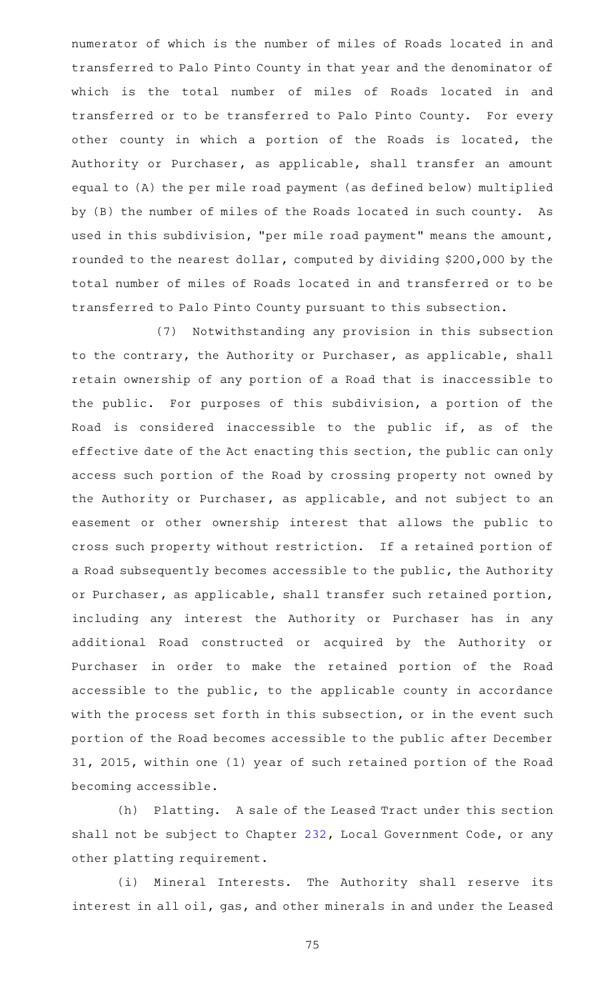numerator of which is the number of miles of Roads located in and transferred to Palo Pinto County in that year and the denominator of which is the total number of miles of Roads located in and transferred or to be transferred to Palo Pinto County. For every other county in which a portion of the Roads is located, the Authority or Purchaser, as applicable, shall transfer an amount equal to (A) the per mile road payment (as defined below) multiplied by (B) the number of miles of the Roads located in such county. As used in this subdivision, "per mile road payment" means the amount, rounded to the nearest dollar, computed by dividing \$200,000 by the total number of miles of Roads located in and transferred or to be transferred to Palo Pinto County pursuant to this subsection.

(7) Notwithstanding any provision in this subsection to the contrary, the Authority or Purchaser, as applicable, shall retain ownership of any portion of a Road that is inaccessible to the public. For purposes of this subdivision, a portion of the Road is considered inaccessible to the public if, as of the effective date of the Act enacting this section, the public can only access such portion of the Road by crossing property not owned by the Authority or Purchaser, as applicable, and not subject to an easement or other ownership interest that allows the public to cross such property without restriction. If a retained portion of a Road subsequently becomes accessible to the public, the Authority or Purchaser, as applicable, shall transfer such retained portion, including any interest the Authority or Purchaser has in any additional Road constructed or acquired by the Authority or Purchaser in order to make the retained portion of the Road accessible to the public, to the applicable county in accordance with the process set forth in this subsection, or in the event such portion of the Road becomes accessible to the public after December 31, 2015, within one (1) year of such retained portion of the Road becoming accessible.

(h) Platting. A sale of the Leased Tract under this section shall not be subject to Chapter [232,](http://www.statutes.legis.state.tx.us/GetStatute.aspx?Code=LG&Value=232) Local Government Code, or any other platting requirement.

(i) Mineral Interests. The Authority shall reserve its interest in all oil, gas, and other minerals in and under the Leased

75